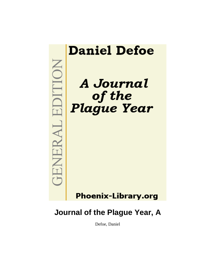

# **Journal of the Plague Year, A**

Defoe, Daniel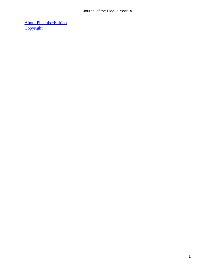[About Phoenix−Edition](#page-166-0) **[Copyright](#page-167-0)**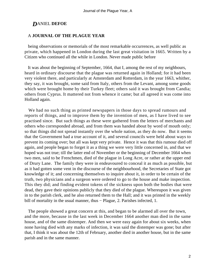## *D*ANIEL **DEFOE**

#### A **JOURNAL OF THE PLAGUE YEAR**

 being observations or memorials of the most remarkable occurrences, as well public as private, which happened in London during the last great visitation in 1665. Written by a Citizen who continued all the while in London. Never made public before

 It was about the beginning of September, 1664, that I, among the rest of my neighbours, heard in ordinary discourse that the plague was returned again in Holland; for it had been very violent there, and particularly at Amsterdam and Rotterdam, in the year 1663, whither, they say, it was brought, some said from Italy, others from the Levant, among some goods which were brought home by their Turkey fleet; others said it was brought from Candia; others from Cyprus. It mattered not from whence it came; but all agreed it was come into Holland again.

 We had no such thing as printed newspapers in those days to spread rumours and reports of things, and to improve them by the invention of men, as I have lived to see practised since. But such things as these were gathered from the letters of merchants and others who corresponded abroad, and from them was handed about by word of mouth only; so that things did not spread instantly over the whole nation, as they do now. But it seems that the Government had a true account of it, and several councils were held about ways to prevent its coming over; but all was kept very private. Hence it was that this rumour died off again, and people began to forget it as a thing we were very little concerned in, and that we hoped was not true; till the latter end of November or the beginning of December 1664 when two men, said to be Frenchmen, died of the plague in Long Acre, or rather at the upper end of Drury Lane. The family they were in endeavoured to conceal it as much as possible, but as it had gotten some vent in the discourse of the neighbourhood, the Secretaries of State got knowledge of it; and concerning themselves to inquire about it, in order to be certain of the truth, two physicians and a surgeon were ordered to go to the house and make inspection. This they did; and finding evident tokens of the sickness upon both the bodies that were dead, they gave their opinions publicly that they died of the plague. Whereupon it was given in to the parish clerk, and he also returned them to the Hall; and it was printed in the weekly bill of mortality in the usual manner, thus − Plague, 2. Parishes infected, 1.

 The people showed a great concern at this, and began to be alarmed all over the town, and the more, because in the last week in December 1664 another man died in the same house, and of the same distemper. And then we were easy again for about six weeks, when none having died with any marks of infection, it was said the distemper was gone; but after that, I think it was about the 12th of February, another died in another house, but in the same parish and in the same manner.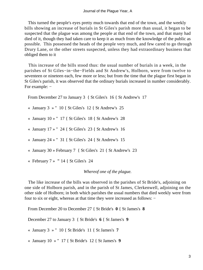This turned the people's eyes pretty much towards that end of the town, and the weekly bills showing an increase of burials in St Giles's parish more than usual, it began to be suspected that the plague was among the people at that end of the town, and that many had died of it, though they had taken care to keep it as much from the knowledge of the public as possible. This possessed the heads of the people very much, and few cared to go through Drury Lane, or the other streets suspected, unless they had extraordinary business that obliged them to it

 This increase of the bills stood thus: the usual number of burials in a week, in the parishes of St Giles−in−the−Fields and St Andrew's, Holborn, were from twelve to seventeen or nineteen each, few more or less; but from the time that the plague first began in St Giles's parish, it was observed that the ordinary burials increased in number considerably. For example: −

From December 27 to January 3 { St Giles's 16 { St Andrew's 17

« January 3 » " 10 { St Giles's 12 { St Andrew's 25

- « January 10 » " 17 { St Giles's 18 { St Andrew's 28
- « January 17 » " 24 { St Giles's 23 { St Andrew's 16
- « January 24 » " 31 { St Giles's 24 { St Andrew's 15
- « January 30 » February 7 { St Giles's 21 { St Andrew's 23
- « February 7 » **"** 14 { St Giles's 24

#### *Whereof one of the plague.*

 The like increase of the bills was observed in the parishes of St Bride's, adjoining on one side of Holborn parish, and in the parish of St James, Clerkenwell, adjoining on the other side of Holborn; in both which parishes the usual numbers that died weekly were from four to six or eight, whereas at that time they were increased as follows: −

From December 20 to December 27 { St Bride's **0** { St James's **8**

December 27 to January 3 { St Bride's **6** { St James's **9**

« January 3 » " 10 { St Bride's 11 { St James's **7**

« January 10 » " 17 { St Bride's 12 { St James's **9**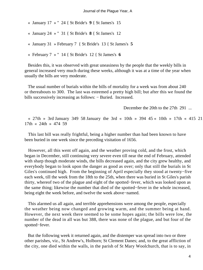- « January 17 » " 24 { St Bride's **9** { St James's 15
- « January 24 » " 31 { St Bride's **8** { St James's 12
- « January 31 » February 7 { St Bride's 13 { St James's **5**
- « February 7 » " 14 { St Bride's 12 { St James's **6**

 Besides this, it was observed with great uneasiness by the people that the weekly bills in general increased very much during these weeks, although it was at a time of the year when usually the bills are very moderate.

 The usual number of burials within the bills of mortality for a week was from about 240 or thereabouts to 300. The last was esteemed a pretty high bill; but after this we found the bills successively increasing as follows: − Buried. Increased.

December the 20th to the 27th 291 ...

 « 27th » 3rd January 349 58 January the 3rd « 10th » 394 45 « 10th » 17th « 415 21 » 17th « 24th » 474 59

 This last bill was really frightful, being a higher number than had been known to have been buried in one week since the preceding visitation of 1656.

 However, all this went off again, and the weather proving cold, and the frost, which began in December, still continuing very severe even till near the end of February, attended with sharp though moderate winds, the bills decreased again, and the city grew healthy, and everybody began to look upon the danger as good as over; only that still the burials in St Giles's continued high. From the beginning of April especially they stood at twenty−five each week, till the week from the 18th to the 25th, when there was buried in St Giles's parish thirty, whereof two of the plague and eight of the spotted−fever, which was looked upon as the same thing; likewise the number that died of the spotted−fever in the whole increased, being eight the week before, and twelve the week above−named.

 This alarmed us all again, and terrible apprehensions were among the people, especially the weather being now changed and growing warm, and the summer being at hand. However, the next week there seemed to be some hopes again; the bills were low, the number of the dead in all was but 388, there was none of the plague, and but four of the spotted−fever.

 But the following week it returned again, and the distemper was spread into two or three other parishes, viz., St Andrew's, Holborn; St Clement Danes; and, to the great affliction of the city, one died within the walls, in the parish of St Mary Woolchurch, that is to say, in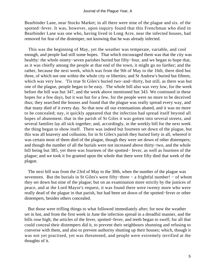Bearbinder Lane, near Stocks Market; in all there were nine of the plague and six. of the spotted−fever. It was, however, upon inquiry found that this Frenchman who died in Bearbinder Lane was one who, having lived in Long Acre, near the infected houses, had removed for fear of the distemper, not knowing that he was already infected.

 This was the beginning of May, yet the weather was temperate, variable, and cool enough, and people had still some hopes. That which encouraged them was that the city was healthy: the whole ninety−seven parishes buried but fifty−four, and we began to hope that, as it was chiefly among the people at that end of the town, it might go no farther; and the rather, because the next week, which was from the 9th of May to the 16th, there died but three, of which not one within the whole city or liberties; and St Andrew's buried but fifteen, which was very low. 'Tis true St Giles's buried two−and−thirty, but still, as there was but one of the plague, people began to be easy. The whole bill also was very low, for the week before the bill was but 347, and the week above mentioned but 343. We continued in these hopes for a few days, but it was but for a few, for the people were no more to be deceived thus; they searched the houses and found that the plague was really spread every way, and that many died of it every day. So that now all our extenuations abated, and it was no more to be concealed; nay, it quickly appeared that the infection had spread itself beyond all hopes of abatement. that in the parish of St Giles it was gotten into several streets, and several families lay all sick together; and, accordingly, in the weekly bill for the next week the thing began to show itself. There was indeed but fourteen set down of the plague, but this was all knavery and collusion, for in St Giles's parish they buried forty in all, whereof it was certain most of them died of the plague, though they were set down of other distempers; and though the number of all the burials were not increased above thirty−two, and the whole bill being but 385, yet there was fourteen of the spotted− fever, as well as fourteen of the plague; and we took it for granted upon the whole that there were fifty died that week of the plague.

 The next bill was from the 23rd of May to the 30th, when the number of the plague was seventeen. But the burials in St Giles's were fifty-three – a frightful number! – of whom they set down but nine of the plague; but on an examination more strictly by the justices of peace, and at the Lord Mayor's request, it was found there were twenty more who were really dead of the plague in that parish, but had been set down of the spotted−fever or other distempers, besides others concealed.

 But those were trifling things to what followed immediately after; for now the weather set in hot, and from the first week in June the infection spread in a dreadful manner, and the bills rose high; the articles of the fever, spotted−fever, and teeth began to swell; for all that could conceal their distempers did it, to prevent their neighbours shunning and refusing to converse with them, and also to prevent authority shutting up their houses; which, though it was not yet practised, yet was threatened, and people were extremely terrified at the thoughts of it.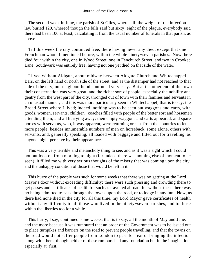The second week in June, the parish of St Giles, where still the weight of the infection lay, buried 120, whereof though the bills said but sixty−eight of the plague, everybody said there had been 100 at least, calculating it from the usual number of funerals in that parish, as above.

 Till this week the city continued free, there having never any died, except that one Frenchman whom I mentioned before, within the whole ninety−seven parishes. Now there died four within the city, one in Wood Street, one in Fenchurch Street, and two in Crooked Lane. Southwark was entirely free, having not one yet died on that side of the water.

 I lived without Aldgate, about midway between Aldgate Church and Whitechappel Bars, on the left hand or north side of the street; and as the distemper had not reached to that side of the city, our neighbourhood continued very easy. But at the other end of the town their consternation was very great: and the richer sort of people, especially the nobility and gentry from the west part of the city, thronged out of town with their families and servants in an unusual manner; and this was more particularly seen in Whitechappel; that is to say, the Broad Street where I lived; indeed, nothing was to be seen but waggons and carts, with goods, women, servants, children, coaches filled with people of the better sort and horsemen attending them, and all hurrying away; then empty waggons and carts appeared, and spare horses with servants, who, it was apparent, were returning or sent from the countries to fetch more people; besides innumerable numbers of men on horseback, some alone, others with servants, and, generally speaking, all loaded with baggage and fitted out for travelling, as anyone might perceive by their appearance.

 This was a very terrible and melancholy thing to see, and as it was a sight which I could not but look on from morning to night (for indeed there was nothing else of moment to be seen), it filled me with very serious thoughts of the misery that was coming upon the city, and the unhappy condition of those that would be left in it.

 This hurry of the people was such for some weeks that there was no getting at the Lord Mayor's door without exceeding difficulty; there were such pressing and crowding there to get passes and certificates of health for such as travelled abroad, for without these there was no being admitted to pass through the towns upon the road, or to lodge in any inn. Now, as there had none died in the city for all this time, my Lord Mayor gave certificates of health without any difficulty to all those who lived in the ninety−seven parishes, and to those within the liberties too for a while.

 This hurry, I say, continued some weeks, that is to say, all the month of May and June, and the more because it was rumoured that an order of the Government was to be issued out to place turnpikes and barriers on the road to prevent people travelling, and that the towns on the road would not suffer people from London to pass for fear of bringing the infection along with them, though neither of these rumours had any foundation but in the imagination, especially at−first.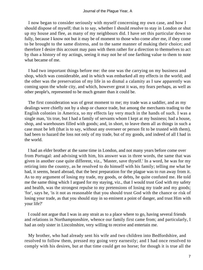I now began to consider seriously with myself concerning my own case, and how I should dispose of myself; that is to say, whether I should resolve to stay in London or shut up my house and flee, as many of my neighbours did. I have set this particular down so fully, because I know not but it may be of moment to those who come after me, if they come to be brought to the same distress, and to the same manner of making their choice; and therefore I desire this account may pass with them rather for a direction to themselves to act by than a history of my actings, seeing it may not he of one farthing value to them to note what became of me.

 I had two important things before me: the one was the carrying on my business and shop, which was considerable, and in which was embarked all my effects in the world; and the other was the preservation of my life in so dismal a calamity as I saw apparently was coming upon the whole city, and which, however great it was, my fears perhaps, as well as other people's, represented to be much greater than it could be.

 The first consideration was of great moment to me; my trade was a saddler, and as my dealings were chiefly not by a shop or chance trade, but among the merchants trading to the English colonies in America, so my effects lay very much in the hands of such. I was a single man, 'tis true, but I had a family of servants whom I kept at my business; had a house, shop, and warehouses filled with goods; and, in short, to leave them all as things in such a case must be left (that is to say, without any overseer or person fit to be trusted with them), had been to hazard the loss not only of my trade, but of my goods, and indeed of all I had in the world.

 I had an elder brother at the same time in London, and not many years before come over from Portugal: and advising with him, his answer was in three words, the same that was given in another case quite different, viz., 'Master, save thyself.' In a word, he was for my retiring into the country, as he resolved to do himself with his family; telling me what he had, it seems, heard abroad, that the best preparation for the plague was to run away from it. As to my argument of losing my trade, my goods, or debts, he quite confuted me. He told me the same thing which I argued for my staying, viz., that I would trust God with my safety and health, was the strongest repulse to my pretensions of losing my trade and my goods; 'for', says he, 'is it not as reasonable that you should trust God with the chance or risk of losing your trade, as that you should stay in so eminent a point of danger, and trust Him with your life?'

 I could not argue that I was in any strait as to a place where to go, having several friends and relations in Northamptonshire, whence our family first came from; and particularly, I had an only sister in Lincolnshire, very willing to receive and entertain me.

 My brother, who had already sent his wife and two children into Bedfordshire, and resolved to follow them, pressed my going very earnestly; and I had once resolved to comply with his desires, but at that time could get no horse; for though it is true all the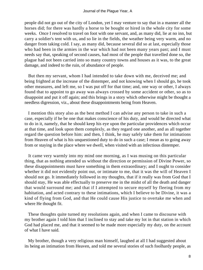people did not go out of the city of London, yet I may venture to say that in a manner all the horses did; for there was hardly a horse to be bought or hired in the whole city for some weeks. Once I resolved to travel on foot with one servant, and, as many did, lie at no inn, but carry a soldier's tent with us, and so lie in the fields, the weather being very warm, and no danger from taking cold. I say, as many did, because several did so at last, especially those who had been in the armies in the war which had not been many years past; and I must needs say that, speaking of second causes, had most of the people that travelled done so, the plague had not been carried into so many country towns and houses as it was, to the great damage, and indeed to the ruin, of abundance of people.

 But then my servant, whom I had intended to take down with me, deceived me; and being frighted at the increase of the distemper, and not knowing when I should go, he took other measures, and left me, so I was put off for that time; and, one way or other, I always found that to appoint to go away was always crossed by some accident or other, so as to disappoint and put it off again; and this brings in a story which otherwise might be thought a needless digression, viz., about these disappointments being from Heaven.

 I mention this story also as the best method I can advise any person to take in such a case, especially if he be one that makes conscience of his duty, and would be directed what to do in it, namely, that he should keep his eye upon the particular providences which occur at that time, and look upon them complexly, as they regard one another, and as all together regard the question before him: and then, I think, he may safely take them for intimations from Heaven of what is his unquestioned duty to do in such a case; I mean as to going away from or staying in the place where we dwell, when visited with an infectious distemper.

 It came very warmly into my mind one morning, as I was musing on this particular thing, that as nothing attended us without the direction or permission of Divine Power, so these disappointments must have something in them extraordinary; and I ought to consider whether it did not evidently point out, or intimate to me, that it was the will of Heaven I should not go. It immediately followed in my thoughts, that if it really was from God that I should stay, He was able effectually to preserve me in the midst of all the death and danger that would surround me; and that if I attempted to secure myself by fleeing from my habitation, and acted contrary to these intimations, which I believe to be Divine, it was a kind of flying from God, and that He could cause His justice to overtake me when and where He thought fit.

 These thoughts quite turned my resolutions again, and when I came to discourse with my brother again I told him that I inclined to stay and take my lot in that station in which God had placed me, and that it seemed to be made more especially my duty, on the account of what I have said.

 My brother, though a very religious man himself, laughed at all I had suggested about its being an intimation from Heaven, and told me several stories of such foolhardy people, as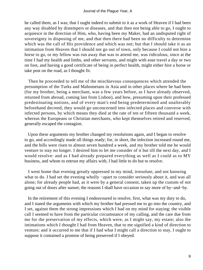he called them, as I was; that I ought indeed to submit to it as a work of Heaven if I had been any way disabled by distempers or diseases, and that then not being able to go, I ought to acquiesce in the direction of Him, who, having been my Maker, had an undisputed right of sovereignty in disposing of me, and that then there had been no difficulty to determine which was the call of His providence and which was not; but that I should take it as an intimation from Heaven that I should not go out of town, only because I could not hire a horse to go, or my fellow was run away that was to attend me, was ridiculous, since at the time I had my health and limbs, and other servants, and might with ease travel a day or two on foot, and having a good certificate of being in perfect health, might either hire a horse or take post on the road, as I thought fit.

 Then he proceeded to tell me of the mischievous consequences which attended the presumption of the Turks and Mahometans in Asia and in other places where he had been (for my brother, being a merchant, was a few years before, as I have already observed, returned from abroad, coming last from Lisbon), and how, presuming upon their professed predestinating notions, and of every man's end being predetermined and unalterably beforehand decreed, they would go unconcerned into infected places and converse with infected persons, by which means they died at the rate of ten or fifteen thousand a week, whereas the Europeans or Christian merchants, who kept themselves retired and reserved, generally escaped the contagion.

 Upon these arguments my brother changed my resolutions again, and I began to resolve to go, and accordingly made all things ready; for, in short, the infection increased round me, and the bills were risen to almost seven hundred a week, and my brother told me he would venture to stay no longer. I desired him to let me consider of it but till the next day, and I would resolve: and as I had already prepared everything as well as I could as to MY business, and whom to entrust my affairs with, I had little to do but to resolve.

 I went home that evening greatly oppressed in my mind, irresolute, and not knowing what to do. I had set the evening wholly −apart to consider seriously about it, and was all alone; for already people had, as it were by a general consent, taken up the custom of not going out of doors after sunset; the reasons I shall have occasion to say more of by−and−by.

 In the retirement of this evening I endeavoured to resolve, first, what was my duty to do, and I stated the arguments with which my brother had pressed me to go into the country, and I set, against them the strong impressions which I had on my mind for staying; the visible call I seemed to have from the particular circumstance of my calling, and the care due from me for the preservation of my effects, which were, as I might say, my estate; also the intimations which I thought I had from Heaven, that to me signified a kind of direction to venture; and it occurred to me that if I had what I might call a direction to stay, I ought to suppose it contained a promise of being preserved if I obeyed.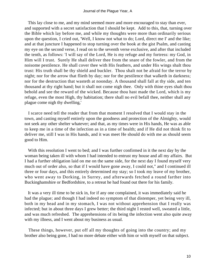This lay close to me, and my mind seemed more and more encouraged to stay than ever, and supported with a secret satisfaction that I should be kept. Add to this, that, turning over the Bible which lay before me, and while my thoughts were more than ordinarily serious upon the question, I cried out, 'Well, I know not what to do; Lord, direct me I' and the like; and at that juncture I happened to stop turning over the book at the gist Psalm, and casting my eye on the second verse, I read on to the seventh verse exclusive, and after that included the tenth, as follows: 'I will say of the Lord, He is my refuge and my fortress: my God, in Him will I trust. Surely He shall deliver thee from the snare of the fowler, and from the noisome pestilence. He shall cover thee with His feathers, and under His wings shalt thou trust: His truth shall be thy shield and buckler. Thou shalt not be afraid for the terror by night; nor for the arrow that flieth by day; nor for the pestilence that walketh in darkness; nor for the destruction that wasteth at noonday. A thousand shall fall at thy side, and ten thousand at thy right hand; but it shall not come nigh thee. Only with thine eyes shalt thou behold and see the reward of the wicked. Because thou hast made the Lord, which is my refuge, even the most High, thy habitation; there shall no evil befall thee, neither shall any plague come nigh thy dwelling,'

 I scarce need tell the reader that from that moment I resolved that I would stay in the town, and casting myself entirely upon the goodness and protection of the Almighty, would not seek any other shelter whatever; and that, as my times were in His hands, He was as able to keep me in a time of the infection as in a time of health; and if He did not think fit to deliver me, still I was in His hands, and it was meet He should do with me as should seem good to Him.

With this resolution I went to bed; and I was further confirmed in it the next day by the woman being taken ill with whom I had intended to entrust my house and all my affairs. But I had a further obligation laid on me on the same side, for the next day I found myself very much out of order also, so that if I would have gone away, I could not," and I continued ill three or four days, and this entirely determined my stay; so I took my leave of my brother, who went away to Dorking, in Surrey, and afterwards fetched a round farther into Buckinghamshire or Bedfordshire, to a retreat he had found out there for his family.

 It was a very ill time to be sick in, for if any one complained, it was immediately said he had the plague; and though I had indeed no symptom of that distemper, yet being very ill, both in my head and in my stomach, I was not without apprehension that I really was infected; but in about three days I grew better; the third night I rested well, sweated a little, and was much refreshed. The apprehensions of its being the infection went also quite away with my illness, and I went about my business as usual.

 These things, however, put off all my thoughts of going into the country; and my brother also being gone, I had no more debate either with him or with myself on that subject.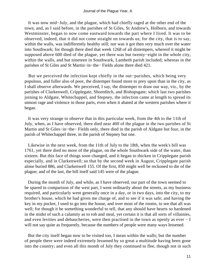It was now mid−July, and the plague, which had chiefly raged at the other end of the town, and, as I said before, in the parishes of St Giles, St Andrew's, Holborn, and towards Westminster, began to now come eastward towards the part where I lived. It was to be observed, indeed, that it did not come straight on towards us; for the city, that is to say, within the walls, was indifferently healthy still; nor was it got then very much over the water into Southwark; for though there died that week 1268 of all distempers, whereof it might be supposed above 600 died of the plague, yet there was but twenty−eight in the whole city, within the walls, and but nineteen in Southwark, Lambeth parish included; whereas in the parishes of St Giles and St Martin−in−the− Fields alone there died 421.

 But we perceived the infection kept chiefly in the out−parishes, which being very populous, and fuller also of poor, the distemper found more to prey upon than in the city, as I shall observe afterwards. We perceived, I say, the distemper to draw our way, viz., by the parishes of Clarkenwell, Cripplegate, Shoreditch, and Bishopsgate; which last two parishes joining to Aldgate, Whitechappel, and Stepney, the infection came at length to spread its utmost rage and violence in those parts, even when it abated at the western parishes where it began.

 It was very strange to observe that in this particular week, from the 4th to the 11th of July, when, as I have observed, there died near 400 of the plague in the two parishes of St Martin and St Giles−in−the− Fields only, there died in the parish of Aldgate but four, in the parish of Whitechappel three, in the parish of Stepney but one.

 Likewise in the next week, from the 11th of July to the 18th, when the week's bill was 1761, yet there died no more of the plague, on the whole Southwark side of the water, than sixteen. But this face of things soon changed, and it began to thicken in Cripplegate parish especially, and in Clarkenwell; so that by the second week in August, Cripplegate parish alone buried 886, and Clarkenwell 155. Of the first, 850 might well be reckoned to die of the plague; and of the last, the bill itself said 145 were of the plague.

 During the month of July, and while, as I have observed, our part of the town seemed to be spared in comparison of the west part, I went ordinarily about the streets, as my business required, and particularly went generally once in a day, or in two days, into the city, to my brother's house, which he had given me charge of, and to see if it was safe; and having the key in my pocket, I used to go into the house, and over most of the rooms, to see that all was well; for though it be something wonderful to tell, that any should have hearts so hardened in the midst of such a calamity as to rob and steal, yet certain it is that all sorts of villainies, and even levities and debaucheries, were then practised in the town as openly as ever − I will not say quite as frequently, because the numbers of people were many ways lessened.

 But the city itself began now to be visited too, I mean within the walls; but the number of people there were indeed extremely lessened by so great a multitude having been gone into the country; and even all this month of July they continued to flee, though not in such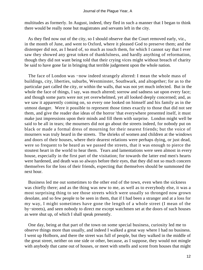multitudes as formerly. In August, indeed, they fled in such a manner that I began to think there would be really none but magistrates and servants left in the city.

 As they fled now out of the city, so I should observe that the Court removed early, viz., in the month of June, and went to Oxford, where it pleased God to preserve them; and the distemper did not, as I heard of, so much as touch them, for which I cannot say that I ever saw they showed any great token of thankfulness, and hardly anything of reformation, though they did not want being told that their crying vices might without breach of charity be said to have gone far in bringing that terrible judgement upon the whole nation.

The face of London was –now indeed strangely altered: I mean the whole mass of buildings, city, liberties, suburbs, Westminster, Southwark, and altogether; for as to the particular part called the city, or within the walls, that was not yet much infected. But in the whole the face of things, I say, was much altered; sorrow and sadness sat upon every face; and though some parts were not yet overwhelmed, yet all looked deeply concerned; and, as we saw it apparently coming on, so every one looked on himself and his family as in the utmost danger. Were it possible to represent those times exactly to those that did not see them, and give the reader due ideas of the horror 'that everywhere presented itself, it must make just impressions upon their minds and fill them with surprise. London might well be said to be all in tears; the mourners did not go about the streets indeed, for nobody put on black or made a formal dress of mourning for their nearest friends; but the voice of mourners was truly heard in the streets. The shrieks of women and children at the windows and doors of their houses, where their dearest relations were perhaps dying, or just dead, were so frequent to be heard as we passed the streets, that it was enough to pierce the stoutest heart in the world to hear them. Tears and lamentations were seen almost in every house, especially in the first part of the visitation; for towards the latter end men's hearts were hardened, and death was so always before their eyes, that they did not so much concern themselves for the loss of their friends, expecting that themselves should be summoned the next hour.

 Business led me out sometimes to the other end of the town, even when the sickness was chiefly there; and as the thing was new to me, as well as to everybody else, it was a most surprising thing to see those streets which were usually so thronged now grown desolate, and so few people to be seen in them, that if I had been a stranger and at a loss for my way, I might sometimes have gone the length of a whole street (I mean of the by−streets), and seen nobody to direct me except watchmen set at the doors of such houses as were shut up, of which I shall speak presently.

 One day, being at that part of the town on some special business, curiosity led me to observe things more than usually, and indeed I walked a great way where I had no business. I went up Holborn, and there the street was full of people, but they walked in the middle of the great street, neither on one side or other, because, as I suppose, they would not mingle with anybody that came out of houses, or meet with smells and scent from houses that might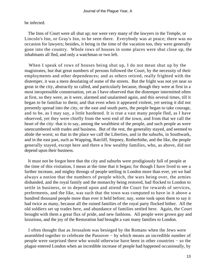be infected.

 The Inns of Court were all shut up; nor were very many of the lawyers in the Temple, or Lincoln's Inn, or Gray's Inn, to be seen there. Everybody was at peace; there was no occasion for lawyers; besides, it being in the time of the vacation too, they were generally gone into the country. Whole rows of houses in some places were shut close up, the inhabitants all fled, and only a watchman or two left.

 When I speak of rows of houses being shut up, I do not mean shut up by the magistrates, but that great numbers of persons followed the Court, by the necessity of their employments and other dependences; and as others retired, really frighted with the distemper, it was a mere desolating of some of the streets. But the fright was not yet near so great in the city, abstractly so called, and particularly because, though they were at first in a most inexpressible consternation, yet as I have observed that the distemper intermitted often at first, so they were, as it were, alarmed and unalarmed again, and this several times, till it began to be familiar to them; and that even when it appeared violent, yet seeing it did not presently spread into the city, or the east and south parts, the people began to take courage, and to be, as I may say, a little hardened. It is true a vast many people fled, as I have observed, yet they were chiefly from the west end of the town, and from that we call the heart of the city: that is to say, among the wealthiest of the people, and such people as were unencumbered with trades and business. But of the rest, the generality stayed, and seemed to abide the worst; so that in the place we calf the Liberties, and in the suburbs, in Southwark, and in the east part, such as Wapping, Ratcliff, Stepney, Rotherhithe, and the like, the people generally stayed, except here and there a few wealthy families, who, as above, did not depend upon their business.

 It must not be forgot here that the city and suburbs were prodigiously full of people at the time of this visitation, I mean at the time that it began; for though I have lived to see a further increase, and mighty throngs of people settling in London more than ever, yet we had always a notion that the numbers of people which, the wars being over, the armies disbanded, and the royal family and the monarchy being restored, had flocked to London to settle in business, or to depend upon and attend the Court for rewards of services, preferments, and the like, was such that the town was computed to have in it above a hundred thousand people more than ever it held before; nay, some took upon them to say it had twice as many, because all the ruined families of the royal party flocked hither. All the old soldiers set up trades here, and abundance of families settled here. Again, the Court brought with them a great flux of pride, and new fashions. All people were grown gay and luxurious, and the joy of the Restoration had brought a vast many families to London.

 I often thought that as Jerusalem was besieged by the Romans when the Jews were assembled together to celebrate the Passover − by which means an incredible number of people were surprised there who would otherwise have been in other countries − so the plague entered London when an incredible increase of people had happened occasionally, by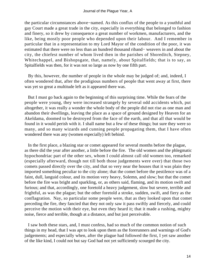the particular circumstances above−named. As this conflux of the people to a youthful and gay Court made a great trade in the city, especially in everything that belonged to fashion and finery, so it drew by consequence a great number of workmen, manufacturers, and the like, being mostly poor people who depended upon their labour. And I remember in particular that in a representation to my Lord Mayor of the condition of the poor, it was estimated that there were no less than an hundred thousand riband− weavers in and about the city, the chiefest number of whom lived then in the parishes of Shoreditch, Stepney, Whitechappel, and Bishopsgate, that, namely, about Spitalfields; that is to say, as Spitalfields was then, for it was not so large as now by one fifth part.

 By this, however, the number of people in the whole may be judged of; and, indeed, I often wondered that, after the prodigious numbers of people that went away at first, there was yet so great a multitude left as it appeared there was.

 But I must go back again to the beginning of this surprising time. While the fears of the people were young, they were increased strangely by several odd accidents which, put altogether, it was really a wonder the whole body of the people did not rise as one man and abandon their dwellings, leaving the place as a space of ground designed by Heaven for an Akeldama, doomed to be destroyed from the face of the earth, and that all that would be found in it would perish with it. I shall name but a few of these things; but sure they were so many, and so many wizards and cunning people propagating them, that I have often wondered there was any (women especially) left behind.

 In the first place, a blazing star or comet appeared for several months before the plague, as there did the year after another, a little before the fire. The old women and the phlegmatic hypochondriac part of the other sex, whom I could almost call old women too, remarked (especially afterward, though not till both those judgements were over) that those two comets passed directly over the city, and that so very near the houses that it was plain they imported something peculiar to the city alone; that the comet before the pestilence was of a faint, dull, languid colour, and its motion very heavy, Solemn, and slow; but that the comet before the fire was bright and sparkling, or, as others said, flaming, and its motion swift and furious; and that, accordingly, one foretold a heavy judgement, slow but severe, terrible and frightful, as was the plague; but the other foretold a stroke, sudden, swift, and fiery as the conflagration. Nay, so particular some people were, that as they looked upon that comet preceding the fire, they fancied that they not only saw it pass swiftly and fiercely, and could perceive the motion with their eye, but even they heard it; that it made a rushing, mighty noise, fierce and terrible, though at a distance, and but just perceivable.

 I saw both these stars, and, I must confess, had so much of the common notion of such things in my head, that I was apt to look upon them as the forerunners and warnings of God's judgements; and especially when, after the plague had followed the first, I yet saw another of the like kind, I could not but say God had not yet sufficiently scourged the city.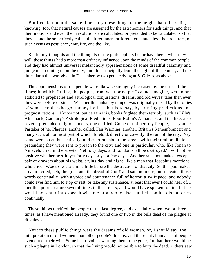But I could not at the same time carry these things to the height that others did, knowing, too, that natural causes are assigned by the astronomers for such things, and that their motions and even their revolutions are calculated, or pretended to be calculated, so that they cannot be so perfectly called the forerunners or foretellers, much less the procurers, of such events as pestilence, war, fire, and the like.

 But let my thoughts and the thoughts of the philosophers be, or have been, what they will, these things had a more than ordinary influence upon the minds of the common people, and they had almost universal melancholy apprehensions of some dreadful calamity and judgement coming upon the city; and this principally from the sight of this comet, and the little alarm that was given in December by two people dying at St Giles's, as above.

 The apprehensions of the people were likewise strangely increased by the error of the times; in which, I think, the people, from what principle I cannot imagine, were more addicted to prophecies and astrological conjurations, dreams, and old wives' tales than ever they were before or since. Whether this unhappy temper was originally raised by the follies of some people who got money by it − that is to say, by printing predictions and prognostications − I know not; but certain it is, books frighted them terribly, such as Lilly's Almanack, Gadbury's Astrological Predictions, Poor Robin's Almanack, and the like; also several pretended religious books, one entitled, Come out of her, my People, lest you be Partaker of her Plagues; another called, Fair Warning; another, Britain's Remembrancer; and many such, all, or most part of which, foretold, directly or covertly, the ruin of the city. Nay, some were so enthusiastically bold as to run about the streets with their oral predictions, pretending they were sent to preach to the city; and one in particular, who, like Jonah to Nineveh, cried in the streets, 'Yet forty days, and London shall be destroyed.' I will not be positive whether he said yet forty days or yet a few days. Another ran about naked, except a pair of drawers about his waist, crying day and night, like a man that Josephus mentions, who cried, 'Woe to Jerusalem!' a little before the destruction of that city. So this poor naked creature cried, 'Oh, the great and the dreadful God!' and said no more, but repeated those words continually, with a voice and countenance full of horror, a swift pace; and nobody could ever find him to stop or rest, or take any sustenance, at least that ever I could hear of. I met this poor creature several times in the streets, and would have spoken to him, but he would not enter into speech with me or any one else, but held on his dismal cries continually.

 These things terrified the people to the last degree, and especially when two or three times, as I have mentioned already, they found one or two in the bills dead of the plague at St Giles's.

 Next to these public things were the dreams of old women, or, I should say, the interpretation of old women upon other people's dreams; and these put abundance of people even out of their wits. Some heard voices warning them to be gone, for that there would be such a plague in London, so that the living would not be able to bury the dead. Others saw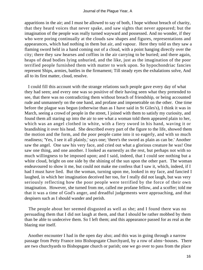apparitions in the air; and I must be allowed to say of both, I hope without breach of charity, that they heard voices that never spake, and saw sights that never appeared; but the imagination of the people was really turned wayward and possessed. And no wonder, if they who were poring continually at the clouds saw shapes and figures, representations and appearances, which had nothing in them but air, and vapour. Here they told us they saw a flaming sword held in a hand coming out of a cloud, with a point hanging directly over the city; there they saw hearses and coffins in the air carrying to be buried; and there again, heaps of dead bodies lying unburied, and the like, just as the imagination of the poor terrified people furnished them with matter to work upon. So hypochondriac fancies represent Ships, armies, battles in the firmament; Till steady eyes the exhalations solve, And all to its first matter, cloud, resolve.

 I could fill this account with the strange relations such people gave every day of what they had seen; and every one was so positive of their having seen what they pretended to see, that there was no contradicting them without breach of friendship, or being accounted rude and unmannerly on the one hand, and profane and impenetrable on the other. One time before the plague was begun (otherwise than as I have said in St Giles's), I think it was in March, seeing a crowd of people in the street, I joined with them to satisfy my curiosity, and found them all staring up into the air to see what a woman told them appeared plain to her, which was an angel clothed in white, with a fiery sword in his hand, waving it or brandishing it over his head. She described every part of the figure to the life, showed them the motion and the form, and the poor people came into it so eagerly, and with so much readiness; 'Yes, I see it all plainly,' says one; 'there's the sword as plain as can be.' Another saw the angel. One saw his very face, and cried out what a glorious creature he was! One saw one thing, and one another. I looked as earnestly as the rest, but perhaps not with so much willingness to be imposed upon; and I said, indeed, that I could see nothing but a white cloud, bright on one side by the shining of the sun upon the other part. The woman endeavoured to show it me, but could not make me confess that I saw it, which, indeed, if I had I must have lied. But the woman, turning upon me, looked in my face, and fancied I laughed, in which her imagination deceived her too, for I really did not laugh, but was very seriously reflecting how the poor people were terrified by the force of their own imagination. However, she turned from me, called me profane fellow, and a scoffer; told me that it was a time of God's anger, and dreadful judgements were approaching, and that despisers such as I should wander and perish.

 The people about her seemed disgusted as well as she; and I found there was no persuading them that I did not laugh at them, and that I should be rather mobbed by them than be able to undeceive them. So I left them; and this appearance passed for as real as the blazing star itself.

 Another encounter I had in the open day also; and this was in going through a narrow passage from Petty France into Bishopsgate Churchyard, by a row of alms−houses. There are two churchyards to Bishopsgate church or parish; one we go over to pass from the place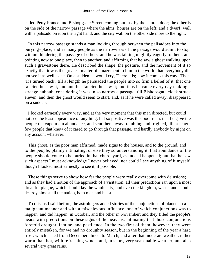called Petty France into Bishopsgate Street, coming out just by the church door; the other is on the side of the narrow passage where the alms−houses are on the left; and a dwarf−wall with a palisado on it on the right hand, and the city wall on the other side more to the right.

 In this narrow passage stands a man looking through between the palisadoes into the burying−place, and as many people as the narrowness of the passage would admit to stop, without hindering the passage of others, and he was talking mightily eagerly to them, and pointing now to one place, then to another, and affirming that he saw a ghost walking upon such a gravestone there. He described the shape, the posture, and the movement of it so exactly that it was the greatest matter of amazement to him in the world that everybody did not see it as well as he. On a sudden he would cry, 'There it is; now it comes this way.' Then, 'Tis turned back'; till at length he persuaded the people into so firm a belief of it, that one fancied he saw it, and another fancied he saw it; and thus he came every day making a strange hubbub, considering it was in so narrow a passage, till Bishopsgate clock struck eleven, and then the ghost would seem to start, and, as if he were called away, disappeared on a sudden.

 I looked earnestly every way, and at the very moment that this man directed, but could not see the least appearance of anything; but so positive was this poor man, that he gave the people the vapours in abundance, and sent them away trembling and frighted, till at length few people that knew of it cared to go through that passage, and hardly anybody by night on any account whatever.

 This ghost, as the poor man affirmed, made signs to the houses, and to the ground, and to the people, plainly intimating, or else they so understanding it, that abundance of the people should come to be buried in that churchyard, as indeed happened; but that he saw such aspects I must acknowledge I never believed, nor could I see anything of it myself, though I looked most earnestly to see it, if possible.

 These things serve to show how far the people were really overcome with delusions; and as they had a notion of the approach of a visitation, all their predictions ran upon a most dreadful plague, which should lay the whole city, and even the kingdom, waste, and should destroy almost all the nation, both man and beast.

 To this, as I said before, the astrologers added stories of the conjunctions of planets in a malignant manner and with a mischievous influence, one of which conjunctions was to happen, and did happen, in October, and the other in November; and they filled the people's heads with predictions on these signs of the heavens, intimating that those conjunctions foretold drought, famine, and pestilence. In the two first of them, however, they were entirely mistaken, for we had no droughty season, but in the beginning of the year a hard frost, which lasted from December almost to March, and after that moderate weather, rather warm than hot, with refreshing winds, and, in short, very seasonable weather, and also several very great rains.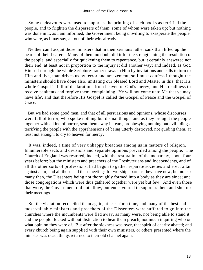Some endeavours were used to suppress the printing of such books as terrified the people, and to frighten the dispersers of them, some of whom were taken up; but nothing was done in it, as I am informed, the Government being unwilling to exasperate the people, who were, as I may say, all out of their wits already.

 Neither can I acquit those ministers that in their sermons rather sank than lifted up the hearts of their hearers. Many of them no doubt did it for the strengthening the resolution of the people, and especially for quickening them to repentance, but it certainly answered not their end, at least not in proportion to the injury it did another way; and indeed, as God Himself through the whole Scriptures rather draws to Him by invitations and calls to turn to Him and live, than drives us by terror and amazement, so I must confess I thought the ministers should have done also, imitating our blessed Lord and Master in this, that His whole Gospel is full of declarations from heaven of God's mercy, and His readiness to receive penitents and forgive them, complaining, 'Ye will not come unto Me that ye may have life', and that therefore His Gospel is called the Gospel of Peace and the Gospel of Grace.

 But we had some good men, and that of all persuasions and opinions, whose discourses were full of terror, who spoke nothing but dismal things; and as they brought the people together with a kind of horror, sent them away in tears, prophesying nothing but evil tidings, terrifying the people with the apprehensions of being utterly destroyed, not guiding them, at least not enough, to cry to heaven for mercy.

 It was, indeed, a time of very unhappy breaches among us in matters of religion. Innumerable sects and divisions and separate opinions prevailed among the people. The Church of England was restored, indeed, with the restoration of the monarchy, about four years before; but the ministers and preachers of the Presbyterians and Independents, and of all the other sorts of professions, had begun to gather separate societies and erect altar against altar, and all those had their meetings for worship apart, as they have now, but not so many then, the Dissenters being not thoroughly formed into a body as they are since; and those congregations which were thus gathered together were yet but few. And even those that were, the Government did not allow, but endeavoured to suppress them and shut up their meetings.

 But the visitation reconciled them again, at least for a time, and many of the best and most valuable ministers and preachers of the Dissenters were suffered to go into the churches where the incumbents were fled away, as many were, not being able to stand it; and the people flocked without distinction to hear them preach, not much inquiring who or what opinion they were of. But after the sickness was over, that spirit of charity abated; and every church being again supplied with their own ministers, or others presented where the minister was dead, things returned to their old channel again.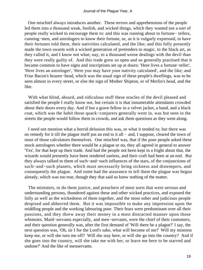One mischief always introduces another. These terrors and apprehensions of the people led them into a thousand weak, foolish, and wicked things, which they wanted not a sort of people really wicked to encourage them to: and this was running about to fortune− tellers, cunning−men, and astrologers to know their fortune, or, as it is vulgarly expressed, to have their fortunes told them, their nativities calculated, and the like; and this folly presently made the town swarm with a wicked generation of pretenders to magic, to the black art, as they called it, and I know not what; nay, to a thousand worse dealings with the devil than they were really guilty of. And this trade grew so open and so generally practised that it became common to have signs and inscriptions set up at doors: 'Here lives a fortune−teller', 'Here lives an astrologer', 'Here you may have your nativity calculated', and the like; and Friar Bacon's brazen−head, which was the usual sign of these people's dwellings, was to be seen almost in every street, or else the sign of Mother Shipton, or of Merlin's head, and the like.

 With what blind, absurd, and ridiculous stuff these oracles of the devil pleased and satisfied the people I really know not, but certain it is that innumerable attendants crowded about their doors every day. And if but a grave fellow in a velvet jacket, a band, and a black coat, which was the habit those quack−conjurers generally went in, was but seen in the streets the people would follow them in crowds, and ask them questions as they went along.

 I need not mention what a horrid delusion this was, or what it tended to; but there was no remedy for it till the plague itself put an end to it all − and, I suppose, cleared the town of most of those calculators themselves. One mischief was, that if the poor people asked these mock astrologers whether there would be a plague or no, they all agreed in general to answer 'Yes', for that kept up their trade. And had the people not been kept in a fright about that, the wizards would presently have been rendered useless, and their craft had been at an end. But they always talked to them of such−and−such influences of the stars, of the conjunctions of such−and−such planets, which must necessarily bring sickness and distempers, and consequently the plague. And some had the assurance to tell them the plague was begun already, which was too true, though they that said so knew nothing of the matter.

 The ministers, to do them justice, and preachers of most sorts that were serious and understanding persons, thundered against these and other wicked practices, and exposed the folly as well as the wickedness of them together, and the most sober and judicious people despised and abhorred them. But it was impossible to make any impression upon the middling people and the working labouring poor. Their fears were predominant over all their passions, and they threw away their money in a most distracted manner upon those whimsies. Maid−servants especially, and men−servants, were the chief of their customers, and their question generally was, after the first demand of 'Will there be a plague?' I say, the next question was, 'Oh, sir I for the Lord's sake, what will become of me? Will my mistress keep me, or will she turn me off? Will she stay here, or will she go into the country? And if she goes into the country, will she take me with her, or leave me here to be starved and undone?' And the like of menservants.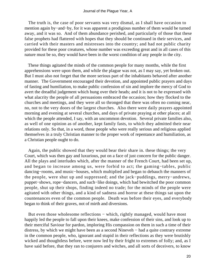The truth is, the case of poor servants was very dismal, as I shall have occasion to mention again by−and−by, for it was apparent a prodigious number of them would be turned away, and it was so. And of them abundance perished, and particularly of those that these false prophets had flattered with hopes that they should be continued in their services, and carried with their masters and mistresses into the country; and had not public charity provided for these poor creatures, whose number was exceeding great and in all cases of this nature must be so, they would have been in the worst condition of any people in the city.

 These things agitated the minds of the common people for many months, while the first apprehensions were upon them, and while the plague was not, as I may say, yet broken out. But I must also not forget that the more serious part of the inhabitants behaved after another manner. The Government encouraged their devotion, and appointed public prayers and days of fasting and humiliation, to make public confession of sin and implore the mercy of God to avert the dreadful judgement which hung over their heads; and it is not to he expressed with what alacrity the people of all persuasions embraced the occasion; how they flocked to the churches and meetings, and they were all so thronged that there was often no coming near, no, not to the very doors of the largest churches. Also there were daily prayers appointed morning and evening at several churches, and days of private praying at other places; at all which the people attended, I say, with an uncommon devotion. Several private families also, as well of one opinion as of another, kept family fasts, to which they admitted their near relations only. So that, in a word, those people who were really serious and religious applied themselves in a truly Christian manner to the proper work of repentance and humiliation, as a Christian people ought to do.

 Again, the public showed that they would bear their share in. these things; the very Court, which was then gay and luxurious, put on a face of just concern for the public danger. All the plays and interludes which, after the manner of the French Court, had been set up, and began to increase among us, were forbid to act; the gaming−tables, public dancing−rooms, and music−houses, which multiplied and began to debauch the manners of the people, were shut up and suppressed; and the jack−puddings, merry−andrews, puppet−shows, rope−dancers, and such−like doings, which had bewitched the poor common people, shut up their shops, finding indeed no trade; for the minds of the people were agitated with other things, and a kind of sadness and horror at these things sat upon the countenances even of the common people. Death was before their eyes, and everybody began to think of their graves, not of mirth and diversions.

But even those wholesome reflections – which, rightly managed, would have most happily led the people to fall upon their knees, make confession of their sins, and look up to their merciful Saviour for pardon, imploring His compassion on them in such a time of their distress, by which we might have been as a second Nineveh − had a quite contrary extreme in the common people, who, ignorant and stupid in their reflections as they were brutishly wicked and thoughtless before, were now led by their fright to extremes of folly; and, as I have said before, that they ran to conjurers and witches, and all sorts of deceivers, to know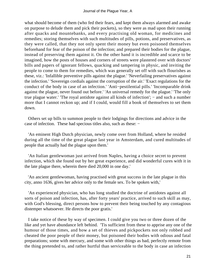what should become of them (who fed their fears, and kept them always alarmed and awake on purpose to delude them and pick their pockets), so they were as mad upon their running after quacks and mountebanks, and every practising old woman, for medicines and remedies; storing themselves with such multitudes of pills, potions, and preservatives, as they were called, that they not only spent their money but even poisoned themselves beforehand for fear of the poison of the infection; and prepared their bodies for the plague, instead of preserving them against it. On the other hand it is incredible and scarce to be imagined, how the posts of houses and corners of streets were plastered over with doctors' bills and papers of ignorant fellows, quacking and tampering in physic, and inviting the people to come to them for remedies, which was generally set off with such flourishes as these, viz.: 'Infallible preventive pills against the plague.' 'Neverfailing preservatives against the infection.' 'Sovereign cordials against the corruption of the air.' 'Exact regulations for the conduct of the body in case of an infection.' 'Anti−pestilential pills.' 'Incomparable drink against the plague, never found out before.' 'An universal remedy for the plague.' 'The only true plague water.' 'The royal antidote against all kinds of infection'; – and such a number more that I cannot reckon up; and if I could, would fill a book of themselves to set them down.

 Others set up bills to summon people to their lodgings for directions and advice in the case of infection. These had specious titles also, such as these: −

 'An eminent High Dutch physician, newly come over from Holland, where he resided during all the time of the great plague last year in Amsterdam, and cured multitudes of people that actually had the plague upon them.'

 'An Italian gentlewoman just arrived from Naples, having a choice secret to prevent infection, which she found out by her great experience, and did wonderful cures with it in the late plague there, wherein there died 20,000 in one day.'

 'An ancient gentlewoman, having practised with great success in the late plague in this city, anno 1636, gives her advice only to the female sex. To be spoken with,'

 'An experienced physician, who has long studied the doctrine of antidotes against all sorts of poison and infection, has, after forty years' practice, arrived to such skill as may, with God's blessing, direct persons how to prevent their being touched by any contagious distemper whatsoever. He directs the poor gratis.'

 I take notice of these by way of specimen. I could give you two or three dozen of the like and yet have abundance left behind. 'Tis sufficient from these to apprise any one of the humour of those times, and how a set of thieves and pickpockets not only robbed and cheated the poor people of their money, but poisoned their bodies with odious and fatal preparations; some with mercury, and some with other things as bad, perfectly remote from the thing pretended to, and rather hurtful than serviceable to the body in case an infection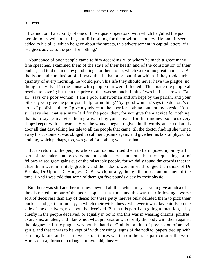## followed.

 I cannot omit a subtility of one of those quack operators, with which he gulled the poor people to crowd about him, but did nothing for them without money. He had, it seems, added to his bills, which he gave about the streets, this advertisement in capital letters, viz., 'He gives advice to the poor for nothing.'

 Abundance of poor people came to him accordingly, to whom he made a great many fine speeches, examined them of the state of their health and of the constitution of their bodies, and told them many good things for them to do, which were of no great moment. But the issue and conclusion of all was, that he had a preparation which if they took such a quantity of every morning, he would pawn his life they should never have the plague; no, though they lived in the house with people that were infected. This made the people all resolve to have it; but then the price of that was so much, I think 'twas half−a− crown. 'But, sir,' says one poor woman, 'I am a poor almswoman and am kept by the parish, and your bills say you give the poor your help for nothing.' 'Ay, good woman,' says the doctor, 'so I do, as I published there. I give my advice to the poor for nothing, but not my physic.' 'Alas, sir!' says she, 'that is a snare laid for the poor, then; for you give them advice for nothing; that is to say, you advise them gratis, to buy your physic for their money; so does every shop−keeper with his wares.' Here the woman began to give him ill words, and stood at his door all that day, telling her tale to all the people that came, till the doctor finding she turned away his customers, was obliged to call her upstairs again, and give her his box of physic for nothing, which perhaps, too, was good for nothing when she had it.

 But to return to the people, whose confusions fitted them to be imposed upon by all sorts of pretenders and by every mountebank. There is no doubt but these quacking sort of fellows raised great gains out of the miserable people, for we daily found the crowds that ran after them were infinitely greater, and their doors were more thronged than those of Dr Brooks, Dr Upton, Dr Hodges, Dr Berwick, or any, though the most famous men of the time. I And I was told that some of them got five pounds a day by their physic.

 But there was still another madness beyond all this, which may serve to give an idea of the distracted humour of the poor people at that time: and this was their following a worse sort of deceivers than any of these; for these petty thieves only deluded them to pick their pockets and get their money, in which their wickedness, whatever it was, lay chiefly on the side of the deceivers, not upon the deceived. But in this part I am going to mention, it lay chiefly in the people deceived, or equally in both; and this was in wearing charms, philtres, exorcisms, amulets, and I know not what preparations, to fortify the body with them against the plague; as if the plague was not the hand of God, but a kind of possession of an evil spirit, and that it was to be kept off with crossings, signs of the zodiac, papers tied up with so many knots, and certain words or figures written on them, as particularly the word Abracadabra, formed in triangle or pyramid, thus: −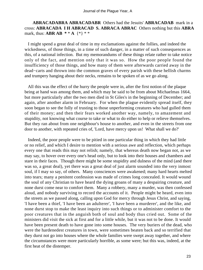**ABRACADABRA ABRACADABR** Others had the Jesuits' **ABRACADAB** mark in a cross: **ABRACADA I H ABRACAD S. ABRACA ABRAC** Others nothing but this **ABRA** mark, thus: **ABR AB \*** \* **A** {\*} \* \*

 I might spend a great deal of time in my exclamations against the follies, and indeed the wickedness, of those things, in a time of such danger, in a matter of such consequences as this, of a national infection. But my memorandums of these things relate rather to take notice only of the fact, and mention only that it was so. How the poor people found the insufficiency of those things, and how many of them were afterwards carried away in the dead−carts and thrown into the common graves of every parish with these hellish charms and trumpery hanging about their necks, remains to be spoken of as we go along.

 All this was the effect of the hurry the people were in, after the first notion of the plaque being at hand was among them, and which may be said to be from about Michaelmas 1664, but more particularly after the two men died in St Giles's in the beginning of December; and again, after another alarm in February. For when the plague evidently spread itself, they soon began to see the folly of trusting to those unperforming creatures who had gulled them of their money; and then their fears worked another way, namely, to amazement and stupidity, not knowing what course to take or what to do either to help or relieve themselves. But they ran about from one neighbour's house to another, and even in the streets from one door to another, with repeated cries of, 'Lord, have mercy upon us! What shall we do?'

 Indeed, the poor people were to be pitied in one particular thing in which they had little or no relief, and which I desire to mention with a serious awe and reflection, which perhaps every one that reads this may not relish; namely, that whereas death now began not, as we may say, to hover over every one's head only, but to look into their houses and chambers and stare in their faces. Though there might be some stupidity and dulness of the mind (and there was so, a great deal), yet there was a great deal of just alarm sounded into the very inmost soul, if I may so say, of others. Many consciences were awakened; many hard hearts melted into tears; many a penitent confession was made of crimes long concealed. It would wound the soul of any Christian to have heard the dying groans of many a despairing creature, and none durst come near to comfort them. Many a robbery, many a murder, was then confessed aloud, and nobody surviving to record the accounts of it. People might be heard, even into the streets as we passed along, calling upon God for mercy through Jesus Christ, and saying, 'I have been a thief, 'I have been an adulterer', 'I have been a murderer', and the like, and none durst stop to make the least inquiry into such things or to administer comfort to the poor creatures that in the anguish both of soul and body thus cried out. Some of the ministers did visit the sick at first and for a little while, but it was not to be done. It would have been present death to have gone into some houses. The very buriers of the dead, who were the hardenedest creatures in town, were sometimes beaten back and so terrified that they durst not go into houses where the whole families were swept away together, and where the circumstances were more particularly horrible, as some were; but this was, indeed, at the first heat of the distemper.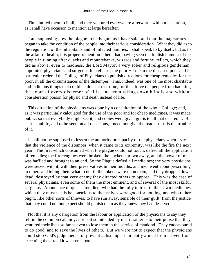Time inured them to it all, and they ventured everywhere afterwards without hesitation, as I shall have occasion to mention at large hereafter.

 I am supposing now the plague to be begun, as I have said, and that the magistrates began to take the condition of the people into their serious consideration. What they did as to the regulation of the inhabitants and of infected families, I shall speak to by itself; but as to the affair of health, it is proper to mention it here that, having seen the foolish humour of the people in running after quacks and mountebanks, wizards and fortune−tellers, which they did as above, even to madness, the Lord Mayor, a very sober and religious gentleman, appointed physicians and surgeons for relief of the poor − I mean the diseased poor and in particular ordered the College of Physicians to publish directions for cheap remedies for the poor, in all the circumstances of the distemper. This, indeed, was one of the most charitable and judicious things that could be done at that time, for this drove the people from haunting the doors of every disperser of bills, and from taking down blindly and without consideration poison for physic and death instead of life.

 This direction of the physicians was done by a consultation of the whole College; and, as it was particularly calculated for the use of the poor and for cheap medicines, it was made public, so that everybody might see it, and copies were given gratis to all that desired it. But as it is public, and to be seen on all occasions, I need not give the reader of this the trouble of it.

 I shall not be supposed to lessen the authority or capacity of the physicians when I say that the violence of the distemper, when it came to its extremity, was like the fire the next year. The fire, which consumed what the plague could not touch, defied all the application of remedies; the fire−engines were broken, the buckets thrown away, and the power of man was baffled and brought to an end. So the Plague defied all medicines; the very physicians were seized with it, with their preservatives in their mouths; and men went about prescribing to others and telling them what to do till the tokens were upon them, and they dropped down dead, destroyed by that very enemy they directed others to oppose. This was the case of several physicians, even some of them the most eminent, and of several of the most skilful surgeons. Abundance of quacks too died, who had the folly to trust to their own medicines, which they must needs be conscious to themselves were good for nothing, and who rather ought, like other sorts of thieves, to have run away, sensible of their guilt, from the justice that they could not but expect should punish them as they knew they had deserved.

 Not that it is any derogation from the labour or application of the physicians to say they fell in the common calamity; nor is it so intended by me; it rather is to their praise that they ventured their lives so far as even to lose them in the service of mankind. They endeavoured to do good, and to save the lives of others. But we were not to expect that the physicians could stop God's judgements, or prevent a distemper eminently armed from heaven from executing the errand it was sent about.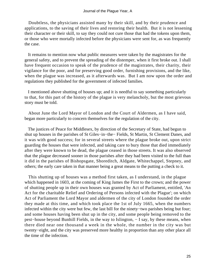Doubtless, the physicians assisted many by their skill, and by their prudence and applications, to the saving of their lives and restoring their health. But it is not lessening their character or their skill, to say they could not cure those that had the tokens upon them, or those who were mortally infected before the physicians were sent for, as was frequently the case.

 It remains to mention now what public measures were taken by the magistrates for the general safety, and to prevent the spreading of the distemper, when it first broke out. I shall have frequent occasion to speak of the prudence of the magistrates, their charity, their vigilance for the poor, and for preserving good order, furnishing provisions, and the like, when the plague was increased, as it afterwards was. But I am now upon the order and regulations they published for the government of infected families.

 I mentioned above shutting of houses up; and it is needful to say something particularly to that, for this part of the history of the plague is very melancholy, but the most grievous story must be told.

 About June the Lord Mayor of London and the Court of Aldermen, as I have said, began more particularly to concern themselves for the regulation of the city.

 The justices of Peace for Middlesex, by direction of the Secretary of State, had begun to shut up houses in the parishes of St Giles−in−the− Fields, St Martin, St Clement Danes, and it was with good success; for in several streets where the plague broke out, upon strict guarding the houses that were infected, and taking care to bury those that died immediately after they were known to be dead, the plague ceased in those streets. It was also observed that the plague decreased sooner in those parishes after they had been visited to the full than it did in the parishes of Bishopsgate, Shoreditch, Aldgate, Whitechappel, Stepney, and others; the early care taken in that manner being a great means to the putting a check to it.

 This shutting up of houses was a method first taken, as I understand, in the plague which happened in 1603, at the coming of King James the First to the crown; and the power of shutting people up in their own houses was granted by Act of Parliament, entitled, 'An Act for the charitable Relief and Ordering of Persons infected with the Plague'; on which Act of Parliament the Lord Mayor and aldermen of the city of London founded the order they made at this time, and which took place the 1st of July 1665, when the numbers infected within the city were but few, the last bill for the ninety−two parishes being but four; and some houses having been shut up in the city, and some people being removed to the pest−house beyond Bunhill Fields, in the way to Islington, − I say, by these means, when there died near one thousand a week in the whole, the number in the city was but twenty−eight, and the city was preserved more healthy in proportion than any other place all the time of the infection.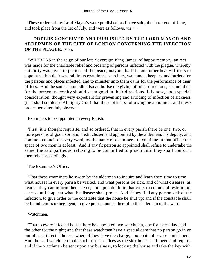These orders of my Lord Mayor's were published, as I have said, the latter end of June, and took place from the 1st of July, and were as follows, viz.: −

# **ORDERS CONCEIVED AND PUBLISHED BY THE LORD MAYOR AND ALDERMEN OF THE CITY OF LONDON CONCERNING THE INFECTION OF THE PLAGUE,** 1665.

 'WHEREAS in the reign of our late Sovereign King James, of happy memory, an Act was made for the charitable relief and ordering of persons infected with the plague, whereby authority was given to justices of the peace, mayors, bailiffs, and other head−officers to appoint within their several limits examiners, searchers, watchmen, keepers, and buriers for the persons and places infected, and to minister unto them oaths for the performance of their offices. And the same statute did also authorise the giving of other directions, as unto them for the present necessity should seem good in their directions. It is now, upon special consideration, thought very expedient for preventing and avoiding of infection of sickness (if it shall so please Almighty God) that these officers following be appointed, and these orders hereafter duly observed.

Examiners to be appointed in every Parish.

 'First, it is thought requisite, and so ordered, that in every parish there be one, two, or more persons of good sort and credit chosen and appointed by the alderman, his deputy, and common council of every ward, by the name of examiners, to continue in that office the space of two months at least. And if any fit person so appointed shall refuse to undertake the same, the said parties so refusing to be committed to prison until they shall conform themselves accordingly.

The Examiner's Office.

 'That these examiners he sworn by the aldermen to inquire and learn from time to time what houses in every parish be visited, and what persons be sick, and of what diseases, as near as they can inform themselves; and upon doubt in that case, to command restraint of access until it appear what the disease shall prove. And if they find any person sick of the infection, to give order to the constable that the house be shut up; and if the constable shall be found remiss or negligent, to give present notice thereof to the alderman of the ward.

#### Watchmen.

 'That to every infected house there be appointed two watchmen, one for every day, and the other for the night; and that these watchmen have a special care that no person go in or out of such infected houses whereof they have the charge, upon pain of severe punishment. And the said watchmen to do such further offices as the sick house shall need and require: and if the watchman be sent upon any business, to lock up the house and take the key with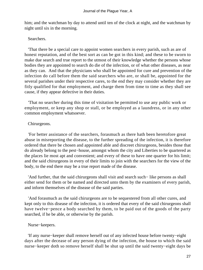him; and the watchman by day to attend until ten of the clock at night, and the watchman by night until six in the morning.

#### Searchers.

 'That there be a special care to appoint women searchers in every parish, such as are of honest reputation, and of the best sort as can be got in this kind; and these to be sworn to make due search and true report to the utmost of their knowledge whether the persons whose bodies they are appointed to search do die of the infection, or of what other diseases, as near as they can. And that the physicians who shall be appointed for cure and prevention of the infection do call before them the said searchers who are, or shall be, appointed for the several parishes under their respective cares, to the end they may consider whether they are fitly qualified for that employment, and charge them from time to time as they shall see cause, if they appear defective in their duties.

 'That no searcher during this time of visitation be permitted to use any public work or employment, or keep any shop or stall, or be employed as a laundress, or in any other common employment whatsoever.

### Chirurgeons.

 'For better assistance of the searchers, forasmuch as there hath been heretofore great abuse in misreporting the disease, to the further spreading of the infection, it is therefore ordered that there be chosen and appointed able and discreet chirurgeons, besides those that do already belong to the pest−house, amongst whom the city and Liberties to be quartered as the places lie most apt and convenient; and every of these to have one quarter for his limit; and the said chirurgeons in every of their limits to join with the searchers for the view of the body, to the end there may be a true report made of the disease.

 'And further, that the said chirurgeons shall visit and search such− like persons as shall either send for them or be named and directed unto them by the examiners of every parish, and inform themselves of the disease of the said parties.

 'And forasmuch as the said chirurgeons are to be sequestered from all other cures, and kept only to this disease of the infection, it is ordered that every of the said chirurgeons shall have twelve−pence a body searched by them, to be paid out of the goods of the party searched, if he be able, or otherwise by the parish.

#### Nurse−keepers.

 'If any nurse−keeper shall remove herself out of any infected house before twenty−eight days after the decease of any person dying of the infection, the house to which the said nurse−keeper doth so remove herself shall be shut up until the said twenty−eight days be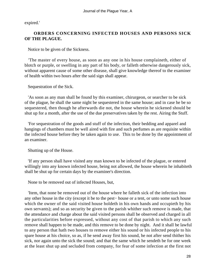expired.'

# **ORDERS CONCERNING INFECTED HOUSES AND PERSONS SICK OF THE PLAGUE.**

Notice to be given of the Sickness.

 'The master of every house, as soon as any one in his house complaineth, either of blotch or purple, or swelling in any part of his body, or falleth otherwise dangerously sick, without apparent cause of some other disease, shall give knowledge thereof to the examiner of health within two hours after the said sign shall appear.

Sequestration of the Sick.

 'As soon as any man shall be found by this examiner, chirurgeon, or searcher to be sick of the plague, he shall the same night be sequestered in the same house; and in case he be so sequestered, then though he afterwards die not, the house wherein he sickened should be shut up for a month, after the use of the due preservatives taken by the rest. Airing the Stuff.

 'For sequestration of the goods and stuff of the infection, their bedding and apparel and hangings of chambers must be well aired with fire and such perfumes as are requisite within the infected house before they be taken again to use. This to be done by the appointment of an examiner.

Shutting up of the House.

 'If any person shall have visited any man known to be infected of the plague, or entered willingly into any known infected house, being not allowed, the house wherein he inhabiteth shall be shut up for certain days by the examiner's direction.

None to be removed out of infected Houses, but,

 'Item, that none be removed out of the house where he falleth sick of the infection into any other house in the city (except it be to the pest− house or a tent, or unto some such house which the owner of the said visited house holdeth in his own hands and occupieth by his own servants); and so as security be given to the parish whither such remove is made, that the attendance and charge about the said visited persons shall be observed and charged in all the particularities before expressed, without any cost of that parish to which any such remove shall happen to be made, and this remove to be done by night. And it shall be lawful to any person that hath two houses to remove either his sound or his infected people to his spare house at his choice, so as, if he send away first his sound, he not after send thither his sick, nor again unto the sick the sound; and that the same which he sendeth be for one week at the least shut up and secluded from company, for fear of some infection at the first not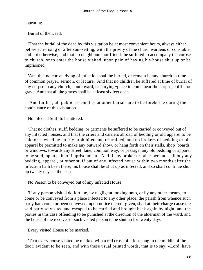appearing.

Burial of the Dead.

 'That the burial of the dead by this visitation be at most convenient hours, always either before sun−rising or after sun−setting, with the privity of the churchwardens or constable, and not otherwise; and that no neighbours nor friends be suffered to accompany the corpse to church, or to enter the house visited, upon pain of having his house shut up or be imprisoned.

 'And that no corpse dying of infection shall be buried, or remain in any church in time of common prayer, sermon, or lecture. And that no children be suffered at time of burial of any corpse in any church, churchyard, or burying−place to come near the corpse, coffin, or grave. And that all the graves shall be at least six feet deep.

 'And further, all public assemblies at other burials are to be foreborne during the continuance of this visitation.

No infected Stuff to be uttered.

 'That no clothes, stuff, bedding, or garments be suffered to be carried or conveyed out of any infected houses, and that the criers and carriers abroad of bedding or old apparel to be sold or pawned be utterly prohibited and restrained, and no brokers of bedding or old apparel be permitted to make any outward show, or hang forth on their stalls, shop−boards, or windows, towards any street, lane, common way, or passage, any old bedding or apparel to be sold, upon pain of imprisonment. And if any broker or other person shall buy any bedding, apparel, or other stuff out of any infected house within two months after the infection hath been there, his house shall be shut up as infected, and so shall continue shut up twenty days at the least.

No Person to be conveyed out of any infected House.

 'If any person visited do fortune, by negligent looking unto, or by any other means, to come or be conveyed from a place infected to any other place, the parish from whence such party hath come or been conveyed, upon notice thereof given, shall at their charge cause the said party so visited and escaped to be carried and brought back again by night, and the parties in this case offending to be punished at the direction of the alderman of the ward, and the house of the receiver of such visited person to be shut up for twenty days.

Every visited House to be marked.

 'That every house visited be marked with a red cross of a foot long in the middle of the door, evident to be seen, and with these usual printed words, that is to say, «Lord, have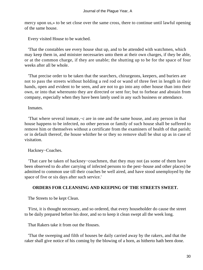mercy upon us,» to be set close over the same cross, there to continue until lawful opening of the same house.

Every visited House to be watched.

 'That the constables see every house shut up, and to be attended with watchmen, which may keep them in, and minister necessaries unto them at their own charges, if they be able, or at the common charge, if they are unable; the shutting up to be for the space of four weeks after all be whole.

 'That precise order to be taken that the searchers, chirurgeons, keepers, and buriers are not to pass the streets without holding a red rod or wand of three feet in length in their hands, open and evident to be seen, and are not to go into any other house than into their own, or into that whereunto they are directed or sent for; but to forbear and abstain from company, especially when they have been lately used in any such business or attendance.

Inmates.

 'That where several inmate,−c are in one and the same house, and any person in that house happens to be infected, no other person or family of such house shall be suffered to remove him or themselves without a certificate from the examiners of health of that parish; or in default thereof, the house whither he or they so remove shall be shut up as in case of visitation.

#### Hackney−Coaches.

 'That care be taken of hackney−coachmen, that they may not (as some of them have been observed to do after carrying of infected persons to the pest−house and other places) be admitted to common use till their coaches be well aired, and have stood unemployed by the space of five or six days after such service.'

## **ORDERS FOR CLEANSING AND KEEPING OF THE STREETS SWEET.**

The Streets to be kept Clean.

 'First, it is thought necessary, and so ordered, that every householder do cause the street to be daily prepared before his door, and so to keep it clean swept all the week long.

That Rakers take it from out the Houses.

 'That the sweeping and filth of houses be daily carried away by the rakers, and that the raker shall give notice of his coming by the blowing of a horn, as hitherto hath been done.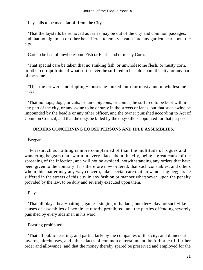Laystalls to be made far off from the City.

 'That the laystalls be removed as far as may be out of the city and common passages, and that no nightman or other be suffered to empty a vault into any garden near about the city.

Care to be had of unwholesome Fish or Flesh, and of musty Corn.

 'That special care be taken that no stinking fish, or unwholesome flesh, or musty corn, or other corrupt fruits of what sort soever, be suffered to be sold about the city, or any part of the same.

 'That the brewers and tippling−houses he looked unto for musty and unwholesome casks.

 'That no hogs, dogs, or cats, or tame pigeons, or conies, be suffered to be kept within any part of the city, or any swine to be or stray in the streets or lanes, but that such swine be impounded by the beadle or any other officer, and the owner punished according to Act of Common Council, and that the dogs be killed by the dog−killers appointed for that purpose.'

## **ORDERS CONCERNING LOOSE PERSONS AND IDLE ASSEMBLIES.**

Beggars.

 'Forasmuch as nothing is more complained of than the multitude of rogues and wandering beggars that swarm in every place about the city, being a great cause of the spreading of the infection, and will not be avoided, notwithstanding any orders that have been given to the contrary: It is therefore now ordered, that such constables, and others whom this matter may any way concern, take special care that no wandering beggars be suffered in the streets of this city in any fashion or manner whatsoever, upon the penalty provided by the law, to be duly and severely executed upon them.

Plays.

 'That all plays, bear−baitings, games, singing of ballads, buckler− play, or such−like causes of assemblies of people be utterly prohibited, and the parties offending severely punished by every alderman in his ward.

Feasting prohibited.

 'That all public feasting, and particularly by the companies of this city, and dinners at taverns, ale−houses, and other places of common entertainment, be forborne till further order and allowance; and that the money thereby spared be preserved and employed for the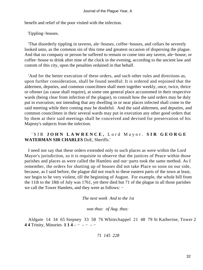benefit and relief of the poor visited with the infection.

Tippling−houses.

 'That disorderly tippling in taverns, ale−houses, coffee−houses, and cellars be severely looked unto, as the common sin of this time and greatest occasion of dispersing the plague. And that no company or person be suffered to remain or come into any tavern, ale−house, or coffee−house to drink after nine of the clock in the evening, according to the ancient law and custom of this city, upon the penalties ordained in that behalf.

 'And for the better execution of these orders, and such other rules and directions as, upon further consideration, shall be found needful: It is ordered and enjoined that the aldermen, deputies, and common councilmen shall meet together weekly, once, twice, thrice or oftener (as cause shall require), at some one general place accustomed in their respective wards (being clear from infection of the plague), to consult how the said orders may be duly put in execution; not intending that any dwelling in or near places infected shall come to the said meeting while their coming may be doubtful. And the said aldermen, and deputies, and common councilmen in their several wards may put in execution any other good orders that by them at their said meetings shall be conceived and devised for preservation of his Majesty's subjects from the infection.

# 'SIR **JOHN LAWRENCE,** Lord Mayor. **SIR GEORGE WATERMAN SIR CHARLES** DoE, Sheriffs.'

 I need not say that these orders extended only to such places as were within the Lord Mayor's jurisdiction, so it is requisite to observe that the justices of Peace within those parishes and places as were called the Hamlets and out−parts took the same method. As I remember, the orders for shutting up of houses did not take Place so soon on our side, because, as I said before, the plague did not reach to these eastern parts of the town at least, nor begin to be very violent, till the beginning of August. For example, the whole bill from the 11th to the 18th of July was 1761, yet there died but 71 of the plague in all those parishes we call the Tower Hamlets, and they were as follows: −

*The next week And to the 1st*

#### *was thus: of Aug. thus:*

 Aldgate 14 34 65 Stepney 33 58 76 Whitechappel 21 48 79 St Katherine, Tower 2 **44** Trinity, Minories **114** − − − −

*71 145 228*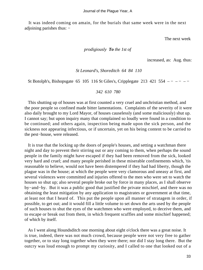It was indeed coming on amain, for the burials that same week were in the next adjoining parishes thus: −

The next week

#### *prodigiously To the 1st of*

increased, as: Aug. thus:

*St Leonard's, Shoreditch 64 84 110* 

St Botolph's, Bishopsgate 65 105 116 St Giles's, Cripplegate 213 421 554 – – – – –

#### *342 610 780*

 This shutting up of houses was at first counted a very cruel and unchristian method, and the poor people so confined made bitter lamentations. Complaints of the severity of it were also daily brought to my Lord Mayor, of houses causelessly (and some maliciously) shut up. I cannot say; but upon inquiry many that complained so loudly were found in a condition to be continued; and others again, inspection being made upon the sick person, and the sickness not appearing infectious, or if uncertain, yet on his being content to be carried to the pest−house, were released.

 It is true that the locking up the doors of people's houses, and setting a watchman there night and day to prevent their stirring out or any coming to them, when perhaps the sound people in the family might have escaped if they had been removed from the sick, looked very hard and cruel; and many people perished in these miserable confinements which, 'tis reasonable to believe, would not have been distempered if they had had liberty, though the plague was in the house; at which the people were very clamorous and uneasy at first, and several violences were committed and injuries offered to the men who were set to watch the houses so shut up; also several people broke out by force in many places, as I shall observe by−and−by. But it was a public good that justified the private mischief, and there was no obtaining the least mitigation by any application to magistrates or government at that time, at least not that I heard of. This put the people upon all manner of stratagem in order, if possible, to get out; and it would fill a little volume to set down the arts used by the people of such houses to shut the eyes of the watchmen who were employed, to deceive them, and to escape or break out from them, in which frequent scuffles and some mischief happened; of which by itself.

 As I went along Houndsditch one morning about eight o'clock there was a great noise. It is true, indeed, there was not much crowd, because people were not very free to gather together, or to stay long together when they were there; nor did I stay long there. But the outcry was loud enough to prompt my curiosity, and I called to one that looked out of a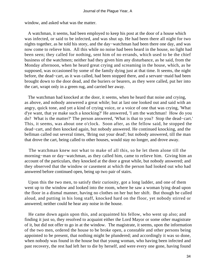window, and asked what was the matter.

 A watchman, it seems, had been employed to keep his post at the door of a house which was infected, or said to be infected, and was shut up. He had been there all night for two nights together, as he told his story, and the day−watchman had been there one day, and was now come to relieve him. All this while no noise had been heard in the house, no light had been seen; they called for nothing, sent him of no errands, which used to be the chief business of the watchmen; neither had they given him any disturbance, as he said, from the Monday afternoon, when he heard great crying and screaming in the house, which, as he supposed, was occasioned by some of the family dying just at that time. It seems, the night before, the dead−cart, as it was called, had been stopped there, and a servant−maid had been brought down to the door dead, and the buriers or bearers, as they were called, put her into the cart, wrapt only in a green rug, and carried her away.

 The watchman had knocked at the door, it seems, when he heard that noise and crying, as above, and nobody answered a great while; but at last one looked out and said with an angry, quick tone, and yet a kind of crying voice, or a voice of one that was crying, 'What d'ye want, that ye make such a knocking?' He answered, 'I am the watchman! How do you do? What is the matter?' The person answered, 'What is that to you? Stop the dead−cart.' This, it seems, was about one o'clock. Soon after, as the fellow said, he stopped the dead−cart, and then knocked again, but nobody answered. He continued knocking, and the bellman called out several times, 'Bring out your dead'; but nobody answered, till the man that drove the cart, being called to other houses, would stay no longer, and drove away.

 The watchman knew not what to make of all this, so he let them alone till the morning−man or day−watchman, as they called him, came to relieve him. Giving him an account of the particulars, they knocked at the door a great while, but nobody answered; and they observed that the window or casement at which the person had looked out who had answered before continued open, being up two pair of stairs.

 Upon this the two men, to satisfy their curiosity, got a long ladder, and one of them went up to the window and looked into the room, where he saw a woman lying dead upon the floor in a dismal manner, having no clothes on her but her shift. But though he called aloud, and putting in his long staff, knocked hard on the floor, yet nobody stirred or answered; neither could he hear any noise in the house.

 He came down again upon this, and acquainted his fellow, who went up also; and finding it just so, they resolved to acquaint either the Lord Mayor or some other magistrate of it, but did not offer to go in at the window. The magistrate, it seems, upon the information of the two men, ordered the house to be broke open, a constable and other persons being appointed to be present, that nothing might be plundered; and accordingly it was so done, when nobody was found in the house but that young woman, who having been infected and past recovery, the rest had left her to die by herself, and were every one gone, having found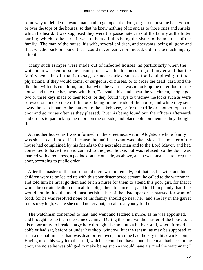some way to delude the watchman, and to get open the door, or get out at some back−door, or over the tops of the houses, so that he knew nothing of it; and as to those cries and shrieks which he heard, it was supposed they were the passionate cries of the family at the bitter parting, which, to be sure, it was to them all, this being the sister to the mistress of the family. The man of the house, his wife, several children, and servants, being all gone and fled, whether sick or sound, that I could never learn; nor, indeed, did I make much inquiry after it.

 Many such escapes were made out of infected houses, as particularly when the watchman was sent of some errand; for it was his business to go of any errand that the family sent him of; that is to say, for necessaries, such as food and physic; to fetch physicians, if they would come, or surgeons, or nurses, or to order the dead−cart, and the like; but with this condition, too, that when he went he was to lock up the outer door of the house and take the key away with him, To evade this, and cheat the watchmen, people got two or three keys made to their locks, or they found ways to unscrew the locks such as were screwed on, and so take off the lock, being in the inside of the house, and while they sent away the watchman to the market, to the bakehouse, or for one trifle or another, open the door and go out as often as they pleased. But this being found out, the officers afterwards had orders to padlock up the doors on the outside, and place bolts on them as they thought fit.

 At another house, as I was informed, in the street next within Aldgate, a whole family was shut up and locked in because the maid− servant was taken sick. The master of the house had complained by his friends to the next alderman and to the Lord Mayor, and had consented to have the maid carried to the pest−house, but was refused; so the door was marked with a red cross, a padlock on the outside, as above, and a watchman set to keep the door, according to public order.

 After the master of the house found there was no remedy, but that he, his wife, and his children were to be locked up with this poor distempered servant, he called to the watchman, and told him he must go then and fetch a nurse for them to attend this poor girl, for that it would be certain death to them all to oblige them to nurse her; and told him plainly that if he would not do this, the maid must perish either of the distemper or be starved for want of food, for he was resolved none of his family should go near her; and she lay in the garret four storey high, where she could not cry out, or call to anybody for help.

 The watchman consented to that, and went and fetched a nurse, as he was appointed, and brought her to them the same evening. During this interval the master of the house took his opportunity to break a large hole through his shop into a bulk or stall, where formerly a cobbler had sat, before or under his shop−window; but the tenant, as may be supposed at such a dismal time as that, was dead or removed, and so he had the key in his own keeping. Having made his way into this stall, which he could not have done if the man had been at the door, the noise he was obliged to make being such as would have alarmed the watchman; I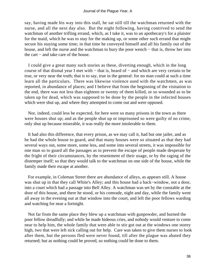say, having made his way into this stall, he sat still till the watchman returned with the nurse, and all the next day also. But the night following, having contrived to send the watchman of another trifling errand, which, as I take it, was to an apothecary's for a plaister for the maid, which he was to stay for the making up, or some other such errand that might secure his staying some time; in that time he conveyed himself and all his family out of the house, and left the nurse and the watchman to bury the poor wench − that is, throw her into the cart − and take care of the house.

 I could give a great many such stories as these, diverting enough, which in the long course of that dismal year I met with − that is, heard of − and which are very certain to be true, or very near the truth; that is to say, true in the general: for no man could at such a time learn all the particulars. There was likewise violence used with the watchmen, as was reported, in abundance of places; and I believe that from the beginning of the visitation to the end, there was not less than eighteen or twenty of them killed, or so wounded as to be taken up for dead, which was supposed to be done by the people in the infected houses which were shut up, and where they attempted to come out and were opposed.

 Nor, indeed, could less be expected, for here were so many prisons in the town as there were houses shut up; and as the people shut up or imprisoned so were guilty of no crime, only shut up because miserable, it was really the more intolerable to them.

 It had also this difference, that every prison, as we may call it, had but one jailer, and as he had the whole house to guard, and that many houses were so situated as that they had several ways out, some more, some less, and some into several streets, it was impossible for one man so to guard all the passages as to prevent the escape of people made desperate by the fright of their circumstances, by the resentment of their usage, or by the raging of the distemper itself; so that they would talk to the watchman on one side of the house, while the family made their escape at another.

 For example, in Coleman Street there are abundance of alleys, as appears still. A house was shut up in that they call White's Alley; and this house had a back−window, not a door, into a court which had a passage into Bell Alley. A watchman was set by the constable at the door of this house, and there he stood, or his comrade, night and day, while the family went all away in the evening out at that window into the court, and left the poor fellows warding and watching for near a fortnight.

 Not far from the same place they blew up a watchman with gunpowder, and burned the poor fellow dreadfully; and while he made hideous cries, and nobody would venture to come near to help him, the whole family that were able to stir got out at the windows one storey high, two that were left sick calling out for help. Care was taken to give them nurses to look after them, but the persons fled were never found, till after the plague was abated they returned; but as nothing could be proved, so nothing could be done to them.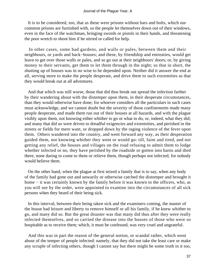It is to be considered, too, that as these were prisons without bars and bolts, which our common prisons are furnished with, so the people let themselves down out of their windows, even in the face of the watchman, bringing swords or pistols in their hands, and threatening the poor wretch to shoot him if he stirred or called for help.

 In other cases, some had gardens, and walls or pales, between them and their neighbours, or yards and back−houses; and these, by friendship and entreaties, would get leave to get over those walls or pales, and so go out at their neighbours' doors; or, by giving money to their servants, get them to let them through in the night; so that in short, the shutting up of houses was in no wise to be depended upon. Neither did it answer the end at all, serving more to make the people desperate, and drive them to such extremities as that they would break out at all adventures.

 And that which was still worse, those that did thus break out spread the infection farther by their wandering about with the distemper upon them, in their desperate circumstances, than they would otherwise have done; for whoever considers all the particulars in such cases must acknowledge, and we cannot doubt but the severity of those confinements made many people desperate, and made them run out of their houses at all hazards, and with the plague visibly upon them, not knowing either whither to go or what to do, or, indeed, what they did; and many that did so were driven to dreadful exigencies and extremities, and perished in the streets or fields for mere want, or dropped down by the raging violence of the fever upon them. Others wandered into the country, and went forward any way, as their desperation guided them, not knowing whither they went or would go: till, faint and tired, and not getting any relief, the houses and villages on the road refusing to admit them to lodge whether infected or no, they have perished by the roadside or gotten into barns and died there, none daring to come to them or relieve them, though perhaps not infected, for nobody would believe them.

 On the other hand, when the plague at first seized a family that is to say, when any body of the family had gone out and unwarily or otherwise catched the distemper and brought it home – it was certainly known by the family before it was known to the officers, who, as you will see by the order, were appointed to examine into the circumstances of all sick persons when they heard of their being sick.

 In this interval, between their being taken sick and the examiners coming, the master of the house had leisure and liberty to remove himself or all his family, if he knew whither to go, and many did so. But the great disaster was that many did thus after they were really infected themselves, and so carried the disease into the houses of those who were so hospitable as to receive them; which, it must be confessed, was very cruel and ungrateful.

 And this was in part the reason of the general notion, or scandal rather, which went about of the temper of people infected: namely, that they did not take the least care or make any scruple of infecting others, though I cannot say but there might be some truth in it too,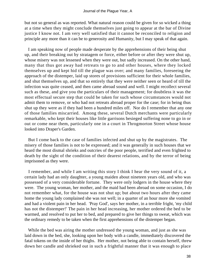but not so general as was reported. What natural reason could be given for so wicked a thing at a time when they might conclude themselves just going to appear at the bar of Divine justice I know not. I am very well satisfied that it cannot be reconciled to religion and principle any more than it can be to generosity and Humanity, but I may speak of that again.

 I am speaking now of people made desperate by the apprehensions of their being shut up, and their breaking out by stratagem or force, either before or after they were shut up, whose misery was not lessened when they were out, but sadly increased. On the other hand, many that thus got away had retreats to go to and other houses, where they locked themselves up and kept hid till the plague was over; and many families, foreseeing the approach of the distemper, laid up stores of provisions sufficient for their whole families, and shut themselves up, and that so entirely that they were neither seen or heard of till the infection was quite ceased, and then came abroad sound and well. I might recollect several such as these, and give you the particulars of their management; for doubtless it was the most effectual secure step that could be taken for such whose circumstances would not admit them to remove, or who had not retreats abroad proper for the case; for in being thus shut up they were as if they had been a hundred miles off. Nor do I remember that any one of those families miscarried. Among these, several Dutch merchants were particularly remarkable, who kept their houses like little garrisons besieged suffering none to go in or out or come near them, particularly one in a court in Throgmorton Street whose house looked into Draper's Garden.

 But I come back to the case of families infected and shut up by the magistrates. The misery of those families is not to be expressed; and it was generally in such houses that we heard the most dismal shrieks and outcries of the poor people, terrified and even frighted to death by the sight of the condition of their dearest relations, and by the terror of being imprisoned as they were.

 I remember, and while I am writing this story I think I hear the very sound of it, a certain lady had an only daughter, a young maiden about nineteen years old, and who was possessed of a very considerable fortune. They were only lodgers in the house where they were. The young woman, her mother, and the maid had been abroad on some occasion, I do not remember what, for the house was not shut up; but about two hours after they came home the young lady complained she was not well; in a quarter of an hour more she vomited and had a violent pain in her head. 'Pray God', says her mother, in a terrible fright, 'my child has not the distemper!' The pain in her head increasing, her mother ordered the bed to be warmed, and resolved to put her to bed, and prepared to give her things to sweat, which was the ordinary remedy to be taken when the first apprehensions of the distemper began.

 While the bed was airing the mother undressed the young woman, and just as she was laid down in the bed, she, looking upon her body with a candle, immediately discovered the fatal tokens on the inside of her thighs. Her mother, not being able to contain herself, threw down her candle and shrieked out in such a frightful manner that it was enough to place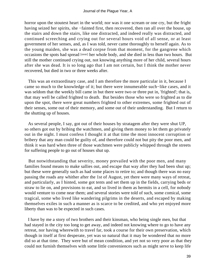horror upon the stoutest heart in the world; nor was it one scream or one cry, but the fright having seized her spirits, she −fainted first, then recovered, then ran all over the house, up the stairs and down the stairs, like one distracted, and indeed really was distracted, and continued screeching and crying out for several hours void of all sense, or at least government of her senses, and, as I was told, never came thoroughly to herself again. As to the young maiden, she was a dead corpse from that moment, for the gangrene which occasions the spots had spread [over] her whole body, and she died in less than two hours. But still the mother continued crying out, not knowing anything more of her child, several hours after she was dead. It is so long ago that I am not certain, but I think the mother never recovered, but died in two or three weeks after.

 This was an extraordinary case, and I am therefore the more particular in it, because I came so much to the knowledge of it; but there were innumerable such−like cases, and it was seldom that the weekly bill came in but there were two or three put in, 'frighted'; that is, that may well be called frighted to death. But besides those who were so frighted as to die upon the spot, there were great numbers frighted to other extremes, some frighted out of their senses, some out of their memory, and some out of their understanding. But I return to the shutting up of houses.

 As several people, I say, got out of their houses by stratagem after they were shut UP, so others got out by bribing the watchmen, and giving them money to let them go privately out in the night. I must confess I thought it at that time the most innocent corruption or bribery that any man could be guilty of, and therefore could not but pity the poor men, and think it was hard when three of those watchmen were publicly whipped through the streets for suffering people to go out of houses shut up.

 But notwithstanding that severity, money prevailed with the poor men, and many families found means to make sallies out, and escape that way after they had been shut up; but these were generally such as had some places to retire to; and though there was no easy passing the roads any whither after the 1st of August, yet there were many ways of retreat, and particularly, as I hinted, some got tents and set them up in the fields, carrying beds or straw to lie on, and provisions to eat, and so lived in them as hermits in a cell, for nobody would venture to come near them; and several stories were told of such, some comical, some tragical, some who lived like wandering pilgrims in the deserts, and escaped by making themselves exiles in such a manner as is scarce to be credited, and who yet enjoyed more liberty than was to be expected in such cases.

 I have by me a story of two brothers and their kinsman, who being single men, but that had stayed in the city too long to get away, and indeed not knowing where to go to have any retreat, nor having wherewith to travel far, took a course for their own preservation, which though in itself at first desperate, yet was so natural that it may be wondered that no more did so at that time. They were but of mean condition, and yet not so very poor as that they could not furnish themselves with some little conveniences such as might serve to keep life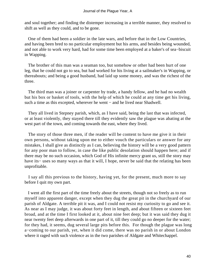and soul together; and finding the distemper increasing in a terrible manner, they resolved to shift as well as they could, and to be gone.

 One of them had been a soldier in the late wars, and before that in the Low Countries, and having been bred to no particular employment but his arms, and besides being wounded, and not able to work very hard, had for some time been employed at a baker's of sea−biscuit in Wapping.

 The brother of this man was a seaman too, but somehow or other had been hurt of one leg, that he could not go to sea, but had worked for his living at a sailmaker's in Wapping, or thereabouts; and being a good husband, had laid up some money, and was the richest of the three.

 The third man was a joiner or carpenter by trade, a handy fellow, and he had no wealth but his box or basket of tools, with the help of which he could at any time get his living, such a time as this excepted, wherever he went – and he lived near Shadwell.

 They all lived in Stepney parish, which, as I have said, being the last that was infected, or at least violently, they stayed there till they evidently saw the plague was abating at the west part of the town, and coming towards the east, where they lived.

 The story of those three men, if the reader will be content to have me give it in their own persons, without taking upon me to either vouch the particulars or answer for any mistakes, I shall give as distinctly as I can, believing the history will be a very good pattern for any poor man to follow, in case the like public desolation should happen here; and if there may be no such occasion, which God of His infinite mercy grant us, still the story may have its− uses so many ways as that it will, I hope, never be said that the relating has been unprofitable.

 I say all this previous to the history, having yet, for the present, much more to say before I quit my own part.

 I went all the first part of the time freely about the streets, though not so freely as to run myself into apparent danger, except when they dug the great pit in the churchyard of our parish of Aldgate. A terrible pit it was, and I could not resist my curiosity to go and see it. As near as I may judge, it was about forty feet in length, and about fifteen or sixteen feet broad, and at the time I first looked at it, about nine feet deep; but it was said they dug it near twenty feet deep afterwards in one part of it, till they could go no deeper for the water; for they had, it seems, dug several large pits before this. For though the plague was long a−coming to our parish, yet, when it did come, there was no parish in or about London where it raged with such violence as in the two parishes of Aldgate and Whitechappel.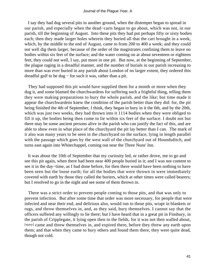I say they had dug several pits in another ground, when the distemper began to spread in our parish, and especially when the dead−carts began to go about, which was not, in our parish, till the beginning of August. Into these pits they had put perhaps fifty or sixty bodies each; then they made larger holes wherein they buried all that the cart brought in a week, which, by the middle to the end of August, came to from 200 to 400 a week; and they could not well dig them larger, because of the order of the magistrates confining them to leave no bodies within six feet of the surface; and the water coming on at about seventeen or eighteen feet, they could not well, I say, put more in one pit. But now, at the beginning of September, the plague raging in a dreadful manner, and the number of burials in our parish increasing to more than was ever buried in any parish about London of no larger extent, they ordered this dreadful gulf to be dug − for such it was, rather than a pit.

 They had supposed this pit would have supplied them for a month or more when they dug it, and some blamed the churchwardens for suffering such a frightful thing, telling them they were making preparations to bury the whole parish, and the like; but time made it appear the churchwardens knew the condition of the parish better than they did: for, the pit being finished the 4th of September, I think, they began to bury in it the 6th, and by the 20th, which was just two weeks, they had thrown into it 1114 bodies when they were obliged to fill it up, the bodies being then come to lie within six feet of the surface. I doubt not but there may be some ancient persons alive in the parish who can justify the fact of this, and are able to show even in what place of the churchyard the pit lay better than I can. The mark of it also was many years to be seen in the churchyard on the surface, lying in length parallel with the passage which goes by the west wall of the churchyard out of Houndsditch, and turns east again into Whitechappel, coming out near the Three Nuns' Inn.

 It was about the 10th of September that my curiosity led, or rather drove, me to go and see this pit again, when there had been near 400 people buried in it; and I was not content to see it in the day−time, as I had done before, for then there would have been nothing to have been seen but the loose earth; for all the bodies that were thrown in were immediately covered with earth by those they called the buriers, which at other times were called bearers; but I resolved to go in the night and see some of them thrown in.

 There was a strict order to prevent people coming to those pits, and that was only to prevent infection. But after some time that order was more necessary, for people that were infected and near their end, and delirious also, would run to those pits, wrapt in blankets or rugs, and throw themselves in, and, as they said, bury themselves. I cannot say that the officers suffered any willingly to lie there; but I have heard that in a great pit in Finsbury, in the parish of Cripplegate, it lying open then to the fields, for it was not then walled about, [many] came and threw themselves in, and expired there, before they threw any earth upon them; and that when they came to bury others and found them there, they were quite dead, though not cold.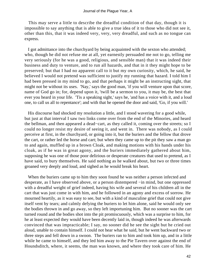This may serve a little to describe the dreadful condition of that day, though it is impossible to say anything that is able to give a true idea of it to those who did not see it, other than this, that it was indeed very, very, very dreadful, and such as no tongue can express.

 I got admittance into the churchyard by being acquainted with the sexton who attended; who, though he did not refuse me at all, yet earnestly persuaded me not to go, telling me very seriously (for he was a good, religious, and sensible man) that it was indeed their business and duty to venture, and to run all hazards, and that in it they might hope to be preserved; but that I had no apparent call to it but my own curiosity, which, he said, he believed I would not pretend was sufficient to justify my running that hazard. I told him I had been pressed in my mind to go, and that perhaps it might be an instructing sight, that might not be without its uses. 'Nay,' says the good man, 'if you will venture upon that score, name of God go in; for, depend upon it, 'twill be a sermon to you, it may be, the best that ever you heard in your life. 'Tis a speaking sight,' says he, 'and has a voice with it, and a loud one, to call us all to repentance'; and with that he opened the door and said, 'Go, if you will.'

 His discourse had shocked my resolution a little, and I stood wavering for a good while, but just at that interval I saw two links come over from the end of the Minories, and heard the bellman, and then appeared a dead−cart, as they called it, coming over the streets; so I could no longer resist my desire of seeing it, and went in. There was nobody, as I could perceive at first, in the churchyard, or going into it, but the buriers and the fellow that drove the cart, or rather led the horse and cart; but when they came up to the pit they saw a man go to and again, muffled up in a brown Cloak, and making motions with his hands under his cloak, as if he was in great agony, and the buriers immediately gathered about him, supposing he was one of those poor delirious or desperate creatures that used to pretend, as I have said, to bury themselves. He said nothing as he walked about, but two or three times groaned very deeply and loud, and sighed as he would break his heart.

 When the buriers came up to him they soon found he was neither a person infected and desperate, as I have observed above, or a person distempered −in mind, but one oppressed with a dreadful weight of grief indeed, having his wife and several of his children all in the cart that was just come in with him, and he followed in an agony and excess of sorrow. He mourned heartily, as it was easy to see, but with a kind of masculine grief that could not give itself vent by tears; and calmly defying the buriers to let him alone, said he would only see the bodies thrown in and go away, so they left importuning him. But no sooner was the cart turned round and the bodies shot into the pit promiscuously, which was a surprise to him, for he at least expected they would have been decently laid in, though indeed he was afterwards convinced that was impracticable; I say, no sooner did he see the sight but he cried out aloud, unable to contain himself. I could not hear what he said, but he went backward two or three steps and fell down in a swoon. The buriers ran to him and took him up, and in a little while he came to himself, and they led him away to the Pie Tavern over against the end of Houndsditch, where, it seems, the man was known, and where they took care of him. He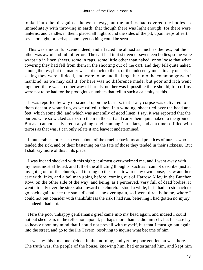looked into the pit again as he went away, but the buriers had covered the bodies so immediately with throwing in earth, that though there was light enough, for there were lanterns, and candles in them, placed all night round the sides of the pit, upon heaps of earth, seven or eight, or perhaps more, yet nothing could be seen.

 This was a mournful scene indeed, and affected me almost as much as the rest; but the other was awful and full of terror. The cart had in it sixteen or seventeen bodies; some were wrapt up in linen sheets, some in rags, some little other than naked, or so loose that what covering they had fell from them in the shooting out of the cart, and they fell quite naked among the rest; but the matter was not much to them, or the indecency much to any one else, seeing they were all dead, and were to be huddled together into the common grave of mankind, as we may call it, for here was no difference made, but poor and rich went together; there was no other way of burials, neither was it possible there should, for coffins were not to be had for the prodigious numbers that fell in such a calamity as this.

 It was reported by way of scandal upon the buriers, that if any corpse was delivered to them decently wound up, as we called it then, in a winding−sheet tied over the head and feet, which some did, and which was generally of good linen; I say, it was reported that the buriers were so wicked as to strip them in the cart and carry them quite naked to the ground. But as I cannot easily credit anything so vile among Christians, and at a time so filled with terrors as that was, I can only relate it and leave it undetermined.

 Innumerable stories also went about of the cruel behaviours and practices of nurses who tended the sick, and of their hastening on the fate of those they tended in their sickness. But I shall say more of this in its place.

 I was indeed shocked with this sight; it almost overwhelmed me, and I went away with my heart most afflicted, and full of the afflicting thoughts, such as I cannot describe. just at my going out of the church, and turning up the street towards my own house, I saw another cart with links, and a bellman going before, coming out of Harrow Alley in the Butcher Row, on the other side of the way, and being, as I perceived, very full of dead bodies, it went directly over the street also toward the church. I stood a while, but I had no stomach to go back again to see the same dismal scene over again, so I went directly home, where I could not but consider with thankfulness the risk I had run, believing I had gotten no injury, as indeed I had not.

 Here the poor unhappy gentleman's grief came into my head again, and indeed I could not but shed tears in the reflection upon it, perhaps more than he did himself; but his case lay so heavy upon my mind that I could not prevail with myself, but that I must go out again into the street, and go to the Pie Tavern, resolving to inquire what became of him.

 It was by this time one o'clock in the morning, and yet the poor gentleman was there. The truth was, the people of the house, knowing him, had entertained him, and kept him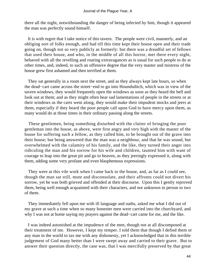there all the night, notwithstanding the danger of being infected by him, though it appeared the man was perfectly sound himself.

 It is with regret that I take notice of this tavern. The people were civil, mannerly, and an obliging sort of folks enough, and had till this time kept their house open and their trade going on, though not so very publicly as formerly: but there was a dreadful set of fellows that used their house, and who, in the middle of all this horror, met there every night, behaved with all the revelling and roaring extravagances as is usual for such people to do at other times, and, indeed, to such an offensive degree that the very master and mistress of the house grew first ashamed and then terrified at them.

 They sat generally in a room next the street, and as they always kept late hours, so when the dead−cart came across the street−end to go into Houndsditch, which was in view of the tavern windows, they would frequently open the windows as soon as they heard the bell and look out at them; and as they might often hear sad lamentations of people in the streets or at their windows as the carts went along, they would make their impudent mocks and jeers at them, especially if they heard the poor people call upon God to have mercy upon them, as many would do at those times in their ordinary passing along the streets.

 These gentlemen, being something disturbed with the clutter of bringing the poor gentleman into the house, as above, were first angry and very high with the master of the house for suffering such a fellow, as they called him, to be brought out of the grave into their house; but being answered that the man was a neighbour, and that he was sound, but overwhelmed with the calamity of his family, and the like, they turned their anger into ridiculing the man and his sorrow for his wife and children, taunted him with want of courage to leap into the great pit and go to heaven, as they jeeringly expressed it, along with them, adding some very profane and even blasphemous expressions.

 They were at this vile work when I came back to the house, and, as far as I could see, though the man sat still, mute and disconsolate, and their affronts could not divert his sorrow, yet he was both grieved and offended at their discourse. Upon this I gently reproved them, being well enough acquainted with their characters, and not unknown in person to two of them.

 They immediately fell upon me with ill language and oaths, asked me what I did out of my grave at such a time when so many honester men were carried into the churchyard, and why I was not at home saying my prayers against the dead−cart came for me, and the like.

 I was indeed astonished at the impudence of the men, though not at all discomposed at their treatment of me. However, I kept my temper. I told them that though I defied them or any man in the world to tax me with any dishonesty, yet I acknowledged that in this terrible judgement of God many better than I were swept away and carried to their grave. But to answer their question directly, the case was, that I was mercifully preserved by that great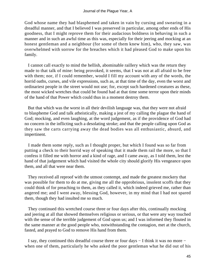God whose name they had blasphemed and taken in vain by cursing and swearing in a dreadful manner, and that I believed I was preserved in particular, among other ends of His goodness, that I might reprove them for their audacious boldness in behaving in such a manner and in such an awful time as this was, especially for their jeering and mocking at an honest gentleman and a neighbour (for some of them knew him), who, they saw, was overwhelmed with sorrow for the breaches which it had pleased God to make upon his family.

 I cannot call exactly to mind the hellish, abominable raillery which was the return they made to that talk of mine: being provoked, it seems, that I was not at all afraid to be free with them; nor, if I could remember, would I fill my account with any of the words, the horrid oaths, curses, and vile expressions, such as, at that time of the day, even the worst and ordinariest people in the street would not use; for, except such hardened creatures as these, the most wicked wretches that could be found had at that time some terror upon their minds of the hand of that Power which could thus in a moment destroy them.

 But that which was the worst in all their devilish language was, that they were not afraid to blaspheme God and talk atheistically, making a jest of my calling the plague the hand of God; mocking, and even laughing, at the word judgement, as if the providence of God had no concern in the inflicting such a desolating stroke; and that the people calling upon God as they saw the carts carrying away the dead bodies was all enthusiastic, absurd, and impertinent.

 I made them some reply, such as I thought proper, but which I found was so far from putting a check to their horrid way of speaking that it made them rail the more, so that I confess it filled me with horror and a kind of rage, and I came away, as I told them, lest the hand of that judgement which had visited the whole city should glorify His vengeance upon them, and all that were near them.

 They received all reproof with the utmost contempt, and made the greatest mockery that was possible for them to do at me, giving me all the opprobrious, insolent scoffs that they could think of for preaching to them, as they called it, which indeed grieved me, rather than angered me; and I went away, blessing God, however, in my mind that I had not spared them, though they had insulted me so much.

 They continued this wretched course three or four days after this, continually mocking and jeering at all that showed themselves religious or serious, or that were any way touched with the sense of the terrible judgement of God upon us; and I was informed they flouted in the same manner at the good people who, notwithstanding the contagion, met at the church, fasted, and prayed to God to remove His hand from them.

 I say, they continued this dreadful course three or four days − I think it was no more − when one of them, particularly he who asked the poor gentleman what he did out of his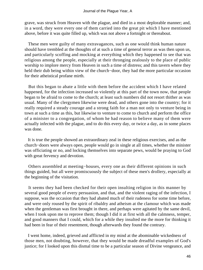grave, was struck from Heaven with the plague, and died in a most deplorable manner; and, in a word, they were every one of them carried into the great pit which I have mentioned above, before it was quite filled up, which was not above a fortnight or thereabout.

 These men were guilty of many extravagances, such as one would think human nature should have trembled at the thoughts of at such a time of general terror as was then upon us, and particularly scoffing and mocking at everything which they happened to see that was religious among the people, especially at their thronging zealously to the place of public worship to implore mercy from Heaven in such a time of distress; and this tavern where they held their dub being within view of the church−door, they had the more particular occasion for their atheistical profane mirth.

 But this began to abate a little with them before the accident which I have related happened, for the infection increased so violently at this part of the town now, that people began to be afraid to come to the church; at least such numbers did not resort thither as was usual. Many of the clergymen likewise were dead, and others gone into the country; for it really required a steady courage and a strong faith for a man not only to venture being in town at such a time as this, but likewise to venture to come to church and perform the office of a minister to a congregation, of whom he had reason to believe many of them were actually infected with the plague, and to do this every day, or twice a day, as in some places was done.

 It is true the people showed an extraordinary zeal in these religious exercises, and as the church−doors were always open, people would go in single at all times, whether the minister was officiating or no, and locking themselves into separate pews, would be praying to God with great fervency and devotion.

 Others assembled at meeting−houses, every one as their different opinions in such things guided, but all were promiscuously the subject of these men's drollery, especially at the beginning of the visitation.

 It seems they had been checked for their open insulting religion in this manner by several good people of every persuasion, and that, and the violent raging of the infection, I suppose, was the occasion that they had abated much of their rudeness for some time before, and were only roused by the spirit of ribaldry and atheism at the clamour which was made when the gentleman was first brought in there, and perhaps were agitated by the same devil, when I took upon me to reprove them; though I did it at first with all the calmness, temper, and good manners that I could, which for a while they insulted me the more for thinking it had been in fear of their resentment, though afterwards they found the contrary.

 I went home, indeed, grieved and afflicted in my mind at the abominable wickedness of those men, not doubting, however, that they would be made dreadful examples of God's justice; for I looked upon this dismal time to be a particular season of Divine vengeance, and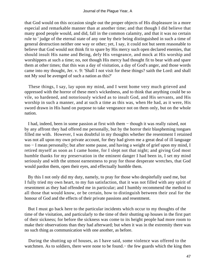that God would on this occasion single out the proper objects of His displeasure in a more especial and remarkable manner than at another time; and that though I did believe that many good people would, and did, fall in the common calamity, and that it was no certain rule to ' judge of the eternal state of any one by their being distinguished in such a time of general destruction neither one way or other; yet, I say, it could not but seem reasonable to believe that God would not think fit to spare by His mercy such open declared enemies, that should insult His name and Being, defy His vengeance, and mock at His worship and worshippers at such a time; no, not though His mercy had thought fit to bear with and spare them at other times; that this was a day of visitation, a day of God's anger, and those words came into my thought, Jer. v. 9: 'Shall I not visit for these things? saith the Lord: and shall not My soul be avenged of such a nation as this?'

 These things, I say, lay upon my mind, and I went home very much grieved and oppressed with the horror of these men's wickedness, and to think that anything could be so vile, so hardened, and notoriously wicked as to insult God, and His servants, and His worship in such a manner, and at such a time as this was, when He had, as it were, His sword drawn in His hand on purpose to take vengeance not on them only, but on the whole nation.

 I had, indeed, been in some passion at first with them − though it was really raised, not by any affront they had offered me personally, but by the horror their blaspheming tongues filled me with. However, I was doubtful in my thoughts whether the resentment I retained was not all upon my own private account, for they had given me a great deal of ill language too − I mean personally; but after some pause, and having a weight of grief upon my mind, I retired myself as soon as I came home, for I slept not that night; and giving God most humble thanks for my preservation in the eminent danger I had been in, I set my mind seriously and with the utmost earnestness to pray for those desperate wretches, that God would pardon them, open their eyes, and effectually humble them.

 By this I not only did my duty, namely, to pray for those who despitefully used me, but I fully tried my own heart, to my fun satisfaction, that it was not filled with any spirit of resentment as they had offended me in particular; and I humbly recommend the method to all those that would know, or be certain, how to distinguish between their zeal for the honour of God and the effects of their private passions and resentment.

 But I must go back here to the particular incidents which occur to my thoughts of the time of the visitation, and particularly to the time of their shutting up houses in the first part of their sickness; for before the sickness was come to its height people had more room to make their observations than they had afterward; but when it was in the extremity there was no such thing as communication with one another, as before.

 During the shutting up of houses, as I have said, some violence was offered to the watchmen. As to soldiers, there were none to be found.− the few guards which the king then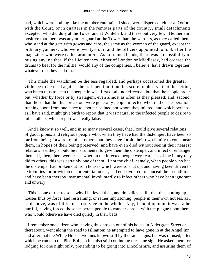had, which were nothing like the number entertained since, were dispersed, either at Oxford with the Court, or in quarters in the remoter parts of the country, small detachments excepted, who did duty at the Tower and at Whitehall, and these but very few. Neither am I positive that there was any other guard at the Tower than the warders, as they called them, who stand at the gate with gowns and caps, the same as the yeomen of the guard, except the ordinary gunners, who were twenty−four, and the officers appointed to look after the magazine, who were called armourers. As to trained bands, there was no possibility of raising any; neither, if the Lieutenancy, either of London or Middlesex, had ordered the drums to beat for the militia, would any of the companies, I believe, have drawn together, whatever risk they had run.

 This made the watchmen be the less regarded, and perhaps occasioned the greater violence to be used against them. I mention it on this score to observe that the setting watchmen thus to keep the people in was, first of all, not effectual, but that the people broke out, whether by force or by stratagem, even almost as often as they pleased; and, second, that those that did thus break out were generally people infected who, in their desperation, running about from one place to another, valued not whom they injured: and which perhaps, as I have said, might give birth to report that it was natural to the infected people to desire to infect others, which report was really false.

 And I know it so well, and in so many several cases, that I could give several relations of good, pious, and religious people who, when they have had the distemper, have been so far from being forward to infect others that they have forbid their own family to come near them, in hopes of their being preserved, and have even died without seeing their nearest relations lest they should be instrumental to give them the distemper, and infect or endanger them. If, then, there were cases wherein the infected people were careless of the injury they did to others, this was certainly one of them, if not the chief, namely, when people who had the distemper had broken out from houses which were so shut up, and having been driven to extremities for provision or for entertainment, had endeavoured to conceal their condition, and have been thereby instrumental involuntarily to infect others who have been ignorant and unwary.

 This is one of the reasons why I believed then, and do believe still, that the shutting up houses thus by force, and restraining, or rather imprisoning, people in their own houses, as I said above, was of little or no service in the whole. Nay, I am of opinion it was rather hurtful, having forced those desperate people to wander abroad with the plague upon them, who would otherwise have died quietly in their beds.

 I remember one citizen who, having thus broken out of his house in Aldersgate Street or thereabout, went along the road to Islington; he attempted to have gone in at the Angel Inn, and after that the White Horse, two inns known still by the same signs, but was refused; after which he came to the Pied Bull, an inn also still continuing the same sign. He asked them for lodging for one night only, pretending to be going into Lincolnshire, and assuring them of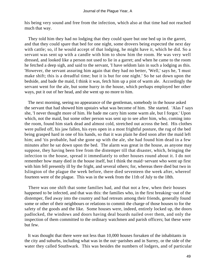his being very sound and free from the infection, which also at that time had not reached much that way.

 They told him they had no lodging that they could spare but one bed up in the garret, and that they could spare that bed for one night, some drovers being expected the next day with cattle; so, if he would accept of that lodging, he might have it, which he did. So a servant was sent up with a candle with him to show him the room. He was very well dressed, and looked like a person not used to lie in a garret; and when he came to the room he fetched a deep sigh, and said to the servant, 'I have seldom lain in such a lodging as this. 'However, the servant assuring him again that they had no better, 'Well,' says he, 'I must make shift; this is a dreadful time; but it is but for one night.' So he sat down upon the bedside, and bade the maid, I think it was, fetch him up a pint of warm ale. Accordingly the servant went for the ale, but some hurry in the house, which perhaps employed her other ways, put it out of her head, and she went up no more to him.

 The next morning, seeing no appearance of the gentleman, somebody in the house asked the servant that had showed him upstairs what was become of him. She started. 'Alas l' says she, 'I never thought more of him. He bade me carry him some warm ale, but I forgot.' Upon which, not the maid, but some other person was sent up to see after him, who, coming into the room, found him stark dead and almost cold, stretched out across the bed. His clothes were pulled off, his jaw fallen, his eyes open in a most frightful posture, the rug of the bed being grasped hard in one of his hands, so that it was plain he died soon after the maid left him; and 'tis probable, had she gone up with the ale, she had found him dead in a few minutes after he sat down upon the bed. The alarm was great in the house, as anyone may suppose, they having been free from the distemper till that disaster, which, bringing the infection to the house, spread it immediately to other houses round about it. I do not remember how many died in the house itself, but I think the maid−servant who went up first with him fell presently ill by the fright, and several others; for, whereas there died but two in Islington of the plague the week before, there died seventeen the week after, whereof fourteen were of the plague. This was in the week from the 11th of July to the 18th.

 There was one shift that some families had, and that not a few, when their houses happened to be infected, and that was this: the families who, in the first breaking−out of the distemper, fled away into the country and had retreats among their friends, generally found some or other of their neighbours or relations to commit the charge of those houses to for the safety of the goods and the like. Some houses were, indeed, entirely locked up, the doors padlocked, the windows and doors having deal boards nailed over them, and only the inspection of them committed to the ordinary watchmen and parish officers; bat these were but few.

 It was thought that there were not less than 10,000 houses forsaken of the inhabitants in the city and suburbs, including what was in the out−parishes and in Surrey, or the side of the water they called Southwark. This was besides the numbers of lodgers, and of particular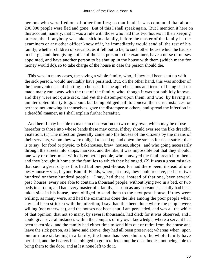persons who were fled out of other families; so that in all it was computed that about 200,000 people were fled and gone. But of this I shall speak again. But I mention it here on this account, namely, that it was a rule with those who had thus two houses in their keeping or care, that if anybody was taken sick in a family, before the master of the family let the examiners or any other officer know of it, he immediately would send all the rest of his family, whether children or servants, as it fell out to be, to such other house which he had so in charge, and then giving notice of the sick person to the examiner, have a nurse or nurses appointed, and have another person to be shut up in the house with them (which many for money would do), so to take charge of the house in case the person should die.

 This was, in many cases, the saving a whole family, who, if they had been shut up with the sick person, would inevitably have perished. But, on the other hand, this was another of the inconveniences of shutting up houses; for the apprehensions and terror of being shut up made many run away with the rest of the family, who, though it was not publicly known, and they were not quite sick, had yet the distemper upon them; and who, by having an uninterrupted liberty to go about, but being obliged still to conceal their circumstances, or perhaps not knowing it themselves, gave the distemper to others, and spread the infection in a dreadful manner, as I shall explain further hereafter.

 And here I may be able to make an observation or two of my own, which may be of use hereafter to those into whose bands these may come, if they should ever see the like dreadful visitation. (1) The infection generally came into the houses of the citizens by the means of their servants, whom they were obliged to send up and down the streets for necessaries; that is to say, for food or physic, to bakehouses, brew−houses, shops, and who going necessarily through the streets into shops, markets, and the like, it was impossible but that they should, one way or other, meet with distempered people, who conveyed the fatal breath into them, and they brought it home to the families to which they belonged. (2) It was a great mistake that such a great city as this had but one pest−house; for had there been, instead of one pest−house − viz., beyond Bunhill Fields, where, at most, they could receive, perhaps, two hundred or three hundred people − I say, had there, instead of that one, been several pest−houses, every one able to contain a thousand people, without lying two in a bed, or two beds in a room; and had every master of a family, as soon as any servant especially had been taken sick in his house, been obliged to send them to the next pest−house, if they were willing, as many were, and had the examiners done the like among the poor people when any had been stricken with the infection; I say, had this been done where the people were willing (not otherwise), and the houses not been shut, I am persuaded, and was all the while of that opinion, that not so many, by several thousands, had died; for it was observed, and I could give several instances within the compass of my own knowledge, where a servant had been taken sick, and the family had either time to send him out or retire from the house and leave the sick person, as I have said above, they had all been preserved; whereas when, upon one or more sickening in a family, the house has been shut up, the whole family have perished, and the bearers been obliged to go in to fetch out the dead bodies, not being able to bring them to the door, and at last none left to do it.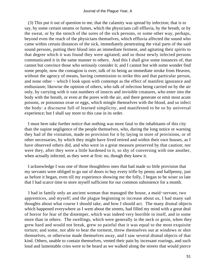(3) This put it out of question to me, that the calamity was spread by infection; that is to say, by some certain steams or fumes, which the physicians call effluvia, by the breath, or by the sweat, or by the stench of the sores of the sick persons, or some other way, perhaps, beyond even the reach of the physicians themselves, which effluvia affected the sound who came within certain distances of the sick, immediately penetrating the vital parts of the said sound persons, putting their blood into an immediate ferment, and agitating their spirits to that degree which it was found they were agitated; and so those newly infected persons communicated it in the same manner to others. And this I shall give some instances of, that cannot but convince those who seriously consider it; and I cannot but with some wonder find some people, now the contagion is over, talk of its being an immediate stroke from Heaven, without the agency of means, having commission to strike this and that particular person, and none other − which I look upon with contempt as the effect of manifest ignorance and enthusiasm; likewise the opinion of others, who talk of infection being carried on by the air only, by carrying with it vast numbers of insects and invisible creatures, who enter into the body with the breath, or even at the pores with the air, and there generate or emit most acute poisons, or poisonous ovae or eggs, which mingle themselves with the blood, and so infect the body: a discourse full of learned simplicity, and manifested to be so by universal experience; but I shall say more to this case in its order.

 I must here take further notice that nothing was more fatal to the inhabitants of this city than the supine negligence of the people themselves, who, during the long notice or warning they had of the visitation, made no provision for it by laying in store of provisions, or of other necessaries, by which they might have lived retired and within their own houses, as I have observed others did, and who were in a great measure preserved by that caution; nor were they, after they were a little hardened to it, so shy of conversing with one another, when actually infected, as they were at first: no, though they knew it.

 I acknowledge I was one of those thoughtless ones that had made so little provision that my servants were obliged to go out of doors to buy every trifle by penny and halfpenny, just as before it began, even till my experience showing me the folly, I began to be wiser so late that I had scarce time to store myself sufficient for our common subsistence for a month.

 I had in family only an ancient woman that managed the house, a maid−servant, two apprentices, and myself; and the plague beginning to increase about us, I had many sad thoughts about what course I should take, and how I should act. The many dismal objects which happened everywhere as I went about the streets, had filled my mind with a great deal of horror for fear of the distemper, which was indeed very horrible in itself, and in some more than in others. The swellings, which were generally in the neck or groin, when they grew hard and would not break, grew so painful that it was equal to the most exquisite torture; and some, not able to bear the torment, threw themselves out at windows or shot themselves, or otherwise made themselves away, and I saw several dismal objects of that kind. Others, unable to contain themselves, vented their pain by incessant roarings, and such loud and lamentable cries were to be heard as we walked along the streets that would pierce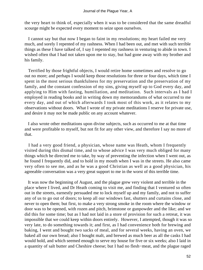the very heart to think of, especially when it was to be considered that the same dreadful scourge might be expected every moment to seize upon ourselves.

 I cannot say but that now I began to faint in my resolutions; my heart failed me very much, and sorely I repented of my rashness. When I had been out, and met with such terrible things as these I have talked of, I say I repented my rashness in venturing to abide in town. I wished often that I had not taken upon me to stay, but had gone away with my brother and his family.

 Terrified by those frightful objects, I would retire home sometimes and resolve to go out no more; and perhaps I would keep those resolutions for three or four days, which time I spent in the most serious thankfulness for my preservation and the preservation of my family, and the constant confession of my sins, giving myself up to God every day, and applying to Him with fasting, humiliation, and meditation. Such intervals as I had I employed in reading books and in writing down my memorandums of what occurred to me every day, and out of which afterwards I took most of this work, as it relates to my observations without doors. What I wrote of my private meditations I reserve for private use, and desire it may not be made public on any account whatever.

 I also wrote other meditations upon divine subjects, such as occurred to me at that time and were profitable to myself, but not fit for any other view, and therefore I say no more of that.

 I had a very good friend, a physician, whose name was Heath, whom I frequently visited during this dismal time, and to whose advice I was very much obliged for many things which he directed me to take, by way of preventing the infection when I went out, as he found I frequently did, and to hold in my mouth when I was in the streets. He also came very often to see me, and as he was a good Christian as well as a good physician, his agreeable conversation was a very great support to me in the worst of this terrible time.

 It was now the beginning of August, and the plague grew very violent and terrible in the place where I lived, and Dr Heath coming to visit me, and finding that I ventured so often out in the streets, earnestly persuaded me to lock myself up and my family, and not to suffer any of us to go out of doors; to keep all our windows fast, shutters and curtains close, and never to open them; but first, to make a very strong smoke in the room where the window or door was to be opened, with rozen and pitch, brimstone or gunpowder and the like; and we did this for some time; but as I had not laid in a store of provision for such a retreat, it was impossible that we could keep within doors entirely. However, I attempted, though it was so very late, to do something towards it; and first, as I had convenience both for brewing and baking, I went and bought two sacks of meal, and for several weeks, having an oven, we baked all our own bread; also I bought malt, and brewed as much beer as all the casks I had would hold, and which seemed enough to serve my house for five or six weeks; also I laid in a quantity of salt butter and Cheshire cheese; but I had no flesh−meat, and the plague raged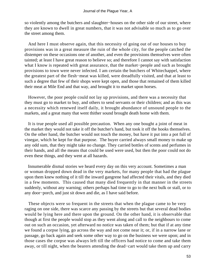so violently among the butchers and slaughter−houses on the other side of our street, where they are known to dwell in great numbers, that it was not advisable so much as to go over the street among them.

 And here I must observe again, that this necessity of going out of our houses to buy provisions was in a great measure the ruin of the whole city, for the people catched the distemper on these occasions one of another, and even the provisions themselves were often tainted; at least I have great reason to believe so; and therefore I cannot say with satisfaction what I know is repeated with great assurance, that the market−people and such as brought provisions to town were never infected. I am certain the butchers of Whitechappel, where the greatest part of the flesh−meat was killed, were dreadfully visited, and that at least to such a degree that few of their shops were kept open, and those that remained of them killed their meat at Mile End and that way, and brought it to market upon horses.

 However, the poor people could not lay up provisions, and there was a necessity that they must go to market to buy, and others to send servants or their children; and as this was a necessity which renewed itself daily, it brought abundance of unsound people to the markets, and a great many that went thither sound brought death home with them.

 It is true people used all possible precaution. When any one bought a joint of meat in the market they would not take it off the butcher's hand, but took it off the hooks themselves. On the other hand, the butcher would not touch the money, but have it put into a pot full of vinegar, which he kept for that purpose. The buyer carried always small money to make up any odd sum, that they might take no change. They carried bottles of scents and perfumes in their hands, and all the means that could be used were used, but then the poor could not do even these things, and they went at all hazards.

 Innumerable dismal stories we heard every day on this very account. Sometimes a man or woman dropped down dead in the very markets, for many people that had the plague upon them knew nothing of it till the inward gangrene had affected their vitals, and they died in a few moments. This caused that many died frequently in that manner in the streets suddenly, without any warning; others perhaps had time to go to the next bulk or stall, or to any door−porch, and just sit down and die, as I have said before.

 These objects were so frequent in the streets that when the plague came to be very raging on one side, there was scarce any passing by the streets but that several dead bodies would be lying here and there upon the ground. On the other hand, it is observable that though at first the people would stop as they went along and call to the neighbours to come out on such an occasion, yet afterward no notice was taken of them; but that if at any time we found a corpse lying, go across the way and not come near it; or, if in a narrow lane or passage, go back again and seek some other way to go on the business we were upon; and in those cases the corpse was always left till the officers had notice to come and take them away, or till night, when the bearers attending the dead−cart would take them up and carry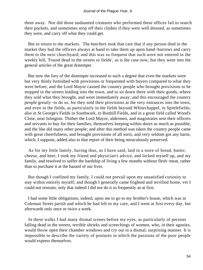them away. Nor did those undaunted creatures who performed these offices fail to search their pockets, and sometimes strip off their clothes if they were well dressed, as sometimes they were, and carry off what they could get.

 But to return to the markets. The butchers took that care that if any person died in the market they had the officers always at band to take them up upon hand−barrows and carry them to the next churchyard; and this was so frequent that such were not entered in the weekly bill, 'Found dead in the streets or fields', as is the case now, but they went into the general articles of the great distemper.

 But now the fury of the distemper increased to such a degree that even the markets were but very thinly furnished with provisions or frequented with buyers compared to what they were before; and the Lord Mayor caused the country people who brought provisions to be stopped in the streets leading into the town, and to sit down there with their goods, where they sold what they brought, and went immediately away; and this encouraged the country people greatly−to do so, for they sold their provisions at the very entrances into the town, and even in the fields, as particularly in the fields beyond Whitechappel, in Spittlefields; also in St George's Fields in Southwark, in Bunhill Fields, and in a great field called Wood's Close, near Islington. Thither the Lord Mayor, aldermen, and magistrates sent their officers and servants to buy for their families, themselves keeping within doors as much as possible, and the like did many other people; and after this method was taken the country people came with great cheerfulness, and brought provisions of all sorts, and very seldom got any harm, which, I suppose, added also to that report of their being miraculously preserved.

 As for my little family, having thus, as I have said, laid in a store of bread, butter, cheese, and beer, I took my friend and physician's advice, and locked myself up, and my family, and resolved to suffer the hardship of living a few months without flesh−meat, rather than to purchase it at the hazard of our lives.

 But though I confined my family, I could not prevail upon my unsatisfied curiosity to stay within entirely myself; and though I generally came frighted and terrified home, vet I could not restrain; only that indeed I did not do it so frequently as at first.

 I had some little obligations, indeed, upon me to go to my brother's house, which was in Coleman Street parish and which he had left to my care, and I went at first every day, but afterwards only once or twice a week.

 In these walks I had many dismal scenes before my eyes, as particularly of persons falling dead in the streets, terrible shrieks and screechings of women, who, in their agonies, would throw open their chamber windows and cry out in a dismal, surprising manner. It is impossible to describe the variety of postures in which the passions of the poor people would express themselves.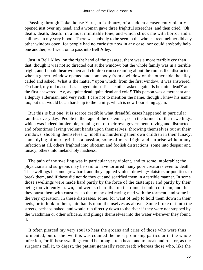Passing through Tokenhouse Yard, in Lothbury, of a sudden a casement violently opened just over my head, and a woman gave three frightful screeches, and then cried, 'Oh! death, death, death!' in a most inimitable tone, and which struck me with horror and a chillness in my very blood. There was nobody to be seen in the whole street, neither did any other window open. for people had no curiosity now in any case, nor could anybody help one another, so I went on to pass into Bell Alley.

 Just in Bell Alley, on the right hand of the passage, there was a more terrible cry than that, though it was not so directed out at the window; but the whole family was in a terrible fright, and I could hear women and children run screaming about the rooms like distracted, when a garret−window opened and somebody from a window on the other side the alley called and asked, 'What is the matter?' upon which, from the first window, it was answered, 'Oh Lord, my old master has hanged himself!' The other asked again, 'Is he quite dead?' and the first answered, 'Ay, ay, quite dead; quite dead and cold!' This person was a merchant and a deputy alderman, and very rich. I care not to mention the name, though I knew his name too, but that would be an hardship to the family, which is now flourishing again.

 But this is but one; it is scarce credible what dreadful cases happened in particular families every day. People in the rage of the distemper, or in the torment of their swellings, which was indeed intolerable, running out of their own government, raving and distracted, and oftentimes laying violent hands upon themselves, throwing themselves out at their windows, shooting themselves.,;, mothers murdering their own children in their lunacy, some dying of mere grief as a passion, some of mere fright and surprise without any infection at all, others frighted into idiotism and foolish distractions, some into despair and lunacy, others into melancholy madness.

 The pain of the swelling was in particular very violent, and to some intolerable; the physicians and surgeons may be said to have tortured many poor creatures even to death. The swellings in some grew hard, and they applied violent drawing−plaisters or poultices to break them, and if these did not do they cut and scarified them in a terrible manner. In some those swellings were made hard partly by the force of the distemper and partly by their being too violently drawn, and were so hard that no instrument could cut them, and then they burnt them with caustics, so that many died raving mad with the torment, and some in the very operation. In these distresses, some, for want of help to hold them down in their beds, or to look to them, laid hands upon themselves as above. Some broke out into the streets, perhaps naked, and would run directly down to the river if they were not stopped by the watchman or other officers, and plunge themselves into the water wherever they found it.

 It often pierced my very soul to hear the groans and cries of those who were thus tormented, but of the two this was counted the most promising particular in the whole infection, for if these swellings could be brought to a head, and to break and run, or, as the surgeons call it, to digest, the patient generally recovered; whereas those who, like the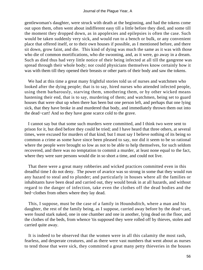gentlewoman's daughter, were struck with death at the beginning, and had the tokens come out upon them, often went about indifferent easy till a little before they died, and some till the moment they dropped down, as in apoplexies and epilepsies is often the case. Such would be taken suddenly very sick, and would run to a bench or bulk, or any convenient place that offered itself, or to their own houses if possible, as I mentioned before, and there sit down, grow faint, and die. This kind of dying was much the same as it was with those who die of common mortifications, who die swooning, and, as it were, go away in a dream. Such as died thus had very little notice of their being infected at all till the gangrene was spread through their whole body; nor could physicians themselves know certainly how it was with them till they opened their breasts or other parts of their body and saw the tokens.

 We had at this time a great many frightful stories told us of nurses and watchmen who looked after the dying people; that is to say, hired nurses who attended infected people, using them barbarously, starving them, smothering them, or by other wicked means hastening their end, that is to say, murdering of them; and watchmen, being set to guard houses that were shut up when there has been but one person left, and perhaps that one lying sick, that they have broke in and murdered that body, and immediately thrown them out into the dead−cart! And so they have gone scarce cold to the grave.

 I cannot say but that some such murders were committed, and I think two were sent to prison for it, but died before they could be tried; and I have heard that three others, at several times, were excused for murders of that kind; but I must say I believe nothing of its being so common a crime as some have since been pleased to say, nor did it seem to be so rational where the people were brought so low as not to be able to help themselves, for such seldom recovered, and there was no temptation to commit a murder, at least none equal to the fact, where they were sure persons would die in so short a time, and could not live.

 That there were a great many robberies and wicked practices committed even in this dreadful time I do not deny. The power of avarice was so strong in some that they would run any hazard to steal and to plunder; and particularly in houses where all the families or inhabitants have been dead and carried out, they would break in at all hazards, and without regard to the danger of infection, take even the clothes off the dead bodies and the bed−clothes from others where they lay dead.

 This, I suppose, must be the case of a family in Houndsditch, where a man and his daughter, the rest of the family being, as I suppose, carried away before by the dead−cart, were found stark naked, one in one chamber and one in another, lying dead on the floor, and the clothes of the beds, from whence 'tis supposed they were rolled off by thieves, stolen and carried quite away.

 It is indeed to be observed that the women were in all this calamity the most rash, fearless, and desperate creatures, and as there were vast numbers that went about as nurses to tend those that were sick, they committed a great many petty thieveries in the houses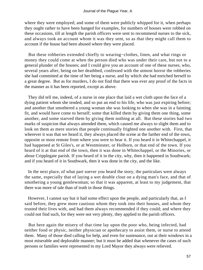where they were employed; and some of them were publicly whipped for it, when perhaps they ought rather to have been hanged for examples, for numbers of houses were robbed on these occasions, till at length the parish officers were sent to recommend nurses to the sick, and always took an account whom it was they sent, so as that they might call them to account if the house had been abused where they were placed.

 But these robberies extended chiefly to wearing−clothes, linen, and what rings or money they could come at when the person died who was under their care, but not to a general plunder of the houses; and I could give you an account of one of these nurses, who, several years after, being on her deathbed, confessed with the utmost horror the robberies she had committed at the time of her being a nurse, and by which she had enriched herself to a great degree. But as for murders, I do not find that there was ever any proof of the facts in the manner as it has been reported, except as above.

 They did tell me, indeed, of a nurse in one place that laid a wet cloth upon the face of a dying patient whom she tended, and so put an end to his life, who was just expiring before; and another that smothered a young woman she was looking to when she was in a fainting fit, and would have come to herself; some that killed them by giving them one thing, some another, and some starved them by giving them nothing at all. But these stories had two marks of suspicion that always attended them, which caused me always to slight them and to look on them as mere stories that people continually frighted one another with. First, that wherever it was that we heard it, they always placed the scene at the farther end of the town, opposite or most remote from where you were to hear it. If you heard it in Whitechappel, it had happened at St Giles's, or at Westminster, or Holborn, or that end of the town. If you heard of it at that end of the town, then it was done in Whitechappel, or the Minories, or about Cripplegate parish. If you heard of it in the city, why, then it happened in Southwark; and if you heard of it in Southwark, then it was done in the city, and the like.

 In the next place, of what part soever you heard the story, the particulars were always the same, especially that of laying a wet double clout on a dying man's face, and that of smothering a young gentlewoman; so that it was apparent, at least to my judgement, that there was more of tale than of truth in those things.

 However, I cannot say but it had some effect upon the people, and particularly that, as I said before, they grew more cautious whom they took into their houses, and whom they trusted their lives with, and had them always recommended if they could; and where they could not find such, for they were not very plenty, they applied to the parish officers.

 But here again the misery of that time lay upon the poor who, being infected, had neither food or physic, neither physician or apothecary to assist them, or nurse to attend them. Many of those died calling for help, and even for sustenance, out at their windows in a most miserable and deplorable manner; but it must be added that whenever the cases of such persons or families were represented to my Lord Mayor they always were relieved.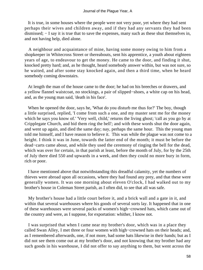It is true, in some houses where the people were not very poor, yet where they had sent perhaps their wives and children away, and if they had any servants they had been dismissed; − I say it is true that to save the expenses, many such as these shut themselves in, and not having help, died alone.

 A neighbour and acquaintance of mine, having some money owing to him from a shopkeeper in Whitecross Street or thereabouts, sent his apprentice, a youth about eighteen years of age, to endeavour to get the money. He came to the door, and finding it shut, knocked pretty hard; and, as he thought, heard somebody answer within, but was not sure, so he waited, and after some stay knocked again, and then a third time, when he heard somebody coming downstairs.

 At length the man of the house came to the door; he had on his breeches or drawers, and a yellow flannel waistcoat, no stockings, a pair of slipped−shoes, a white cap on his head, and, as the young man said, 'death in his face'.

When he opened the door, says he, 'What do you disturb me thus for?' The boy, though a little surprised, replied, 'I come from such a one, and my master sent me for the money which he says you know of.' 'Very well, child,' returns the living ghost; 'call as you go by at Cripplegate Church, and bid them ring the bell'; and with these words shut the door again, and went up again, and died the same day; nay, perhaps the same hour. This the young man told me himself, and I have reason to believe it. This was while the plague was not come to a height. I think it was in June, towards the latter end of the month; it must be before the dead−carts came about, and while they used the ceremony of ringing the bell for the dead, which was over for certain, in that parish at least, before the month of July, for by the 25th of July there died 550 and upwards in a week, and then they could no more bury in form, rich or poor.

 I have mentioned above that notwithstanding this dreadful calamity, yet the numbers of thieves were abroad upon all occasions, where they had found any prey, and that these were generally women. It was one morning about eleven O'clock, I had walked out to my brother's house in Coleman Street parish, as I often did, to see that all was safe.

 My brother's house had a little court before it, and a brick wall and a gate in it, and within that several warehouses where his goods of several sorts lay. It happened that in one of these warehouses were several packs of women's high−crowned hats, which came out of the country and were, as I suppose, for exportation: whither, I know not.

 I was surprised that when I came near my brother's door, which was in a place they called Swan Alley, I met three or four women with high−crowned hats on their heads; and, as I remembered afterwards, one, if not more, had some hats likewise in their hands; but as I did not see them come out at my brother's door, and not knowing that my brother had any such goods in his warehouse, I did not offer to say anything to them, but went across the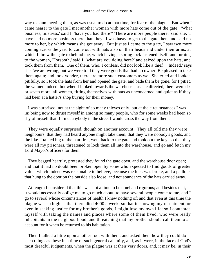way to shun meeting them, as was usual to do at that time, for fear of the plague. But when I came nearer to the gate I met another woman with more hats come out of the gate. 'What business, mistress,' said I, 'have you had there?' 'There are more people there,' said she; 'I have had no more business there than they.' I was hasty to get to the gate then, and said no more to her, by which means she got away. But just as I came to the gate, I saw two more coming across the yard to come out with hats also on their heads and under their arms, at which I threw the gate to behind me, which having a spring lock fastened itself; and turning to the women, 'Forsooth,' said I, 'what are you doing here?' and seized upon the hats, and took them from them. One of them, who, I confess, did not look like a thief − 'Indeed,' says she, 'we are wrong, but we were told they were goods that had no owner. Be pleased to take them again; and look yonder, there are more such customers as we.' She cried and looked pitifully, so I took the hats from her and opened the gate, and bade them be gone, for I pitied the women indeed; but when I looked towards the warehouse, as she directed, there were six or seven more, all women, fitting themselves with hats as unconcerned and quiet as if they had been at a hatter's shop buying for their money.

 I was surprised, not at the sight of so many thieves only, but at the circumstances I was in; being now to thrust myself in among so many people, who for some weeks had been so shy of myself that if I met anybody in the street I would cross the way from them.

 They were equally surprised, though on another account. They all told me they were neighbours, that they had heard anyone might take them, that they were nobody's goods, and the like. I talked big to them at first, went back to the gate and took out the key, so that they were all my prisoners, threatened to lock them all into the warehouse, and go and fetch my Lord Mayor's officers for them.

 They begged heartily, protested they found the gate open, and the warehouse door open; and that it had no doubt been broken open by some who expected to find goods of greater value: which indeed was reasonable to believe, because the lock was broke, and a padlock that hung to the door on the outside also loose, and not abundance of the hats carried away.

 At length I considered that this was not a time to be cruel and rigorous; and besides that, it would necessarily oblige me to go much about, to have several people come to me, and I go to several whose circumstances of health I knew nothing of; and that even at this time the plague was so high as that there died 4000 a week; so that in showing my resentment, or even in seeking justice for my brother's goods, I might lose my own life; so I contented myself with taking the names and places where some of them lived, who were really inhabitants in the neighbourhood, and threatening that my brother should call them to an account for it when he returned to his habitation.

 Then I talked a little upon another foot with them, and asked them how they could do such things as these in a time of such general calamity, and, as it were, in the face of God's most dreadful judgements, when the plague was at their very doors, and, it may be, in their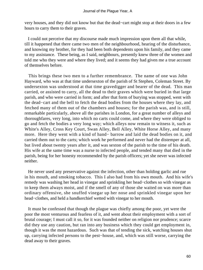very houses, and they did not know but that the dead−cart might stop at their doors in a few hours to carry them to their graves.

 I could not perceive that my discourse made much impression upon them all that while, till it happened that there came two men of the neighbourhood, hearing of the disturbance, and knowing my brother, for they had been both dependents upon his family, and they came to my assistance. These being, as I said, neighbours, presently knew three of the women and told me who they were and where they lived; and it seems they had given me a true account of themselves before.

 This brings these two men to a further remembrance. The name of one was John Hayward, who was at that time undersexton of the parish of St Stephen, Coleman Street. By undersexton was understood at that time gravedigger and bearer of the dead. This man carried, or assisted to carry, all the dead to their graves which were buried in that large parish, and who were carried in form; and after that form of burying was stopped, went with the dead−cart and the bell to fetch the dead bodies from the houses where they lay, and fetched many of them out of the chambers and houses; for the parish was, and is still, remarkable particularly, above all the parishes in London, for a great number of alleys and thoroughfares, very long, into which no carts could come, and where they were obliged to go and fetch the bodies a very long way; which alleys now remain to witness it, such as White's Alley, Cross Key Court, Swan Alley, Bell Alley, White Horse Alley, and many more. Here they went with a kind of hand− barrow and laid the dead bodies on it, and carried them out to the carts; which work he performed and never had the distemper at all, but lived about twenty years after it, and was sexton of the parish to the time of his death. His wife at the same time was a nurse to infected people, and tended many that died in the parish, being for her honesty recommended by the parish officers; yet she never was infected neither.

 He never used any preservative against the infection, other than holding garlic and rue in his mouth, and smoking tobacco. This I also had from his own mouth. And his wife's remedy was washing her head in vinegar and sprinkling her head−clothes so with vinegar as to keep them always moist, and if the smell of any of those she waited on was more than ordinary offensive, she snuffed vinegar up her nose and sprinkled vinegar upon her head−clothes, and held a handkerchief wetted with vinegar to her mouth.

 It must be confessed that though the plague was chiefly among the poor, yet were the poor the most venturous and fearless of it, and went about their employment with a sort of brutal courage; I must call it so, for it was founded neither on religion nor prudence; scarce did they use any caution, but ran into any business which they could get employment in, though it was the most hazardous. Such was that of tending the sick, watching houses shut up, carrying infected persons to the pest−house, and, which was still worse, carrying the dead away to their graves.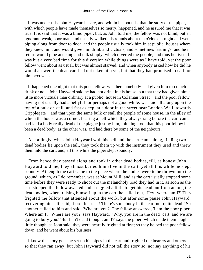It was under this John Hayward's care, and within his bounds, that the story of the piper, with which people have made themselves so merry, happened, and he assured me that it was true. It is said that it was a blind piper; but, as John told me, the fellow was not blind, but an ignorant, weak, poor man, and usually walked his rounds about ten o'clock at night and went piping along from door to door, and the people usually took him in at public−houses where they knew him, and would give him drink and victuals, and sometimes farthings; and he in return would pipe and sing and talk simply, which diverted the people; and thus he lived. It was but a very bad time for this diversion while things were as I have told, yet the poor fellow went about as usual, but was almost starved; and when anybody asked how he did he would answer, the dead cart had not taken him yet, but that they had promised to call for him next week.

 It happened one night that this poor fellow, whether somebody had given him too much drink or no − John Hayward said he had not drink in his house, but that they had given him a little more victuals than ordinary at a public−house in Coleman Street − and the poor fellow, having not usually had a bellyful for perhaps not a good while, was laid all along upon the top of a bulk or stall, and fast asleep, at a door in the street near London Wall, towards Cripplegate−, and that upon the same bulk or stall the people of some house, in the alley of which the house was a corner, hearing a bell which they always rang before the cart came, had laid a body really dead of the plague just by him, thinking, too, that this poor fellow had been a dead body, as the other was, and laid there by some of the neighbours.

 Accordingly, when John Hayward with his bell and the cart came along, finding two dead bodies lie upon the stall, they took them up with the instrument they used and threw them into the cart, and, all this while the piper slept soundly.

 From hence they passed along and took in other dead bodies, till, as honest John Hayward told me, they almost buried him alive in the cart; yet all this while he slept soundly. At length the cart came to the place where the bodies were to be thrown into the ground, which, as I do remember, was at Mount Mill; and as the cart usually stopped some time before they were ready to shoot out the melancholy load they had in it, as soon as the cart stopped the fellow awaked and struggled a little to get his head out from among the dead bodies, when, raising himself up in the cart, he called out, 'Hey! where am I?' This frighted the fellow that attended about the work; but after some pause John Hayward, recovering himself, said, 'Lord, bless us! There's somebody in the cart not quite dead!' So another called to him and said, 'Who are you?' The fellow answered, 'I am the poor piper. Where am I?' 'Where are you?' says Hayward. 'Why, you are in the dead−cart, and we are going to bury you.' 'But I an't dead though, am I?' says the piper, which made them laugh a little though, as John said, they were heartily frighted at first; so they helped the poor fellow down, and he went about his business.

 I know the story goes he set up his pipes in the cart and frighted the bearers and others so that they ran away; but John Hayward did not tell the story so, nor say anything of his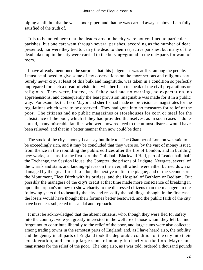piping at all; but that he was a poor piper, and that he was carried away as above I am fully satisfied of the truth of.

 It is to be noted here that the dead−carts in the city were not confined to particular parishes, but one cart went through several parishes, according as the number of dead presented; nor were they tied to carry the dead to their respective parishes, but many of the dead taken up in the city were carried to the burying−ground in the out−parts for want of room.

 I have already mentioned the surprise that this judgement was at first among the people. I must be allowed to give some of my observations on the more serious and religious part. Surely never city, at least of this bulk and magnitude, was taken in a condition so perfectly unprepared for such a dreadful visitation, whether I am to speak of the civil preparations or religious. They were, indeed, as if they had had no warning, no expectation, no apprehensions, and consequently the least provision imaginable was made for it in a public way. For example, the Lord Mayor and sheriffs had made no provision as magistrates for the regulations which were to be observed. They had gone into no measures for relief of the poor. The citizens had no public magazines or storehouses for corn or meal for the subsistence of the poor, which if they had provided themselves, as in such cases is done abroad, many miserable families who were now reduced to the utmost distress would have been relieved, and that in a better manner than now could be done.

 The stock of the city's money I can say but little to. The Chamber of London was said to be exceedingly rich, and it may be concluded that they were so, by the vast of money issued from thence in the rebuilding the public edifices after the fire of London, and in building new works, such as, for the first part, the Guildhall, Blackwell Hall, part of Leadenhall, half the Exchange, the Session House, the Compter, the prisons of Ludgate, Newgate, several of the wharfs and stairs and landing−places on the river; all which were either burned down or damaged by the great fire of London, the next year after the plague; and of the second sort, the Monument, Fleet Ditch with its bridges, and the Hospital of Bethlem or Bedlam, But possibly the managers of the city's credit at that time made more conscience of breaking in upon the orphan's money to show charity to the distressed citizens than the managers in the following years did to beautify the city and re−edify the buildings; though, in the first case, the losers would have thought their fortunes better bestowed, and the public faith of the city have been less subjected to scandal and reproach.

 It must be acknowledged that the absent citizens, who, though they were fled for safety into the country, were yet greatly interested in the welfare of those whom they left behind, forgot not to contribute liberally to the relief of the poor, and large sums were also collected among trading towns in the remotest parts of England; and, as I have heard also, the nobility and the gentry in all parts of England took the deplorable condition of the city into their consideration, and sent up large sums of money in charity to the Lord Mayor and magistrates for the relief of the poor. The king also, as I was told, ordered a thousand pounds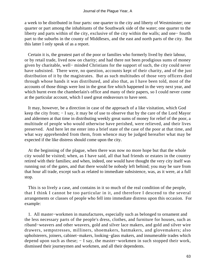a week to be distributed in four parts: one quarter to the city and liberty of Westminster; one quarter or part among the inhabitants of the Southwark side of the water; one quarter to the liberty and parts within of the city, exclusive of the city within the walls; and one− fourth part to the suburbs in the county of Middlesex, and the east and north parts of the city. But this latter I only speak of as a report.

 Certain it is, the greatest part of the poor or families who formerly lived by their labour, or by retail trade, lived now on charity; and had there not been prodigious sums of money given by charitable, well− minded Christians for the support of such, the city could never have subsisted. There were, no question, accounts kept of their charity, and of the just distribution of it by the magistrates. But as such multitudes of those very officers died through whose hands it was distributed, and also that, as I have been told, most of the accounts of those things were lost in the great fire which happened in the very next year, and which burnt even the chamberlain's office and many of their papers, so I could never come at the particular account, which I used great endeavours to have seen.

 It may, however, be a direction in case of the approach of a like visitation, which God keep the city from; − I say, it may be of use to observe that by the care of the Lord Mayor and aldermen at that time in distributing weekly great sums of money for relief of the poor, a multitude of people who would otherwise have perished, were relieved, and their lives preserved. And here let me enter into a brief state of the case of the poor at that time, and what way apprehended from them, from whence may be judged hereafter what may be expected if the like distress should come upon the city.

 At the beginning of the plague, when there was now no more hope but that the whole city would be visited; when, as I have said, all that had friends or estates in the country retired with their families; and when, indeed, one would have thought the very city itself was running out of the gates, and that there would be nobody left behind; you may be sure from that hour all trade, except such as related to immediate subsistence, was, as it were, at a full stop.

 This is so lively a case, and contains in it so much of the real condition of the people, that I think I cannot be too particular in it, and therefore I descend to the several arrangements or classes of people who fell into immediate distress upon this occasion. For example:

 1. All master−workmen in manufactures, especially such as belonged to ornament and the less necessary parts of the people's dress, clothes, and furniture for houses, such as riband−weavers and other weavers, gold and silver lace makers, and gold and silver wire drawers, sempstresses, milliners, shoemakers, hatmakers, and glovemakers; also upholsterers, joiners, cabinet−makers, looking−glass makers, and innumerable trades which depend upon such as these; − I say, the master−workmen in such stopped their work, dismissed their journeymen and workmen, and all their dependents.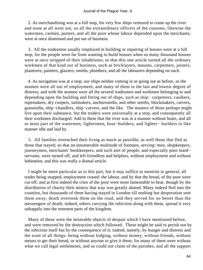2. As merchandising was at a full stop, for very few ships ventured to come up the river and none at all went out, so all the extraordinary officers of the customs, likewise the watermen, carmen, porters, and all the poor whose labour depended upon the merchants, were at once dismissed and put out of business.

 3. All the tradesmen usually employed in building or repairing of houses were at a full stop, for the people were far from wanting to build houses when so many thousand houses were at once stripped of their inhabitants; so that this one article turned all the ordinary workmen of that kind out of business, such as bricklayers, masons, carpenters, joiners, plasterers, painters, glaziers, smiths, plumbers, and all the labourers depending on such.

 4. As navigation was at a stop, our ships neither coming in or going out as before, so the seamen were all out of employment, and many of them in the last and lowest degree of distress; and with the seamen were all the several tradesmen and workmen belonging to and depending upon the building and fitting out of ships, such as ship− carpenters, caulkers, ropemakers, dry coopers, sailmakers, anchorsmiths, and other smiths; blockmakers, carvers, gunsmiths, ship−chandlers, ship−carvers, and the like. The masters of those perhaps might live upon their substance, but the traders were universally at a stop, and consequently all their workmen discharged. Add to these that the river was in a manner without boats, and all or most part of the watermen, lightermen, boat−builders, and lighter− builders in like manner idle and laid by.

 5. All families retrenched their living as much as possible, as well those that fled as those that stayed; so that an innumerable multitude of footmen, serving−men, shopkeepers, journeymen, merchants' bookkeepers, and such sort of people, and especially poor maid− servants, were turned off, and left friendless and helpless, without employment and without habitation, and this was really a dismal article.

 I might be more particular as to this part, but it may suffice to mention in general, all trades being stopped, employment ceased: the labour, and by that the bread, of the poor were cut off; and at first indeed the cries of the poor were most lamentable to hear, though by the distribution of charity their misery that way was greatly abated. Many indeed fled into the counties, but thousands of them having stayed in London till nothing but desperation sent them away, death overtook them on the road, and they served for no better than the messengers of death; indeed, others carrying the infection along with them, spread it very unhappily into the remotest parts of the kingdom.

 Many of these were the miserable objects of despair which I have mentioned before, and were removed by the destruction which followed. These might be said to perish not by the infection itself but by the consequence of it; indeed, namely, by hunger and distress and the want of all things: being without lodging, without money, without friends, without means to get their bread, or without anyone to give it them; for many of them were without what we call legal settlements, and so could not claim of the parishes, and all the support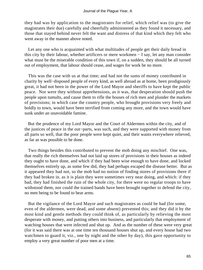they had was by application to the magistrates for relief, which relief was (to give the magistrates their due) carefully and cheerfully administered as they found it necessary, and those that stayed behind never felt the want and distress of that kind which they felt who went away in the manner above noted.

 Let any one who is acquainted with what multitudes of people get their daily bread in this city by their labour, whether artificers or mere workmen − I say, let any man consider what must be the miserable condition of this town if, on a sudden, they should be all turned out of employment, that labour should cease, and wages for work be no more.

 This was the case with us at that time; and had not the sums of money contributed in charity by well−disposed people of every kind, as well abroad as at home, been prodigiously great, it had not been in the power of the Lord Mayor and sheriffs to have kept the public peace. Nor were they without apprehensions, as it was, that desperation should push the people upon tumults, and cause them to rifle the houses of rich men and plunder the markets of provisions; in which case the country people, who brought provisions very freely and boldly to town, would have been terrified from coming any more, and the town would have sunk under an unavoidable famine.

 But the prudence of my Lord Mayor and the Court of Aldermen within the city, and of the justices of peace in the out−parts, was such, and they were supported with money from all parts so well, that the poor people were kept quiet, and their wants everywhere relieved, as far as was possible to be done.

 Two things besides this contributed to prevent the mob doing any mischief. One was, that really the rich themselves had not laid up stores of provisions in their houses as indeed they ought to have done, and which if they had been wise enough to have done, and locked themselves entirely up, as some few did, they had perhaps escaped the disease better. But as it appeared they had not, so the mob had no notion of finding stores of provisions there if they had broken in. as it is plain they were sometimes very near doing, and which: if they bad, they had finished the ruin of the whole city, for there were no regular troops to have withstood them, nor could the trained bands have been brought together to defend the city, no men being to be found to bear arms.

 But the vigilance of the Lord Mayor and such magistrates as could be had (for some, even of the aldermen, were dead, and some absent) prevented this; and they did it by the most kind and gentle methods they could think of, as particularly by relieving the most desperate with money, and putting others into business, and particularly that employment of watching houses that were infected and shut up. And as the number of these were very great (for it was said there was at one time ten thousand houses shut up, and every house had two watchmen to guard it, viz., one by night and the other by day), this gave opportunity to employ a very great number of poor men at a time.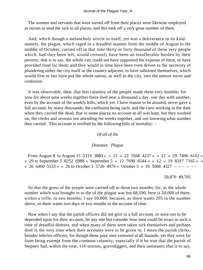The women and servants that were turned off from their places were likewise employed as nurses to tend the sick in all places, and this took off a very great number of them.

 And, which though a melancholy article in itself, yet was a deliverance in its kind: namely, the plague, which raged in a dreadful manner from the middle of August to the middle of October, carried off in that time thirty or forty thousand of these very people which, had they been left, would certainly have been an insufferable burden by their poverty; that is to say, the whole city could not have supported the expense of them, or have provided food for them; and they would in time have been even driven to the necessity of plundering either the city itself or the country adjacent, to have subsisted themselves, which would first or last have put the whole nation, as well as the city, into the utmost terror and confusion.

 It was observable, then, that this calamity of the people made them very humble; for now for about nine weeks together there died near a thousand a day, one day with another, even by the account of the weekly bills, which yet, I have reason to be assured, never gave a full account, by many thousands; the confusion being such, and the carts working in the dark when they carried the dead, that in some places no account at all was kept, but they worked on, the clerks and sextons not attending for weeks together, and not knowing what number they carried. This account is verified by the following bills of mortality: −

## *Of all of the*

## *Diseases. Plague*

 From August 8 to August 15 5319 3880 « » 15 « 22 5568 4237 » « 22 » 29 7496 6102 « » 29 to September 5 8252 6988 « September 5 » 12 7690 6544 « » 12 « 19 8297 7165 » « 19 » 26 6460 5533 « » 26 to October 3 5720 4979 « October 3 » 10 5068 4327 – – – – –

## 59,870 49,705

 So that the gross of the people were carried off in these two months; for, as the whole number which was brought in to die of the plague was but 68,590, here is 50,000 of them, within a trifle, in two months; I say 50,000, because, as there wants 295 in the number above, so there wants two days of two months in the account of time.

 Now when I say that the parish officers did not give in a full account, or were not to be depended upon for their account, let any one but consider how men could be exact in such a time of dreadful distress, and when many of them were taken sick themselves and perhaps died in the very time when their accounts were to be given in; I mean the parish clerks, besides inferior officers; for though these poor men ventured at all hazards, yet they were far from being exempt from the common calamity, especially if it be true that the parish of Stepney had, within the year, 116 sextons, gravediggers, and their assistants; that is to say,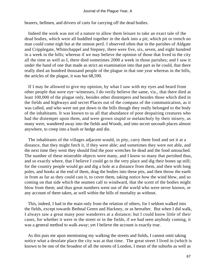bearers, bellmen, and drivers of carts for carrying off the dead bodies.

 Indeed the work was not of a nature to allow them leisure to take an exact tale of the dead bodies, which were all huddled together in the dark into a pit; which pit or trench no man could come nigh but at the utmost peril. I observed often that in the parishes of Aldgate and Cripplegate, Whitechappel and Stepney, there were five, six, seven, and eight hundred in a week in the bills; whereas if we may believe the opinion of those that lived in the city all the time as well as I, there died sometimes 2000 a week in those parishes; and I saw it under the hand of one that made as strict an examination into that part as he could, that there really died an hundred thousand people of the plague in that one year whereas in the bills, the articles of the plague, it was but 68,590.

 If I may be allowed to give my opinion, by what I saw with my eyes and heard from other people that were eye−witnesses, I do verily believe the same, viz., that there died at least 100,000 of the plague only, besides other distempers and besides those which died in the fields and highways and secret Places out of the compass of the communication, as it was called, and who were not put down in the bills though they really belonged to the body of the inhabitants. It was known to us all that abundance of poor despairing creatures who had the distemper upon them, and were grown stupid or melancholy by their misery, as many were, wandered away into the fields and Woods, and into secret uncouth places almost anywhere, to creep into a bush or hedge and die.

 The inhabitants of the villages adjacent would, in pity, carry them food and set it at a distance, that they might fetch it, if they were able; and sometimes they were not able, and the next time they went they should find the poor wretches lie dead and the food untouched. The number of these miserable objects were many, and I know so many that perished thus, and so exactly where, that I believe I could go to the very place and dig their bones up still; for the country people would go and dig a hole at a distance from them, and then with long poles, and hooks at the end of them, drag the bodies into these pits, and then throw the earth in from as far as they could cast it, to cover them, taking notice how the wind blew, and so coming on that side which the seamen call to windward, that the scent of the bodies might blow from them; and thus great numbers went out of the world who were never known, or any account of them taken, as well within the bills of mortality as without.

 This, indeed, I had in the main only from the relation of others, for I seldom walked into the fields, except towards Bethnal Green and Hackney, or as hereafter. But when I did walk, I always saw a great many poor wanderers at a distance; but I could know little of their cases, for whether it were in the street or in the fields, if we had seen anybody coming, it was a general method to walk away; yet I believe the account is exactly true.

 As this puts me upon mentioning my walking the streets and fields, I cannot omit taking notice what a desolate place the city was at that time. The great street I lived in (which is known to be one of the broadest of all the streets of London, I mean of the suburbs as well as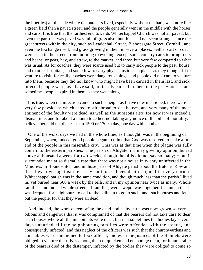the liberties) all the side where the butchers lived, especially without the bars, was more like a green field than a paved street, and the people generally went in the middle with the horses and carts. It is true that the farthest end towards Whitechappel Church was not all paved, but even the part that was paved was full of grass also; but this need not seem strange, since the great streets within the city, such as Leadenhall Street, Bishopsgate Street, Cornhill, and even the Exchange itself, had grass growing in them in several places; neither cart or coach were seen in the streets from morning to evening, except some country carts to bring roots and beans, or peas, hay, and straw, to the market, and those but very few compared to what was usual. As for coaches, they were scarce used but to carry sick people to the pest−house, and to other hospitals, and some few to carry physicians to such places as they thought fit to venture to visit; for really coaches were dangerous things, and people did not care to venture into them, because they did not know who might have been carried in them last, and sick, infected people were, as I have said, ordinarily carried in them to the pest−houses, and sometimes people expired in them as they went along.

 It is true, when the infection came to such a height as I have now mentioned, there were very few physicians which cared to stir abroad to sick houses, and very many of the most eminent of the faculty were dead, as well as the surgeons also; for now it was indeed a dismal time, and for about a month together, not taking any notice of the bills of mortality, I believe there did not die less than 1500 or 1700 a day, one day with another.

 One of the worst days we had in the whole time, as I thought, was in the beginning of September, when, indeed, good people began to think that God was resolved to make a full end of the people in this miserable city. This was at that time when the plague was fully come into the eastern parishes. The parish of Aldgate, if I may give my opinion, buried above a thousand a week for two weeks, though the bills did not say so many; − but it surrounded me at so dismal a rate that there was not a house in twenty uninfected in the Minories, in Houndsditch, and in those parts of Aldgate parish about the Butcher Row and the alleys over against me. I say, in those places death reigned in every corner. Whitechappel parish was in the same condition, and though much less than the parish I lived in, yet buried near 600 a week by the bills, and in my opinion near twice as many. Whole families, and indeed whole streets of families, were swept away together; insomuch that it was frequent for neighbours to call to the bellman to go to such−and−such houses and fetch out the people, for that they were all dead.

 And, indeed, the work of removing the dead bodies by carts was now grown so very odious and dangerous that it was complained of that the bearers did not take care to dear such houses where all the inhabitants were dead, but that sometimes the bodies lay several days unburied, till the neighbouring families were offended with the stench, and consequently infected; and this neglect of the officers was such that the churchwardens and constables were summoned to look after it, and even the justices of the Hamlets were obliged to venture their lives among them to quicken and encourage them, for innumerable of the bearers died of the distemper, infected by the bodies they were obliged to come so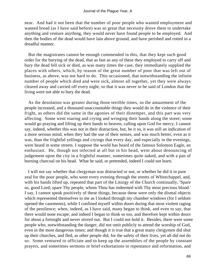near. And had it not been that the number of poor people who wanted employment and wanted bread (as I have said before) was so great that necessity drove them to undertake anything and venture anything, they would never have found people to be employed. And then the bodies of the dead would have lain above ground, and have perished and rotted in a dreadful manner.

 But the magistrates cannot be enough commended in this, that they kept such good order for the burying of the dead, that as fast as any of these they employed to carry off and bury the dead fell sick or died, as was many times the case, they immediately supplied the places with others, which, by reason of the great number of poor that was left out of business, as above, was not hard to do. This occasioned, that notwithstanding the infinite number of people which died and were sick, almost all together, yet they were always cleared away and carried off every night, so that it was never to be said of London that the living were not able to bury the dead.

 As the desolation was greater during those terrible times, so the amazement of the people increased, and a thousand unaccountable things they would do in the violence of their fright, as others did the same in the agonies of their distemper, and this part was very affecting. Some went roaring and crying and wringing their hands along the street; some would go praying and lifting up their hands to heaven, calling upon God for mercy. I cannot say, indeed, whether this was not in their distraction, but, be it so, it was still an indication of a more serious mind, when they had the use of their senses, and was much better, even as it was, than the frightful yellings and cryings that every day, and especially in the evenings, were heard in some streets. I suppose the world has heard of the famous Solomon Eagle, an enthusiast. He, though not infected at all but in his head, went about denouncing of judgement upon the city in a frightful manner, sometimes quite naked, and with a pan of burning charcoal on his head. What he said, or pretended, indeed I could not learn.

 I will not say whether that clergyman was distracted or not, or whether he did it in pure zeal for the poor people, who went every evening through the streets of Whitechappel, and, with his hands lifted up, repeated that part of the Liturgy of the Church continually, 'Spare us, good Lord; spare Thy people, whom Thou has redeemed with Thy most precious blood.' I say, I cannot speak positively of these things, because these were only the dismal objects which represented themselves to me as I looked through my chamber windows (for I seldom opened the casements), while I confined myself within doors during that most violent raging of the pestilence; when, indeed, as I have said, many began to think, and even to say, that there would none escape; and indeed I began to think so too, and therefore kept within doors for about a fortnight and never stirred out. But I could not hold it. Besides, there were some people who, notwithstanding the danger, did not omit publicly to attend the worship of God, even in the most dangerous times; and though it is true that a great many clergymen did shut up their churches, and fled, as other people did, for the safety of their lives, yet all did not do so. Some ventured to officiate and to keep up the assemblies of the people by constant prayers, and sometimes sermons or brief exhortations to repentance and reformation, and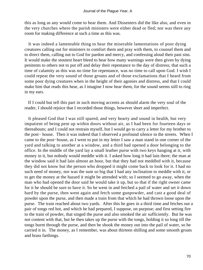this as long as any would come to hear them. And Dissenters did the like also, and even in the very churches where the parish ministers were either dead or fled; nor was there any room for making difference at such a time as this was.

 It was indeed a lamentable thing to hear the miserable lamentations of poor dying creatures calling out for ministers to comfort them and pray with them, to counsel them and to direct them, calling out to God for pardon and mercy, and confessing aloud their past sins. It would make the stoutest heart bleed to hear how many warnings were then given by dying penitents to others not to put off and delay their repentance to the day of distress; that such a time of calamity as this was no time for repentance, was no time to call upon God. I wish I could repeat the very sound of those groans and of those exclamations that I heard from some poor dying creatures when in the height of their agonies and distress, and that I could make him that reads this hear, as I imagine I now hear them, for the sound seems still to ring in my ears.

 If I could but tell this part in such moving accents as should alarm the very soul of the reader, I should rejoice that I recorded those things, however short and imperfect.

 It pleased God that I was still spared, and very hearty and sound in health, but very impatient of being pent up within doors without air, as I had been for fourteen days or thereabouts; and I could not restrain myself, but I would go to carry a letter for my brother to the post− house. Then it was indeed that I observed a profound silence in the streets. When I came to the post−house, as I went to put in my letter I saw a man stand in one corner of the yard and talking to another at a window, and a third had opened a door belonging to the office. In the middle of the yard lay a small leather purse with two keys hanging at it, with money in it, but nobody would meddle with it. I asked how long it had lain there; the man at the window said it had lain almost an hour, but that they had not meddled with it, because they did not know but the person who dropped it might come back to look for it. I had no such need of money, nor was the sum so big that I had any inclination to meddle with it, or to get the money at the hazard it might be attended with; so I seemed to go away, when the man who had opened the door said he would take it up, but so that if the right owner came for it he should be sure to have it. So he went in and fetched a pail of water and set it down hard by the purse, then went again and fetch some gunpowder, and cast a good deal of powder upon the purse, and then made a train from that which he had thrown loose upon the purse. The train reached about two yards. After this he goes in a third time and fetches out a pair of tongs red hot, and which he had prepared, I suppose, on purpose; and first setting fire to the train of powder, that singed the purse and also smoked the air sufficiently. But he was not content with that, but he then takes up the purse with the tongs, holding it so long till the tongs burnt through the purse, and then he shook the money out into the pail of water, so he carried it in. The money, as I remember, was about thirteen shilling and some smooth groats and brass farthings.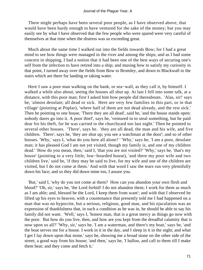There might perhaps have been several poor people, as I have observed above, that would have been hardy enough to have ventured for the sake of the money; but you may easily see by what I have observed that the few people who were spared were very careful of themselves at that time when the distress was so exceeding great.

 Much about the same time I walked out into the fields towards Bow; for I had a great mind to see how things were managed in the river and among the ships; and as I had some concern in shipping, I had a notion that it had been one of the best ways of securing one's self from the infection to have retired into a ship; and musing how to satisfy my curiosity in that point, I turned away over the fields from Bow to Bromley, and down to Blackwall to the stairs which are there for landing or taking water.

 Here I saw a poor man walking on the bank, or sea−wall, as they call it, by himself. I walked a while also about, seeing the houses all shut up. At last I fell into some talk, at a distance, with this poor man; first I asked him how people did thereabouts. 'Alas, sir!' says he, 'almost desolate; all dead or sick. Here are very few families in this part, or in that village' (pointing at Poplar), 'where half of them are not dead already, and the rest sick.' Then he pointing to one house, 'There they are all dead', said he, 'and the house stands open; nobody dares go into it. A poor thief', says he, 'ventured in to steal something, but he paid dear for his theft, for he was carried to the churchyard too last night.' Then he pointed to several other houses. 'There', says he. 'they are all dead, the man and his wife, and five children. There', says he, 'they are shut up; you see a watchman at the door'; and so of other houses. 'Why,' says I, 'what do you here all alone? ' 'Why,' says he, 'I am a poor, desolate man; it has pleased God I am not yet visited, though my family is, and one of my children dead.' 'How do you mean, then,' said I, 'that you are not visited?' 'Why,' says he, 'that's my house' (pointing to a very little, low−boarded house), 'and there my poor wife and two children live,' said he, 'if they may be said to live, for my wife and one of the children are visited, but I do not come at them.' And with that word I saw the tears run very plentifully down his face; and so they did down mine too, I assure you.

 'But,' said I, 'why do you not come at them? How can you abandon your own flesh and blood?' 'Oh, sir,' says he, 'the Lord forbid! I do not abandon them; I work for them as much as I am able; and, blessed be the Lord, I keep them from want'; and with that I observed he lifted up his eyes to heaven, with a countenance that presently told me I had happened on a man that was no hypocrite, but a serious, religious, good man, and his ejaculation was an expression of thankfulness that, in such a condition as he was in, he should be able to say his family did not want. 'Well,' says I, 'honest man, that is a great mercy as things go now with the poor. But how do you live, then, and how are you kept from the dreadful calamity that is now upon us all?' 'Why, sir,' says he, 'I am a waterman, and there's my boat,' says he, 'and the boat serves me for a house. I work in it in the day, and I sleep in it in the night; and what I get I lay down upon that stone,' says he, showing me a broad stone on the other side of the street, a good way from his house; 'and then,' says he, 'I halloo, and call to them till I make them hear; and they come and fetch it.'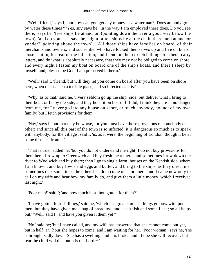'Well, friend,' says I, 'but how can you get any money as a waterman? Does an body go by water these times?' 'Yes, sir,' says he, 'in the way I am employed there does. Do you see there,' says he, 'five ships lie at anchor' (pointing down the river a good way below the town), 'and do you see', says he, 'eight or ten ships lie at the chain there, and at anchor yonder?' pointing above the town). 'All those ships have families on board, of their merchants and owners, and such−like, who have locked themselves up and live on board, close shut in, for fear of the infection; and I tend on them to fetch things for them, carry letters, and do what is absolutely necessary, that they may not be obliged to come on shore; and every night I fasten my boat on board one of the ship's boats, and there I sleep by myself, and, blessed be God, I am preserved hitherto.'

 'Well,' said I, 'friend, but will they let you come on board after you have been on shore here, when this is such a terrible place, and so infected as it is?'

 'Why, as to that,' said he, 'I very seldom go up the ship−side, but deliver what I bring to their boat, or lie by the side, and they hoist it on board. If I did, I think they are in no danger from me, for I never go into any house on shore, or touch anybody, no, not of my own family; but I fetch provisions for them.'

 'Nay,' says I, 'but that may be worse, for you must have those provisions of somebody or other; and since all this part of the town is so infected, it is dangerous so much as to speak with anybody, for the village', said I, 'is, as it were, the beginning of London, though it be at some distance from it.'

 'That is true,' added he; 'but you do not understand me right; I do not buy provisions for them here. I row up to Greenwich and buy fresh meat there, and sometimes I row down the river to Woolwich and buy there; then I go to single farm−houses on the Kentish side, where I am known, and buy fowls and eggs and butter, and bring to the ships, as they direct me, sometimes one, sometimes the other. I seldom come on shore here, and I came now only to call on my wife and hear how my family do, and give them a little money, which I received last night.'

'Poor man!' said I; 'and how much hast thou gotten for them?'

 'I have gotten four shillings,' said he, 'which is a great sum, as things go now with poor men; but they have given me a bag of bread too, and a salt fish and some flesh; so all helps out.' 'Well,' said I, 'and have you given it them yet?'

 'No,' said he; 'but I have called, and my wife has answered that she cannot come out yet, but in half−an−hour she hopes to come, and I am waiting for her. Poor woman!' says he, 'she is brought sadly down. She has a swelling, and it is broke, and I hope she will recover; but I fear the child will die, but it is the  $Lord - '$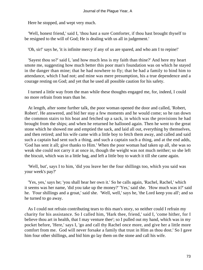Here he stopped, and wept very much.

 'Well, honest friend,' said I, 'thou hast a sure Comforter, if thou hast brought thyself to be resigned to the will of God; He is dealing with us all in judgement.'

'Oh, sir!' says he, 'it is infinite mercy if any of us are spared, and who am I to repine!'

 'Sayest thou so?' said I, 'and how much less is my faith than thine?' And here my heart smote me, suggesting how much better this poor man's foundation was on which he stayed in the danger than mine; that he had nowhere to fly; that he had a family to bind him to attendance, which I had not; and mine was mere presumption, his a true dependence and a courage resting on God; and yet that he used all possible caution for his safety.

 I turned a little way from the man while these thoughts engaged me, for, indeed, I could no more refrain from tears than he.

 At length, after some further talk, the poor woman opened the door and called, 'Robert, Robert'. He answered, and bid her stay a few moments and he would come; so he ran down the common stairs to his boat and fetched up a sack, in which was the provisions he had brought from the ships; and when he returned he hallooed again. Then he went to the great stone which he showed me and emptied the sack, and laid all out, everything by themselves, and then retired; and his wife came with a little boy to fetch them away, and called and said such a captain had sent such a thing, and such a captain such a thing, and at the end adds, 'God has sent it all; give thanks to Him.' When the poor woman had taken up all, she was so weak she could not carry it at once in, though the weight was not much neither; so she left the biscuit, which was in a little bag, and left a little boy to watch it till she came again.

 'Well, but', says I to him, 'did you leave her the four shillings too, which you said was your week's pay?'

 'Yes, yes,' says he; 'you shall hear her own it.' So he calls again, 'Rachel, Rachel,' which it seems was her name, 'did you take up the money?' 'Yes,' said she. 'How much was it?' said he. 'Four shillings and a groat,' said she. 'Well, well,' says he, 'the Lord keep you all'; and so he turned to go away.

 As I could not refrain contributing tears to this man's story, so neither could I refrain my charity for his assistance. So I called him, 'Hark thee, friend,' said I, 'come hither, for I believe thou art in health, that I may venture thee'; so I pulled out my hand, which was in my pocket before, 'Here,' says I, 'go and call thy Rachel once more, and give her a little more comfort from me. God will never forsake a family that trust in Him as thou dost.' So I gave him four other shillings, and bid him go lay them on the stone and call his wife.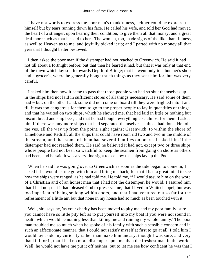I have not words to express the poor man's thankfulness, neither could he express it himself but by tears running down his face. He called his wife, and told her God had moved the heart of a stranger, upon hearing their condition, to give them all that money, and a great deal more such as that he said to her. The woman, too, made signs of the like thankfulness, as well to Heaven as to me, and joyfully picked it up; and I parted with no money all that year that I thought better bestowed.

 I then asked the poor man if the distemper had not reached to Greenwich. He said it had not till about a fortnight before; but that then he feared it had, but that it was only at that end of the town which lay south towards Deptford Bridge; that he went only to a butcher's shop and a grocer's, where he generally bought such things as they sent him for, but was very careful.

 I asked him then how it came to pass that those people who had so shut themselves up in the ships had not laid in sufficient stores of all things necessary. He said some of them had − but, on the other hand, some did not come on board till they were frighted into it and till it was too dangerous for them to go to the proper people to lay in quantities of things, and that he waited on two ships, which he showed me, that had laid in little or nothing but biscuit bread and ship beer, and that he had bought everything else almost for them. I asked him if there was any more ships that had separated themselves as those had done. He told me yes, all the way up from the point, right against Greenwich, to within the shore of Limehouse and Redriff, all the ships that could have room rid two and two in the middle of the stream, and that some of them had several families on board. I asked him if the distemper had not reached them. He said he believed it had not, except two or three ships whose people had not been so watchful to keep the seamen from going on shore as others had been, and he said it was a very fine sight to see how the ships lay up the Pool.

 When he said he was going over to Greenwich as soon as the tide began to come in, I asked if he would let me go with him and bring me back, for that I had a great mind to see how the ships were ranged, as he had told me. He told me, if I would assure him on the word of a Christian and of an honest man that I had not the distemper, he would. I assured him that I had not; that it had pleased God to preserve me; that I lived in Whitechappel, but was too impatient of being so long within doors, and that I had ventured out so far for the refreshment of a little air, but that none in my house had so much as been touched with it.

Well, sir,' says he, 'as your charity has been moved to pity me and my poor family, sure you cannot have so little pity left as to put yourself into my boat if you were not sound in health which would be nothing less than killing me and ruining my whole family.' The poor man troubled me so much when he spoke of his family with such a sensible concern and in such an affectionate manner, that I could not satisfy myself at first to go at all. I told him I would lay aside my curiosity rather than make him uneasy, though I was sure, and very thankful for it, that I had no more distemper upon me than the freshest man in the world. Well, he would not have me put it off neither, but to let me see how confident he was that I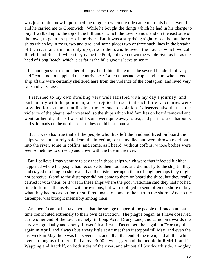was just to him, now importuned me to go; so when the tide came up to his boat I went in, and he carried me to Greenwich. While he bought the things which he had in his charge to buy, I walked up to the top of the hill under which the town stands, and on the east side of the town, to get a prospect of the river. But it was a surprising sight to see the number of ships which lay in rows, two and two, and some places two or three such lines in the breadth of the river, and this not only up quite to the town, between the houses which we call Ratcliff and Redriff, which they name the Pool, but even down the whole river as far as the head of Long Reach, which is as far as the hills give us leave to see it.

 I cannot guess at the number of ships, but I think there must be several hundreds of sail; and I could not but applaud the contrivance: for ten thousand people and more who attended ship affairs were certainly sheltered here from the violence of the contagion, and lived very safe and very easy.

 I returned to my own dwelling very well satisfied with my day's journey, and particularly with the poor man; also I rejoiced to see that such little sanctuaries were provided for so many families in a time of such desolation. I observed also that, as the violence of the plague had increased, so the ships which had families on board removed and went farther off, till, as I was told, some went quite away to sea, and put into such harbours and safe roads on the north coast as they could best come at.

 But it was also true that all the people who thus left the land and lived on board the ships were not entirely safe from the infection, for many died and were thrown overboard into the river, some in coffins, and some, as I heard, without coffins, whose bodies were seen sometimes to drive up and down with the tide in the river.

 But I believe I may venture to say that in those ships which were thus infected it either happened where the people had recourse to them too late, and did not fly to the ship till they had stayed too long on shore and had the distemper upon them (though perhaps they might not perceive it) and so the distemper did not come to them on board the ships, but they really carried it with them; or it was in these ships where the poor waterman said they had not had time to furnish themselves with provisions, but were obliged to send often on shore to buy what they had occasion for, or suffered boats to come to them from the shore. And so the distemper was brought insensibly among them.

 And here I cannot but take notice that the strange temper of the people of London at that time contributed extremely to their own destruction. The plague began, as I have observed, at the other end of the town, namely, in Long Acre, Drury Lane, and came on towards the city very gradually and slowly. It was felt at first in December, then again in February, then again in April, and always but a very little at a time; then it stopped till May, and even the last week in May there was but seventeen, and all at that end of the town; and all this while, even so long as till there died above 3000 a week, yet had the people in Redriff, and in Wapping and Ratcliff, on both sides of the river, and almost all Southwark side, a mighty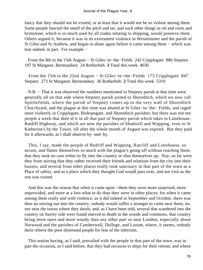fancy that they should not be visited, or at least that it would not be so violent among them. Some people fancied the smell of the pitch and tar, and such other things as oil and rosin and brimstone, which is so much used by all trades relating to shipping, would preserve them. Others argued it, because it was in its extreamest violence in Westminster and the parish of St Giles and St Andrew, and began to abate again before it came among them − which was true indeed, in part. For example −

 From the 8th to the 15th August − St Giles−in−the−Fields 242 Cripplegate 886 Stepney 197 St Margaret, Bermondsey 24 Rotherhith **3** Total this week 4030

 From the 15th to the 22nd August − St Giles−in−the−Fields 175 Cripplegate 847 Stepney 273 St Margaret, Bermondsey 36 Rotherhith **2** Total this week 5319

N.B. – That it was observed the numbers mentioned in Stepney parish at that time were generally all on that side where Stepney parish joined to Shoreditch, which we now call Spittlefields, where the parish of Stepney comes up to the very wall of Shoreditch Churchyard, and the plague at this time was abated at St Giles−in−the− Fields, and raged most violently in Cripplegate, Bishopsgate, and Shoreditch parishes; but there was not ten people a week that died of it in all that part of Stepney parish which takes in Limehouse, Ratdiff Highway, and which are now the parishes of Shadwell and Wapping, even to St Katherine's by the Tower, till after the whole month of August was expired. But they paid for it afterwards, as I shall observe by−and−by.

 This, I say, made the people of Redriff and Wapping, Ratcliff and Limehouse, so secure, and flatter themselves so much with the plague's going off without reaching them, that they took no care either to fly into the country or shut themselves up. Nay, so far were they from stirring that they rather received their friends and relations from the city into their houses, and several from other places really took sanctuary in that part of the town as a Place of safety, and as a place which they thought God would pass over, and not visit as the rest was visited.

And this was the reason that when it came upon –them they were more surprised, more unprovided, and more at a loss what to do than they were in other places; for when it came among them really and with violence, as it did indeed in September and October, there was then no stirring out into the country, nobody would suffer a stranger to come near them, no, nor near the towns where they dwelt; and, as I have been told, several that wandered into the country on Surrey side were found starved to death in the woods and commons, that country being more open and more woody than any other part so near London, especially about Norwood and the parishes of Camberwell, Dullege, and Lusum, where, it seems, nobody durst relieve the poor distressed people for fear of the infection.

 This notion having, as I said, prevailed with the people in that part of the town, was in part the occasion, as I said before, that they had recourse to ships for their retreat; and where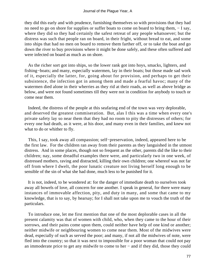they did this early and with prudence, furnishing themselves so with provisions that they had no need to go on shore for supplies or suffer boats to come on board to bring them, − I say, where they did so they had certainly the safest retreat of any people whatsoever; but the distress was such that people ran on board, in their fright, without bread to eat, and some into ships that had no men on board to remove them farther off, or to take the boat and go down the river to buy provisions where it might be done safely, and these often suffered and were infected on board as much as on shore.

 As the richer sort got into ships, so the lower rank got into hoys, smacks, lighters, and fishing−boats; and many, especially watermen, lay in their boats; but those made sad work of it, especially the latter, for, going about for provision, and perhaps to get their subsistence, the infection got in among them and made a fearful havoc; many of the watermen died alone in their wherries as they rid at their roads, as well as above bridge as below, and were not found sometimes till they were not in condition for anybody to touch or come near them.

 Indeed, the distress of the people at this seafaring end of the town was very deplorable, and deserved the greatest commiseration. But, alas I this was a time when every one's private safety lay so near them that they had no room to pity the distresses of others; for every one had death, as it were, at his door, and many even in their families, and knew not what to do or whither to fly.

 This, I say, took away all compassion; self−preservation, indeed, appeared here to be the first law. For the children ran away from their parents as they languished in the utmost distress. And in some places, though not so frequent as the other, parents did the like to their children; nay, some dreadful examples there were, and particularly two in one week, of distressed mothers, raving and distracted, killing their own children; one whereof was not far off from where I dwelt, the poor lunatic creature not living herself long enough to be sensible of the sin of what she had done, much less to be punished for it.

 It is not, indeed, to be wondered at: for the danger of immediate death to ourselves took away all bowels of love, all concern for one another. I speak in general, for there were many instances of immovable affection, pity, and duty in many, and some that came to my knowledge, that is to say, by hearsay; for I shall not take upon me to vouch the truth of the particulars.

 To introduce one, let me first mention that one of the most deplorable cases in all the present calamity was that of women with child, who, when they came to the hour of their sorrows, and their pains come upon them, could neither have help of one kind or another; neither midwife or neighbouring women to come near them. Most of the midwives were dead, especially of such as served the poor; and many, if not all the midwives of note, were fled into the country; so that it was next to impossible for a poor woman that could not pay an immoderate price to get any midwife to come to her − and if they did, those they could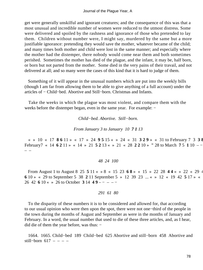get were generally unskilful and ignorant creatures; and the consequence of this was that a most unusual and incredible number of women were reduced to the utmost distress. Some were delivered and spoiled by the rashness and ignorance of those who pretended to lay them. Children without number were, I might say, murdered by the same but a more justifiable ignorance: pretending they would save the mother, whatever became of the child; and many times both mother and child were lost in the same manner; and especially where the mother had the distemper, there nobody would come near them and both sometimes perished. Sometimes the mother has died of the plague, and the infant, it may be, half born, or born but not parted from the mother. Some died in the very pains of their travail, and not delivered at all; and so many were the cases of this kind that it is hard to judge of them.

 Something of it will appear in the unusual numbers which are put into the weekly bills (though I am far from allowing them to be able to give anything of a full account) under the articles of − Child−bed. Abortive and Still−born. Christmas and Infants.

 Take the weeks in which the plague was most violent, and compare them with the weeks before the distemper began, even in the same year. For example: −

*Child−bed. Abortive. Still−born.*

*From January 3 to January 10 7 1 13* 

 « » 10 « 17 **8 6** 11 » « 17 » 24 **9 5** 15 « » 24 « 31 **3 2 9** » « 31 to February 7 3 **3 8** » February7 « 14 **6 2** 11 » « 14 » 21 **5 2** 13 « » 21 « 28 **2 2** 10 » **"** 28 to March **7** 5 **1** 10 – − – − – –

## *48 24 100*

 From August 1 to August 8 25 **5** 11 « » 8 « 15 23 **6 8** » « 15 » 22 28 **4 4** « » 22 « 29 40 **6** 10 » « 29 to September 5 38 **2** 11 September 5 » 12 39 23 ... « » 12 « 19 42 **5** 17 » « 19 » 26 42 **6** 10 « » 26 to October **3** 14 **4 9** – − – – −

## *291 61 80*

 To the disparity of these numbers it is to be considered and allowed for, that according to our usual opinion who were then upon the spot, there were not one−third of the people in the town during the months of August and September as were in the months of January and February. In a word, the usual number that used to die of these three articles, and, as I hear, did die of them the year before, was thus: −

 1664. 1665. Child−bed 189 Child−bed 625 Abortive and still−born 458 Abortive and still−born 617 – – – –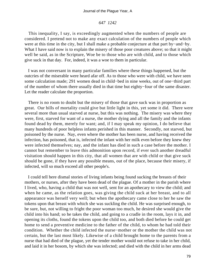## *647 1242*

 This inequality, I say, is exceedingly augmented when the numbers of people are considered. I pretend not to make any exact calculation of the numbers of people which were at this time in the city, but I shall make a probable conjecture at that part by−and−by. What I have said now is to explain the misery of those poor creatures above; so that it might well be said, as in the Scripture, Woe be to those who are with child, and to those which give suck in that day. For, indeed, it was a woe to them in particular.

 I was not conversant in many particular families where these things happened, but the outcries of the miserable were heard afar off. As to those who were with child, we have seen some calculation made; 291 women dead in child−bed in nine weeks, out of one−third part of the number of whom there usually died in that time but eighty−four of the same disaster. Let the reader calculate the proportion.

 There is no room to doubt but the misery of those that gave suck was in proportion as great. Our bills of mortality could give but little light in this, yet some it did. There were several more than usual starved at nurse, but this was nothing. The misery was where they were, first, starved for want of a nurse, the mother dying and all the family and the infants found dead by them, merely for want; and, if I may speak my opinion, I do believe that many hundreds of poor helpless infants perished in this manner. Secondly, not starved, but poisoned by the nurse. Nay, even where the mother has been nurse, and having received the infection, has poisoned, that is, infected the infant with her milk even before they knew they were infected themselves; nay, and the infant has died in such a case before the mother. I cannot but remember to leave this admonition upon record, if ever such another dreadful visitation should happen in this city, that all women that are with child or that give suck should be gone, if they have any possible means, out of the place, because their misery, if infected, will so much exceed all other people's.

 I could tell here dismal stories of living infants being found sucking the breasts of their mothers, or nurses, after they have been dead of the plague. Of a mother in the parish where I lived, who, having a child that was not well, sent for an apothecary to view the child; and when he came, as the relation goes, was giving the child suck at her breast, and to all appearance was herself very well; but when the apothecary came close to her he saw the tokens upon that breast with which she was suckling the child. He was surprised enough, to be sure, but, not willing to fright the poor woman too much, he desired she would give the child into his hand; so he takes the child, and going to a cradle in the room, lays it in, and opening its cloths, found the tokens upon the child too, and both died before he could get home to send a preventive medicine to the father of the child, to whom he had told their condition. Whether the child infected the nurse−mother or the mother the child was not certain, but the last most likely. Likewise of a child brought home to the parents from a nurse that had died of the plague, yet the tender mother would not refuse to take in her child, and laid it in her bosom, by which she was infected; and died with the child in her arms dead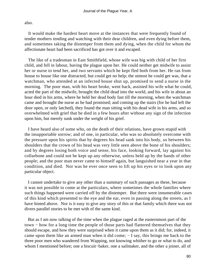also.

 It would make the hardest heart move at the instances that were frequently found of tender mothers tending and watching with their dear children, and even dying before them, and sometimes taking the distemper from them and dying, when the child for whom the affectionate heart had been sacrificed has got over it and escaped.

 The like of a tradesman in East Smithfield, whose wife was big with child of her first child, and fell in labour, having the plague upon her. He could neither get midwife to assist her or nurse to tend her, and two servants which he kept fled both from her. He ran from house to house like one distracted, but could get no help; the utmost he could get was, that a watchman, who attended at an infected house shut up, promised to send a nurse in the morning. The poor man, with his heart broke, went back, assisted his wife what he could, acted the part of the midwife, brought the child dead into the world, and his wife in about an hour died in his arms, where he held her dead body fast till the morning, when the watchman came and brought the nurse as he had promised; and coming up the stairs (for he had left the door open, or only latched), they found the man sitting with his dead wife in his arms, and so overwhelmed with grief that he died in a few hours after without any sign of the infection upon him, but merely sunk under the weight of his grief.

 I have heard also of some who, on the death of their relations, have grown stupid with the insupportable sorrow; and of one, in particular, who was so absolutely overcome with the pressure upon his spirits that by degrees his head sank into his body, so between his shoulders that the crown of his head was very little seen above the bone of his shoulders; and by degrees losing both voice and sense, his face, looking forward, lay against his collarbone and could not be kept up any otherwise, unless held up by the hands of other people; and the poor man never came to himself again, but languished near a year in that condition, and died. Nor was he ever once seen to lift up his eyes or to look upon any particular object.

 I cannot undertake to give any other than a summary of such passages as these, because it was not possible to come at the particulars, where sometimes the whole families where such things happened were carried off by the distemper. But there were innumerable cases of this kind which presented to the eye and the ear, even in passing along the streets, as I have hinted above. Nor is it easy to give any story of this or that family which there was not divers parallel stories to be met with of the same kind.

 But as I am now talking of the time when the plague raged at the easternmost part of the town − how for a long time the people of those parts had flattered themselves that they should escape, and how they were surprised when it came upon them as it did; for, indeed, it came upon them like an armed man when it did come; − I say, this brings me back to the three poor men who wandered from Wapping, not knowing whither to go or what to do, and whom I mentioned before; one a biscuit−baker, one a sailmaker, and the other a joiner, all of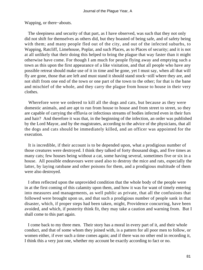Wapping, or there−abouts.

 The sleepiness and security of that part, as I have observed, was such that they not only did not shift for themselves as others did, but they boasted of being safe, and of safety being with them; and many people fled out of the city, and out of the infected suburbs, to Wapping, Ratcliff, Limehouse, Poplar, and such Places, as to Places of security; and it is not at all unlikely that their doing this helped to bring the plague that way faster than it might otherwise have come. For though I am much for people flying away and emptying such a town as this upon the first appearance of a like visitation, and that all people who have any possible retreat should make use of it in time and be gone, yet I must say, when all that will fly are gone, those that are left and must stand it should stand stock−still where they are, and not shift from one end of the town or one part of the town to the other; for that is the bane and mischief of the whole, and they carry the plague from house to house in their very clothes.

 Wherefore were we ordered to kill all the dogs and cats, but because as they were domestic animals, and are apt to run from house to house and from street to street, so they are capable of carrying the effluvia or infectious streams of bodies infected even in their furs and hair? And therefore it was that, in the beginning of the infection, an order was published by the Lord Mayor, and by the magistrates, according to the advice of the physicians, that all the dogs and cats should be immediately killed, and an officer was appointed for the execution.

 It is incredible, if their account is to be depended upon, what a prodigious number of those creatures were destroyed. I think they talked of forty thousand dogs, and five times as many cats; few houses being without a cat, some having several, sometimes five or six in a house. All possible endeavours were used also to destroy the mice and rats, especially the latter, by laying ratsbane and other poisons for them, and a prodigious multitude of them were also destroyed.

 I often reflected upon the unprovided condition that the whole body of the people were in at the first coming of this calamity upon them, and how it was for want of timely entering into measures and managements, as well public as private, that all the confusions that followed were brought upon us, and that such a prodigious number of people sank in that disaster, which, if proper steps had been taken, might, Providence concurring, have been avoided, and which, if posterity think fit, they may take a caution and warning from. But I shall come to this part again.

 I come back to my three men. Their story has a moral in every part of it, and their whole conduct, and that of some whom they joined with, is a pattern for all poor men to follow, or women either, if ever such a time comes again; and if there was no other end in recording it, I think this a very just one, whether my account be exactly according to fact or no.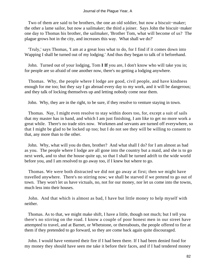Two of them are said to be brothers, the one an old soldier, but now a biscuit−maker; the other a lame sailor, but now a sailmaker; the third a joiner. Says John the biscuit−maker one day to Thomas his brother, the sailmaker, 'Brother Tom, what will become of us? The plague grows hot in the city, and increases this way. What shall we do?'

 'Truly,' says Thomas, 'I am at a great loss what to do, for I find if it comes down into Wapping I shall be turned out of my lodging.' And thus they began to talk of it beforehand.

 John. Turned out of your lodging, Tom **I If** you are, I don't know who will take you in; for people are so afraid of one another now, there's no getting a lodging anywhere.

 Thomas. Why, the people where I lodge are good, civil people, and have kindness enough for me too; but they say I go abroad every day to my work, and it will be dangerous; and they talk of locking themselves up and letting nobody come near them.

John. Why, they are in the right, to be sure, if they resolve to venture staying in town.

 Thomas. Nay, I might even resolve to stay within doors too, for, except a suit of sails that my master has in hand, and which I am just finishing, I am like to get no more work a great while. There's no trade stirs now. Workmen and servants are turned off everywhere, so that I might be glad to be locked up too; but I do not see they will be willing to consent to that, any more than to the other.

 John. Why, what will you do then, brother? And what shall I do? for I am almost as bad as you. The people where I lodge are all gone into the country but a maid, and she is to go next week, and to shut the house quite up, so that I shall be turned adrift to the wide world before you, and I am resolved to go away too, if I knew but where to go.

 Thomas. We were both distracted we did not go away at first; then we might have travelled anywhere. There's no stirring now; we shall be starved if we pretend to go out of town. They won't let us have victuals, no, not for our money, nor let us come into the towns, much less into their houses.

 John. And that which is almost as bad, I have but little money to help myself with neither.

 Thomas. As to that, we might make shift, I have a little, though not much; but I tell you there's no stirring on the road. I know a couple of poor honest men in our street have attempted to travel, and at Barnet, or Whetstone, or thereabouts, the people offered to fire at them if they pretended to go forward, so they are come back again quite discouraged.

 John. I would have ventured their fire if I had been there. If I had been denied food for my money they should have seen me take it before their faces, and if I had tendered money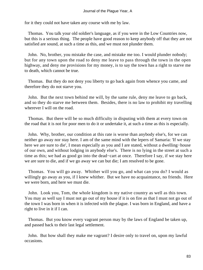for it they could not have taken any course with me by law.

 Thomas. You talk your old soldier's language, as if you were in the Low Countries now, but this is a serious thing. The people have good reason to keep anybody off that they are not satisfied are sound, at such a time as this, and we must not plunder them.

 John. No, brother, you mistake the case, and mistake me too. I would plunder nobody; but for any town upon the road to deny me leave to pass through the town in the open highway, and deny me provisions for my money, is to say the town has a right to starve me to death, which cannot be true.

 Thomas. But they do not deny you liberty to go back again from whence you came, and therefore they do not starve you.

 John. But the next town behind me will, by the same rule, deny me leave to go back, and so they do starve me between them. Besides, there is no law to prohibit my travelling wherever I will on the road.

 Thomas. But there will be so much difficulty in disputing with them at every town on the road that it is not for poor men to do it or undertake it, at such a time as this is especially.

 John. Why, brother, our condition at this rate is worse than anybody else's, for we can neither go away nor stay here. I am of the same mind with the lepers of Samaria: 'If we stay here we are sure to die', I mean especially as you and I are stated, without a dwelling−house of our own, and without lodging in anybody else's. There is no lying in the street at such a time as this; we had as good go into the dead−cart at once. Therefore I say, if we stay here we are sure to die, and if we go away we can but die; I am resolved to be gone.

 Thomas. You will go away. Whither will you go, and what can you do? I would as willingly go away as you, if I knew whither. But we have no acquaintance, no friends. Here we were born, and here we must die.

 John. Look you, Tom, the whole kingdom is my native country as well as this town. You may as well say I must not go out of my house if it is on fire as that I must not go out of the town I was born in when it is infected with the plague. I was born in England, and have a right to live in it if I can.

 Thomas. But you know every vagrant person may by the laws of England be taken up, and passed back to their last legal settlement.

 John. But how shall they make me vagrant? I desire only to travel on, upon my lawful occasions.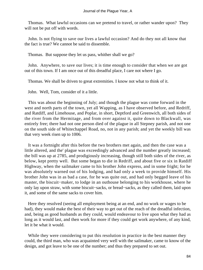Thomas. What lawful occasions can we pretend to travel, or rather wander upon? They will not be put off with words.

 John. Is not flying to save our lives a lawful occasion? And do they not all know that the fact is true? We cannot be said to dissemble.

Thomas. But suppose they let us pass, whither shall we go?

 John. Anywhere, to save our lives; it is time enough to consider that when we are got out of this town. If I am once out of this dreadful place, I care not where I go.

Thomas. We shall be driven to great extremities. I know not what to think of it.

John. Well, Tom, consider of it a little.

 This was about the beginning of July; and though the plague was come forward in the west and north parts of the town, yet all Wapping, as I have observed before, and Redriff, and Ratdiff, and Limehouse, and Poplar, in short, Deptford and Greenwich, all both sides of the river from the Hermitage, and from over against it, quite down to Blackwall, was entirely free; there had not one person died of the plague in all Stepney parish, and not one on the south side of Whitechappel Road, no, not in any parish; and yet the weekly bill was that very week risen up to 1006.

 It was a fortnight after this before the two brothers met again, and then the case was a little altered, and the' plague was exceedingly advanced and the number greatly increased; the bill was up at 2785, and prodigiously increasing, though still both sides of the river, as below, kept pretty well. But some began to die in Redriff, and about five or six in Ratdiff Highway, when the sailmaker came to his brother John express, and in some fright; for he was absolutely warned out of his lodging, and had only a week to provide himself. His brother John was in as bad a case, for he was quite out, and had only begged leave of his master, the biscuit−maker, to lodge in an outhouse belonging to his workhouse, where he only lay upon straw, with some biscuit−sacks, or bread−sacks, as they called them, laid upon it, and some of the same sacks to cover him.

 Here they resolved (seeing all employment being at an end, and no work or wages to be had), they would make the best of their way to get out of the reach of the dreadful infection, and, being as good husbands as they could, would endeavour to live upon what they had as long as it would last, and then work for more if they could get work anywhere, of any kind, let it be what it would.

While they were considering to put this resolution in practice in the best manner they could, the third man, who was acquainted very well with the sailmaker, came to know of the design, and got leave to be one of the number; and thus they prepared to set out.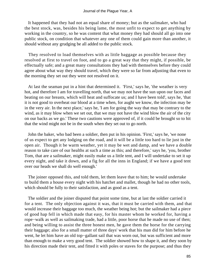It happened that they had not an equal share of money; but as the sailmaker, who had the best stock, was, besides his being lame, the most unfit to expect to get anything by working in the country, so he was content that what money they had should all go into one public stock, on condition that whatever any one of them could gain more than another, it should without any grudging be all added to the public stock.

 They resolved to load themselves with as little baggage as possible because they resolved at first to travel on foot, and to go a great way that they might, if possible, be effectually safe; and a great many consultations they had with themselves before they could agree about what way they should travel, which they were so far from adjusting that even to the morning they set out they were not resolved on it.

 At last the seaman put in a hint that determined it. 'First,' says he, 'the weather is very hot, and therefore I am for travelling north, that we may not have the sun upon our faces and beating on our breasts, which will heat and suffocate us; and I have been told', says he, 'that it is not good to overheat our blood at a time when, for aught we know, the infection may be in the very air. In the next place,' says he, 'I am for going the way that may be contrary to the wind, as it may blow when we set out, that we may not have the wind blow the air of the city on our backs as we go.' These two cautions were approved of, if it could be brought so to hit that the wind might not be in the south when they set out to go north.

 John the baker, who bad been a soldier, then put in his opinion. 'First,' says he, 'we none of us expect to get any lodging on the road, and it will be a little too hard to lie just in the open air. Though it be warm weather, yet it may be wet and damp, and we have a double reason to take care of our healths at such a time as this; and therefore,' says he, 'you, brother Tom, that are a sailmaker, might easily make us a little tent, and I will undertake to set it up every night, and take it down, and a fig for all the inns in England; if we have a good tent over our heads we shall do well enough.'

 The joiner opposed this, and told them, let them leave that to him; he would undertake to build them a house every night with his hatchet and mallet, though he had no other tools, which should be fully to their satisfaction, and as good as a tent.

 The soldier and the joiner disputed that point some time, but at last the soldier carried it for a tent. The only objection against it was, that it must be carried with them, and that would increase their baggage too much, the weather being hot; but the sailmaker had a piece of good hap fell in which made that easy, for his master whom he worked for, having a rope−walk as well as sailmaking trade, had a little, poor horse that he made no use of then; and being willing to assist the three honest men, he gave them the horse for the carrying their baggage; also for a small matter of three days' work that his man did for him before he went, he let him have an old top−gallant sail that was worn out, but was sufficient and more than enough to make a very good tent. The soldier showed how to shape it, and they soon by his direction made their tent, and fitted it with poles or staves for the purpose; and thus they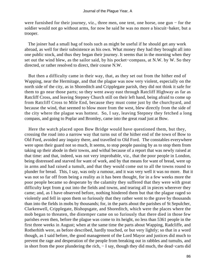were furnished for their journey, viz., three men, one tent, one horse, one gun − for the soldier would not go without arms, for now he said he was no more a biscuit−baker, but a trooper.

 The joiner had a small bag of tools such as might be useful if he should get any work abroad, as well for their subsistence as his own. What money they had they brought all into one public stock, and thus they began their journey. It seems that in the morning when they set out the wind blew, as the sailor said, by his pocket−compass, at N.W. by W. So they directed, or rather resolved to direct, their course N.W.

 But then a difficulty came in their way, that, as they set out from the hither end of Wapping, near the Hermitage, and that the plague was now very violent, especially on the north side of the city, as in Shoreditch and Cripplegate parish, they did not think it safe for them to go near those parts; so they went away east through Ratcliff Highway as far as Ratcliff Cross, and leaving Stepney Church still on their left hand, being afraid to come up from Ratcliff Cross to Mile End, because they must come just by the churchyard, and because the wind, that seemed to blow more from the west, blew directly from the side of the city where the plague was hottest. So, I say, leaving Stepney they fetched a long compass, and going to Poplar and Bromley, came into the great road just at Bow.

 Here the watch placed upon Bow Bridge would have questioned them, but they, crossing the road into a narrow way that turns out of the hither end of the town of Bow to Old Ford, avoided any inquiry there, and travelled to Old Ford. The constables everywhere were upon their guard not so much, It seems, to stop people passing by as to stop them from taking up their abode in their towns, and withal because of a report that was newly raised at that time: and that, indeed, was not very improbable, viz., that the poor people in London, being distressed and starved for want of work, and by that means for want of bread, were up in arms and had raised a tumult, and that they would come out to all the towns round to plunder for bread. This, I say, was only a rumour, and it was very well it was no more. But it was not so far off from being a reality as it has been thought, for in a few weeks more the poor people became so desperate by the calamity they suffered that they were with great difficulty kept from g out into the fields and towns, and tearing all in pieces wherever they came; and, as I have observed before, nothing hindered them but that the plague raged so violently and fell in upon them so furiously that they rather went to the grave by thousands than into the fields in mobs by thousands; for, in the parts about the parishes of St Sepulcher, Clarkenwell, Cripplegate, Bishopsgate, and Shoreditch, which were the places where the mob began to threaten, the distemper came on so furiously that there died in those few parishes even then, before the plague was come to its height, no less than 5361 people in the first three weeks in August; when at the same time the parts about Wapping, Radcliffe, and Rotherhith were, as before described, hardly touched, or but very lightly; so that in a word though, as I said before, the good management of the Lord Mayor and justices did much to prevent the rage and desperation of the people from breaking out in rabbles and tumults, and in short from the poor plundering the rich, − I say, though they did much, the dead−carts did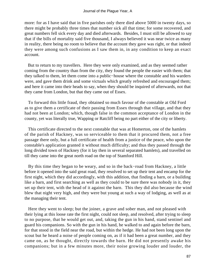more: for as I have said that in five parishes only there died above 5000 in twenty days, so there might be probably three times that number sick all that time; for some recovered, and great numbers fell sick every day and died afterwards. Besides, I must still be allowed to say that if the bills of mortality said five thousand, I always believed it was near twice as many in reality, there being no room to believe that the account they gave was right, or that indeed they were among such confusions as I saw them in, in any condition to keep an exact account.

 But to return to my travellers. Here they were only examined, and as they seemed rather coming from the country than from the city, they found the people the easier with them; that they talked to them, let them come into a public−house where the constable and his warders were, and gave them drink and some victuals which greatly refreshed and encouraged them; and here it came into their heads to say, when they should be inquired of afterwards, not that they came from London, but that they came out of Essex.

 To forward this little fraud, they obtained so much favour of the constable at Old Ford as to give them a certificate of their passing from Essex through that village, and that they had not been at London; which, though false in the common acceptance of London in the county, yet was literally true, Wapping or Ratcliff being no part either of the city or liberty.

 This certificate directed to the next constable that was at Homerton, one of the hamlets of the parish of Hackney, was so serviceable to them that it procured them, not a free passage there only, but a full certificate of health from a justice of the peace, who upon the constable's application granted it without much difficulty; and thus they passed through the long divided town of Hackney (for it lay then in several separated hamlets), and travelled on till they came into the great north road on the top of Stamford Hill.

 By this time they began to be weary, and so in the back−road from Hackney, a little before it opened into the said great road, they resolved to set up their tent and encamp for the first night, which they did accordingly, with this addition, that finding a barn, or a building like a barn, and first searching as well as they could to be sure there was nobody in it, they set up their tent, with the head of it against the barn. This they did also because the wind blew that night very high, and they were but young at such a way of lodging, as well as at the managing their tent.

 Here they went to sleep; but the joiner, a grave and sober man, and not pleased with their lying at this loose rate the first night, could not sleep, and resolved, after trying to sleep to no purpose, that he would get out, and, taking the gun in his hand, stand sentinel and guard his companions. So with the gun in his hand, he walked to and again before the barn, for that stood in the field near the road, but within the hedge. He had not been long upon the scout but he heard a noise of people coming on, as if it had been a great number, and they came on, as he thought, directly towards the barn. He did not presently awake his companions; but in a few minutes more, their noise growing louder and louder, the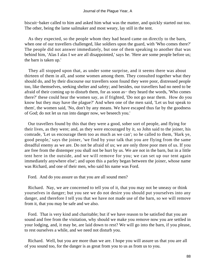biscuit−baker called to him and asked him what was the matter, and quickly started out too. The other, being the lame sailmaker and most weary, lay still in the tent.

 As they expected, so the people whom they had heard came on directly to the barn, when one of our travellers challenged, like soldiers upon the guard, with 'Who comes there?' The people did not answer immediately, but one of them speaking to another that was behind him, 'Alas I alas I we are all disappointed,' says he. 'Here are some people before us; the barn is taken up.'

 They all stopped upon that, as under some surprise, and it seems there was about thirteen of them in all, and some women among them. They consulted together what they should do, and by their discourse our travellers soon found they were poor, distressed people too, like themselves, seeking shelter and safety; and besides, our travellers had no need to be afraid of their coming up to disturb them, for as soon as− they heard the words, 'Who comes there?' these could hear the women say, as if frighted, 'Do not go near them. How do you know but they may have the plague?' And when one of the men said, 'Let us but speak to them', the women said, 'No, don't by any means. We have escaped thus far by the goodness of God; do not let us run into danger now, we beseech you.'

 Our travellers found by this that they were a good, sober sort of people, and flying for their lives, as they were; and, as they were encouraged by it, so John said to the joiner, his comrade, 'Let us encourage them too as much as we can'; so he called to them, 'Hark ye, good people,' says the joiner, 'we find by your talk that you are flying from the same dreadful enemy as we are. Do not be afraid of us; we are only three poor men of us. If you are free from the distemper you shall not be hurt by us. We are not in the barn, but in a little tent here in the outside, and we will remove for you; we can set up our tent again immediately anywhere else'; and upon this a parley began between the joiner, whose name was Richard, and one of their men, who said his name was Ford.

Ford. And do you assure us that you are all sound men?

 Richard. Nay, we are concerned to tell you of it, that you may not be uneasy or think yourselves in danger; but you see we do not desire you should put yourselves into any danger, and therefore I tell you that we have not made use of the barn, so we will remove from it, that you may be safe and we also.

 Ford. That is very kind and charitable; but if we have reason to be satisfied that you are sound and free from the visitation, why should we make you remove now you are settled in your lodging, and, it may be, are laid down to rest? We will go into the barn, if you please, to rest ourselves a while, and we need not disturb you.

 Richard. Well, but you are more than we are. I hope you will assure us that you are all of you sound too, for the danger is as great from you to us as from us to you.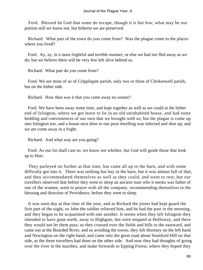Ford. Blessed be God that some do escape, though it is but few; what may be our portion still we know not, but hitherto we are preserved.

 Richard. What part of the town do you come from? Was the plague come to the places where you lived?

 Ford. Ay, ay, in a most frightful and terrible manner, or else we had not fled away as we do; but we believe there will be very few left alive behind us.

Richard. What part do you come from?

 Ford. We are most of us of Cripplegate parish, only two or three of Clerkenwell parish, but on the hither side.

Richard. How then was it that you came away no sooner?

 Ford. We have been away some time, and kept together as well as we could at the hither end of Islington, where we got leave to lie in an old uninhabited house, and had some bedding and conveniences of our own that we brought with us; but the plague is come up into Islington too, and a house next door to our poor dwelling was infected and shut up; and we are come away in a fright.

Richard. And what way are you going?

 Ford. As our lot shall cast us; we know not whither, but God will guide those that look up to Him.

 They parleyed no further at that time, but came all up to the barn, and with some difficulty got into it. There was nothing but hay in the barn, but it was almost full of that, and they accommodated themselves as well as they could, and went to rest; but our travellers observed that before they went to sleep an ancient man who it seems was father of one of the women, went to prayer with all the company, recommending themselves to the blessing and direction of Providence, before they went to sleep.

 It was soon day at that time of the year, and as Richard the joiner had kept guard the first part of the night, so John the soldier relieved him, and he had the post in the morning, and they began to be acquainted with one another. It seems when they left Islington they intended to have gone north, away to Highgate, but were stopped at Holloway, and there they would not let them pass; so they crossed over the fields and hills to the eastward, and came out at the Boarded River, and so avoiding the towns, they left Hornsey on the left hand and Newington on the right hand, and came into the great road about Stamford Hill on that side, as the three travellers had done on the other side. And now they had thoughts of going over the river in the marshes, and make forwards to Epping Forest, where they hoped they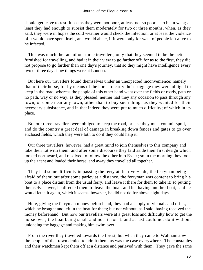should get leave to rest. It seems they were not poor, at least not so poor as to be in want; at least they had enough to subsist them moderately for two or three months, when, as they said, they were in hopes the cold weather would check the infection, or at least the violence of it would have spent itself, and would abate, if it were only for want of people left alive to he infected.

 This was much the fate of our three travellers, only that they seemed to be the better furnished for travelling, and had it in their view to go farther off; for as to the first, they did not propose to go farther than one day's journey, that so they might have intelligence every two or three days how things were at London.

 But here our travellers found themselves under an unexpected inconvenience: namely that of their horse, for by means of the horse to carry their baggage they were obliged to keep in the road, whereas the people of this other band went over the fields or roads, path or no path, way or no way, as they pleased; neither had they any occasion to pass through any town, or come near any town, other than to buy such things as they wanted for their necessary subsistence, and in that indeed they were put to much difficulty; of which in its place.

 But our three travellers were obliged to keep the road, or else they must commit spoil, and do the country a great deal of damage in breaking down fences and gates to go over enclosed fields, which they were loth to do if they could help it.

 Our three travellers, however, had a great mind to join themselves to this company and take their lot with them; and after some discourse they laid aside their first design which looked northward, and resolved to follow the other into Essex; so in the morning they took up their tent and loaded their horse, and away they travelled all together.

 They had some difficulty in passing the ferry at the river−side, the ferryman being afraid of them; but after some parley at a distance, the ferryman was content to bring his boat to a place distant from the usual ferry, and leave it there for them to take it; so putting themselves over, he directed them to leave the boat, and he, having another boat, said he would fetch it again, which it seems, however, he did not do for above eight days.

 Here, giving the ferryman money beforehand, they had a supply of victuals and drink, which he brought and left in the boat for them; but not without, as I said, having received the money beforehand. But now our travellers were at a great loss and difficulty how to get the horse over, the boat being small and not fit for it: and at last could not do it without unloading the baggage and making him swim over.

 From the river they travelled towards the forest, but when they came to Walthamstow the people of that town denied to admit them, as was the case everywhere. The constables and their watchmen kept them off at a distance and parleyed with them. They gave the same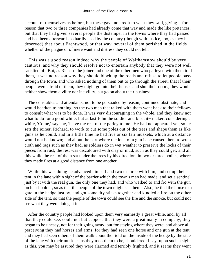account of themselves as before, but these gave no credit to what they said, giving it for a reason that two or three companies had already come that way and made the like pretences, but that they had given several people the distemper in the towns where they had passed; and had been afterwards so hardly used by the country (though with justice, too, as they had deserved) that about Brentwood, or that way, several of them perished in the fields − whether of the plague or of mere want and distress they could not tell.

 This was a good reason indeed why the people of Walthamstow should be very cautious, and why they should resolve not to entertain anybody that they were not well satisfied of. But, as Richard the joiner and one of the other men who parleyed with them told them, it was no reason why they should block up the roads and refuse to let people pass through the town, and who asked nothing of them but to go through the street; that if their people were afraid of them, they might go into their houses and shut their doors; they would neither show them civility nor incivility, but go on about their business.

 The constables and attendants, not to be persuaded by reason, continued obstinate, and would hearken to nothing; so the two men that talked with them went back to their fellows to consult what was to be done. It was very discouraging in the whole, and they knew not what to do for a good while; but at last John the soldier and biscuit− maker, considering a while, 'Come,' says he, 'leave the rest of the parley to me.' He had not appeared yet, so he sets the joiner, Richard, to work to cut some poles out of the trees and shape them as like guns as he could, and in a little time he had five or six fair muskets, which at a distance would not be known; and about the part where the lock of a gun is he caused them to wrap cloth and rags such as they had, as soldiers do in wet weather to preserve the locks of their pieces from rust; the rest was discoloured with clay or mud, such as they could get; and all this while the rest of them sat under the trees by his direction, in two or three bodies, where they made fires at a good distance from one another.

 While this was doing he advanced himself and two or three with him, and set up their tent in the lane within sight of the barrier which the town's men had made, and set a sentinel just by it with the real gun, the only one they had, and who walked to and fro with the gun on his shoulder, so as that the people of the town might see them. Also, he tied the horse to a gate in the hedge just by, and got some dry sticks together and kindled a fire on the other side of the tent, so that the people of the town could see the fire and the smoke, but could not see what they were doing at it.

 After the country people had looked upon them very earnestly a great while, and, by all that they could see, could not but suppose that they were a great many in company, they began to be uneasy, not for their going away, but for staying where they were; and above all, perceiving they had horses and arms, for they had seen one horse and one gun at the tent, and they had seen others of them walk about the field on the inside of the hedge by the side of the lane with their muskets, as they took them to be, shouldered; I say, upon such a sight as this, you may be assured they were alarmed and terribly frighted, and it seems they went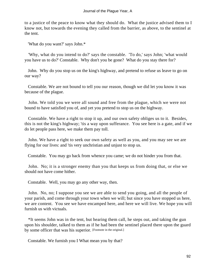to a justice of the peace to know what they should do. What the justice advised them to I know not, but towards the evening they called from the barrier, as above, to the sentinel at the tent.

'What do you want?' says John.\*

 'Why, what do you intend to do?' says the constable. 'To do,' says John; 'what would you have us to do?' Constable. Why don't you be gone? What do you stay there for?

 John. Why do you stop us on the king's highway, and pretend to refuse us leave to go on our way?

 Constable. We are not bound to tell you our reason, though we did let you know it was because of the plague.

 John. We told you we were all sound and free from the plague, which we were not bound to have satisfied you of, and yet you pretend to stop us on the highway.

 Constable. We have a right to stop it up, and our own safety obliges us to it. Besides, this is not the king's highway; 'tis a way upon sufferance. You see here is a gate, and if we do let people pass here, we make them pay toll.

 John. We have a right to seek our own safety as well as you, and you may see we are flying for our lives: and 'tis very unchristian and unjust to stop us.

Constable. You may go back from whence you came; we do not hinder you from that.

 John. No; it is a stronger enemy than you that keeps us from doing that, or else we should not have come hither.

Constable. Well, you may go any other way, then.

 John. No, no; I suppose you see we are able to send you going, and all the people of your parish, and come through your town when we will; but since you have stopped us here, we are content. You see we have encamped here, and here we will live. We hope you will furnish us with victuals.

 \*It seems John was in the tent, but hearing them call, he steps out, and taking the gun upon his shoulder, talked to them as if he had been the sentinel placed there upon the guard by some officer that was his superior. [Footnote in the original.]

Constable. We furnish you I What mean you by that?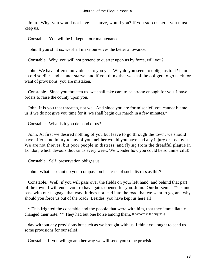John. Why, you would not have us starve, would you? If you stop us here, you must keep us.

Constable. You will be ill kept at our maintenance.

John. If you stint us, we shall make ourselves the better allowance.

Constable. Why, you will not pretend to quarter upon us by force, will you?

 John. We have offered no violence to you yet. Why do you seem to oblige us to it? I am an old soldier, and cannot starve, and if you think that we shall be obliged to go back for want of provisions, you are mistaken.

 Constable. Since you threaten us, we shall take care to be strong enough for you. I have orders to raise the county upon you.

 John. It is you that threaten, not we. And since you are for mischief, you cannot blame us if we do not give you time for it; we shall begin our march in a few minutes.\*

Constable. What is it you demand of us?

 John. At first we desired nothing of you but leave to go through the town; we should have offered no injury to any of you, neither would you have had any injury or loss by us. We are not thieves, but poor people in distress, and flying from the dreadful plague in London, which devours thousands every week. We wonder how you could be so unmerciful!

Constable. Self−preservation obliges us.

John. What! To shut up your compassion in a case of such distress as this?

 Constable. Well, if you will pass over the fields on your left hand, and behind that part of the town, I will endeavour to have gates opened for you. John. Our horsemen \*\* cannot pass with our baggage that way; it does not lead into the road that we want to go, and why should you force us out of the road? Besides, you have kept us here all

 \* This frighted the constable and the people that were with him, that they immediately changed their note. \*\* They had but one horse among them. [Footnotes in the original.]

 day without any provisions but such as we brought with us. I think you ought to send us some provisions for our relief.

Constable. If you will go another way we will send you some provisions.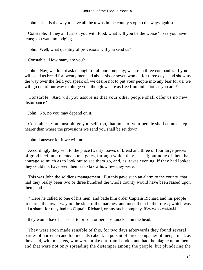John. That is the way to have all the towns in the county stop up the ways against us.

 Constable. If they all furnish you with food, what will you be the worse? I see you have tents; you want no lodging.

John. Well, what quantity of provisions will you send us?

Constable. How many are you?

 John. Nay, we do not ask enough for all our company; we are in three companies. If you will send us bread for twenty men and about six or seven women for three days, and show us the way over the field you speak of, we desire not to put your people into any fear for us; we will go out of our way to oblige you, though we are as free from infection as you are.\*

 Constable. And will you assure us that your other people shall offer us no new disturbance?

John. No, no you may depend on it.

 Constable. You must oblige yourself, too, that none of your people shall come a step nearer than where the provisions we send you shall be set down.

John. I answer for it we will not.

 Accordingly they sent to the place twenty loaves of bread and three or four large pieces of good beef, and opened some gates, through which they passed; but none of them had courage so much as to look out to see them go, and, as it was evening, if they had looked they could not have seen them as to know how few they were.

 This was John the soldier's management. But this gave such an alarm to the county, that had they really been two or three hundred the whole county would have been raised upon them, and

 \* Here he called to one of his men, and bade him order Captain Richard and his people to march the lower way on the side of the marches, and meet them in the forest; which was all a sham, for they had no Captain Richard, or any such company. [Footnote in the original.]

they would have been sent to prison, or perhaps knocked on the head.

 They were soon made sensible of this, for two days afterwards they found several parties of horsemen and footmen also about, in pursuit of three companies of men, armed, as they said, with muskets, who were broke out from London and had the plague upon them, and that were not only spreading the distemper among the people, but plundering the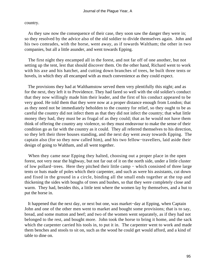country.

 As they saw now the consequence of their case, they soon saw the danger they were in; so they resolved by the advice also of the old soldier to divide themselves again. John and his two comrades, with the horse, went away, as if towards Waltham; the other in two companies, but all a little asunder, and went towards Epping.

 The first night they encamped all in the forest, and not far off of one another, but not setting up the tent, lest that should discover them. On the other hand, Richard went to work with his axe and his hatchet, and cutting down branches of trees, he built three tents or hovels, in which they all encamped with as much convenience as they could expect.

 The provisions they had at Walthamstow served them very plentifully this night; and as for the next, they left it to Providence. They had fared so well with the old soldier's conduct that they now willingly made him their leader, and the first of his conduct appeared to be very good. He told them that they were now at a proper distance enough from London; that as they need not be immediately beholden to the country for relief, so they ought to be as careful the country did not infect them as that they did not infect the country; that what little money they had, they must be as frugal of as they could; that as he would not have them think of offering the country any violence, so they must endeavour to make the sense of their condition go as far with the country as it could. They all referred themselves to his direction, so they left their three houses standing, and the next day went away towards Epping. The captain also (for so they now called him), and his two fellow−travellers, laid aside their design of going to Waltham, and all went together.

 When they came near Epping they halted, choosing out a proper place in the open forest, not very near the highway, but not far out of it on the north side, under a little cluster of low pollard−trees. Here they pitched their little camp − which consisted of three large tents or huts made of poles which their carpenter, and such as were his assistants, cut down and fixed in the ground in a circle, binding all the small ends together at the top and thickening the sides with boughs of trees and bushes, so that they were completely close and warm. They had, besides this, a little tent where the women lay by themselves, and a hut to put the horse in.

 It happened that the next day, or next but one, was market−day at Epping, when Captain John and one of the other men went to market and bought some provisions; that is to say, bread, and some mutton and beef; and two of the women went separately, as if they had not belonged to the rest, and bought more. John took the horse to bring it home, and the sack which the carpenter carried his tools in, to put it in. The carpenter went to work and made them benches and stools to sit on, such as the wood he could get would afford, and a kind of table to dine on.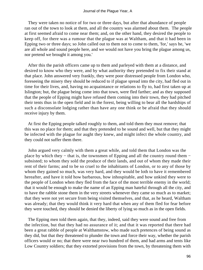They were taken no notice of for two or three days, but after that abundance of people ran out of the town to look at them, and all the country was alarmed about them. The people at first seemed afraid to come near them; and, on the other hand, they desired the people to keep off, for there was a rumour that the plague was at Waltham, and that it had been in Epping two or three days; so John called out to them not to come to them, 'for,' says he, 'we are all whole and sound people here, and we would not have you bring the plague among us, nor pretend we brought it among you.'

 After this the parish officers came up to them and parleyed with them at a distance, and desired to know who they were, and by what authority they pretended to fix their stand at that place. John answered very frankly, they were poor distressed people from London who, foreseeing the misery they should be reduced to if plague spread into the city, had fled out in time for their lives, and, having no acquaintance or relations to fly to, had first taken up at Islington; but, the plague being come into that town, were fled farther; and as they supposed that the people of Epping might have refused them coming into their town, they had pitched their tents thus in the open field and in the forest, being willing to bear all the hardships of such a disconsolate lodging rather than have any one think or be afraid that they should receive injury by them.

 At first the Epping people talked roughly to them, and told them they must remove; that this was no place for them; and that they pretended to be sound and well, but that they might be infected with the plague for aught they knew, and might infect the whole country, and they could not suffer them there.

 John argued very calmly with them a great while, and told them that London was the place by which they − that is, the townsmen of Epping and all the country round them − subsisted; to whom they sold the produce of their lands, and out of whom they made their rent of their farms; and to be so cruel to the inhabitants of London, or to any of those by whom they gained so much, was very hard, and they would be loth to have it remembered hereafter, and have it told how barbarous, how inhospitable, and how unkind they were to the people of London when they fled from the face of the most terrible enemy in the world; that it would be enough to make the name of an Epping man hateful through all the city, and to have the rabble stone them in the very streets whenever they came so much as to market; that they were not yet secure from being visited themselves, and that, as he heard, Waltham was already; that they would think it very hard that when any of them fled for fear before they were touched, they should be denied the liberty of lying so much as in the open fields.

 The Epping men told them again, that they, indeed, said they were sound and free from the infection, but that they had no assurance of it; and that it was reported that there had been a great rabble of people at Walthamstow, who made such pretences of being sound as they did, but that they threatened to plunder the town and force their way, whether the parish officers would or no; that there were near two hundred of them, and had arms and tents like Low Country soldiers; that they extorted provisions from the town, by threatening them with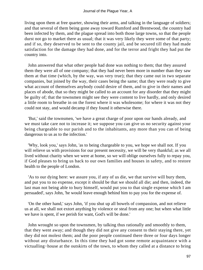living upon them at free quarter, showing their arms, and talking in the language of soldiers; and that several of them being gone away toward Rumford and Brentwood, the country had been infected by them, and the plague spread into both those large towns, so that the people durst not go to market there as usual; that it was very likely they were some of that party; and if so, they deserved to be sent to the county jail, and be secured till they had made satisfaction for the damage they had done, and for the terror and fright they had put the country into.

 John answered that what other people had done was nothing to them; that they assured them they were all of one company; that they had never been more in number than they saw them at that time (which, by the way, was very true); that they came out in two separate companies, but joined by the way, their cases being the same; that they were ready to give what account of themselves anybody could desire of them, and to give in their names and places of abode, that so they might be called to an account for any disorder that they might be guilty of; that the townsmen might see they were content to live hardly, and only desired a little room to breathe in on the forest where it was wholesome; for where it was not they could not stay, and would decamp if they found it otherwise there.

 'But,' said the townsmen, 'we have a great charge of poor upon our hands already, and we must take care not to increase it; we suppose you can give us no security against your being chargeable to our parish and to the inhabitants, any more than you can of being dangerous to us as to the infection.'

 'Why, look you,' says John, 'as to being chargeable to you, we hope we shall not. If you will relieve us with provisions for our present necessity, we will be very thankful; as we all lived without charity when we were at home, so we will oblige ourselves fully to repay you, if God pleases to bring us back to our own families and houses in safety, and to restore health to the people of London.

 'As to our dying here: we assure you, if any of us die, we that survive will bury them, and put you to no expense, except it should be that we should all die; and then, indeed, the last man not being able to bury himself, would put you to that single expense which I am persuaded', says John, 'he would leave enough behind him to pay you for the expense of.

 'On the other hand,' says John, 'if you shut up all bowels of compassion, and not relieve us at all, we shall not extort anything by violence or steal from any one; but when what little we have is spent, if we perish for want, God's will be done.'

 John wrought so upon the townsmen, by talking thus rationally and smoothly to them, that they went away; and though they did not give any consent to their staying there, yet they did not molest them; and the poor people continued there three or four days longer without any disturbance. In this time they had got some remote acquaintance with a victualling−house at the outskirts of the town, to whom they called at a distance to bring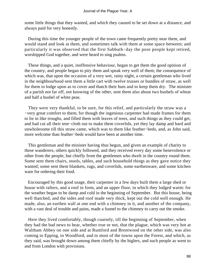some little things that they wanted, and which they caused to be set down at a distance, and always paid for very honestly.

 During this time the younger people of the town came frequently pretty near them, and would stand and look at them, and sometimes talk with them at some space between; and particularly it was observed that the first Sabbath−day the poor people kept retired, worshipped God together, and were heard to sing psalms.

 These things, and a quiet, inoffensive behaviour, began to get them the good opinion of the country, and people began to pity them and speak very well of them; the consequence of which was, that upon the occasion of a very wet, rainy night, a certain gentleman who lived in the neighbourhood sent them a little cart with twelve trusses or bundles of straw, as well for them to lodge upon as to cover and thatch their huts and to keep them dry. The minister of a parish not far off, not knowing of the other, sent them also about two bushels of wheat and half a bushel of white peas.

 They were very thankful, to be sure, for this relief, and particularly the straw was a −very great comfort to them; for though the ingenious carpenter had made frames for them to lie in like troughs, and filled them with leaves of trees, and such things as they could get, and had cut all their tent−cloth out to make them coverlids, yet they lay damp and hard and unwholesome till this straw came, which was to them like feather−beds, and, as John said, more welcome than feather−beds would have been at another time.

 This gentleman and the minister having thus begun, and given an example of charity to these wanderers, others quickly followed, and they received every day some benevolence or other from the people, but chiefly from the gentlemen who dwelt in the country round them. Some sent them chairs, stools, tables, and such household things as they gave notice they wanted; some sent them blankets, rugs, and coverlids, some earthenware, and some kitchen ware for ordering their food.

 Encouraged by this good usage, their carpenter in a few days built them a large shed or house with rafters, and a roof in form, and an upper floor, in which they lodged warm: for the weather began to be damp and cold in the beginning of September. But this house, being well thatched, and the sides and roof made very thick, kept out the cold well enough. He made, also, an earthen wall at one end with a chimney in it, and another of the company, with a vast deal of trouble and pains, made a funnel to the chimney to carry out the smoke.

 Here they lived comfortably, though coarsely, till the beginning of September, when they had the bad news to hear, whether true or not, that the plague, which was very hot at Waltham Abbey on one side and at Rumford and Brentwood on the other side, was also coming to Epping, to Woodford, and to most of the towns upon the Forest, and which, as they said, was brought down among them chiefly by the higlers, and such people as went to and from London with provisions.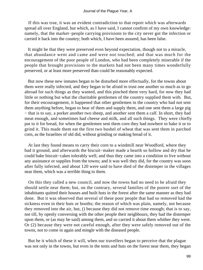If this was true, it was an evident contradiction to that report which was afterwards spread all over England, but which, as I have said, I cannot confirm of my own knowledge: namely, that the market−people carrying provisions to the city never got the infection or carried it back into the country; both which, I have been assured, has been false.

 It might be that they were preserved even beyond expectation, though not to a miracle, that abundance went and came and were not touched; and that was much for the encouragement of the poor people of London, who had been completely miserable if the people that brought provisions to the markets had not been many times wonderfully preserved, or at least more preserved than could be reasonably expected.

 But now these new inmates began to be disturbed more effectually, for the towns about them were really infected, and they began to be afraid to trust one another so much as to go abroad for such things as they wanted, and this pinched them very hard, for now they had little or nothing but what the charitable gentlemen of the country supplied them with. But, for their encouragement, it happened that other gentlemen in the country who had not sent them anything before, began to hear of them and supply them, and one sent them a large pig − that is to say, a porker another two sheep, and another sent them a calf. In short, they had meat enough, and sometimes had cheese and milk, and all such things. They were chiefly put to it for bread, for when the gentlemen sent them corn they had nowhere to bake it or to grind it. This made them eat the first two bushel of wheat that was sent them in parched corn, as the Israelites of old did, without grinding or making bread of it.

 At last they found means to carry their corn to a windmill near Woodford, where they bad it ground, and afterwards the biscuit−maker made a hearth so hollow and dry that he could bake biscuit−cakes tolerably well; and thus they came into a condition to live without any assistance or supplies from the towns; and it was well they did, for the country was soon after fully infected, and about 120 were said to have died of the distemper in the villages near them, which was a terrible thing to them.

 On this they called a new council, and now the towns had no need to be afraid they should settle near them; but, on the contrary, several families of the poorer sort of the inhabitants quitted their houses and built huts in the forest after the same manner as they had done. But it was observed that several of these poor people that had so removed had the sickness even in their huts or booths; the reason of which was plain, namely, not because they removed into the air, but, () because they did not remove time enough; that is to say, not till, by openly conversing with the other people their neighbours, they had the distemper upon them, or (as may be said) among them, and so carried it about them whither they went. Or (2) because they were not careful enough, after they were safely removed out of the towns, not to come in again and mingle with the diseased people.

 But be it which of these it will, when our travellers began to perceive that the plague was not only in the towns, but even in the tents and huts on the forest near them, they began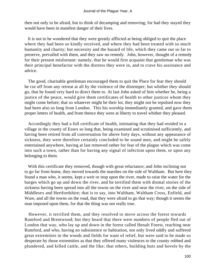then not only to be afraid, but to think of decamping and removing; for had they stayed they would have been in manifest danger of their lives.

 It is not to be wondered that they were greatly afflicted at being obliged to quit the place where they had been so kindly received, and where they had been treated with so much humanity and charity; but necessity and the hazard of life, which they came out so far to preserve, prevailed with them, and they saw no remedy. John, however, thought of a remedy for their present misfortune: namely, that he would first acquaint that gentleman who was their principal benefactor with the distress they were in, and to crave his assistance and advice.

 The good, charitable gentleman encouraged them to quit the Place for fear they should be cut off from any retreat at all by the violence of the distemper; but whither they should go, that he found very hard to direct them to. At last John asked of him whether he, being a justice of the peace, would give them certificates of health to other justices whom they might come before; that so whatever might be their lot, they might not be repulsed now they had been also so long from London. This his worship immediately granted, and gave them proper letters of health, and from thence they were at liberty to travel whither they pleased.

 Accordingly they had a full certificate of health, intimating that they had resided in a village in the county of Essex so long that, being examined and scrutinised sufficiently, and having been retired from all conversation for above forty days, without any appearance of sickness, they were therefore certainly concluded to be sound men, and might be safely entertained anywhere, having at last removed rather for fear of the plague which was come into such a town, rather than for having any signal of infection upon them, or upon any belonging to them.

With this certificate they removed, though with great reluctance; and John inclining not to go far from home, they moved towards the marshes on the side of Waltham. But here they found a man who, it seems, kept a weir or stop upon the river, made to raise the water for the barges which go up and down the river, and he terrified them with dismal stories of the sickness having been spread into all the towns on the river and near the river, on the side of Middlesex and Hertfordshire; that is to say, into Waltham, Waltham Cross, Enfield, and Ware, and all the towns on the road, that they were afraid to go that way; though it seems the man imposed upon them, for that the thing was not really true.

 However, it terrified them, and they resolved to move across the forest towards Rumford and Brentwood; but they heard that there were numbers of people fled out of London that way, who lay up and down in the forest called Henalt Forest, reaching near Rumford, and who, having no subsistence or habitation, not only lived oddly and suffered great extremities in the woods and fields for want of relief, but were said to be made so desperate by those extremities as that they offered many violences to the county robbed and plundered, and killed cattle, and the like; that others, building huts and hovels by the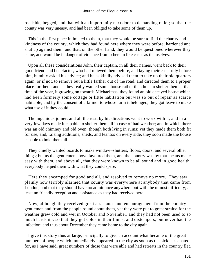roadside, begged, and that with an importunity next door to demanding relief; so that the county was very uneasy, and had been obliged to take some of them up.

 This in the first place intimated to them, that they would be sure to find the charity and kindness of the county, which they had found here where they were before, hardened and shut up against them; and that, on the other hand, they would be questioned wherever they came, and would be in danger of violence from others in like cases as themselves.

 Upon all these considerations John, their captain, in all their names, went back to their good friend and benefactor, who had relieved them before, and laying their case truly before him, humbly asked his advice; and he as kindly advised them to take up their old quarters again, or if not, to remove but a little farther out of the road, and directed them to a proper place for them; and as they really wanted some house rather than huts to shelter them at that time of the year, it growing on towards Michaelmas, they found an old decayed house which had been formerly some cottage or little habitation but was so out of repair as scarce habitable; and by the consent of a farmer to whose farm it belonged, they got leave to make what use of it they could.

 The ingenious joiner, and all the rest, by his directions went to work with it, and in a very few days made it capable to shelter them all in case of bad weather; and in which there was an old chimney and old oven, though both lying in ruins; yet they made them both fit for use, and, raising additions, sheds, and leantos on every side, they soon made the house capable to hold them all.

 They chiefly wanted boards to make window−shutters, floors, doors, and several other things; but as the gentlemen above favoured them, and the country was by that means made easy with them, and above all, that they were known to be all sound and in good health, everybody helped them with what they could spare.

 Here they encamped for good and all, and resolved to remove no more. They saw plainly how terribly alarmed that county was everywhere at anybody that came from London, and that they should have no admittance anywhere but with the utmost difficulty; at least no friendly reception and assistance as they had received here.

 Now, although they received great assistance and encouragement from the country gentlemen and from the people round about them, yet they were put to great straits: for the weather grew cold and wet in October and November, and they had not been used to so much hardship; so that they got colds in their limbs, and distempers, but never had the infection; and thus about December they came home to the city again.

 I give this story thus at large, principally to give an account what became of the great numbers of people which immediately appeared in the city as soon as the sickness abated; for, as I have said, great numbers of those that were able and had retreats in the country fled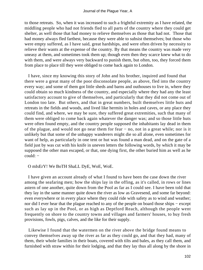to those retreats. So, when it was increased to such a frightful extremity as I have related, the middling people who had not friends fled to all parts of the country where they could get shelter, as well those that had money to relieve themselves as those that had not. Those that had money always fled farthest, because they were able to subsist themselves; but those who were empty suffered, as I have said, great hardships, and were often driven by necessity to relieve their wants at the expense of the country. By that means the country was made very uneasy at them, and sometimes took them up; though even then they scarce knew what to do with them, and were always very backward to punish them, but often, too, they forced them from place to place till they were obliged to come back again to London.

 I have, since my knowing this story of John and his brother, inquired and found that there were a great many of the poor disconsolate people, as above, fled into the country every way; and some of them got little sheds and barns and outhouses to live in, where they could obtain so much kindness of the country, and especially where they had any the least satisfactory account to give of themselves, and particularly that they did not come out of London too late. But others, and that in great numbers, built themselves little huts and retreats in the fields and woods, and lived like hermits in holes and caves, or any place they could find, and where, we may be sure, they suffered great extremities, such that many of them were obliged to come back again whatever the danger was; and so those little huts were often found empty, and the country people supposed the inhabitants lay dead in them of the plague, and would not go near them for fear − no, not in a great while; nor is it unlikely but that some of the unhappy wanderers might die so all alone, even sometimes for want of help, as particularly in one tent or hut was found a man dead, and on the gate of a field just by was cut with his knife in uneven letters the following words, by which it may be supposed the other man escaped, or that, one dying first, the other buried him as well as he could: −

## O mIsErY! We BoTH ShaLL DyE, WoE, WoE.

 I have given an account already of what I found to have been the case down the river among the seafaring men; how the ships lay in the offing, as it's called, in rows or lines astern of one another, quite down from the Pool as far as I could see. I have been told that they lay in the same manner quite down the river as low as Gravesend, and some far beyond: even everywhere or in every place where they could ride with safety as to wind and weather; nor did I ever hear that the plague reached to any of the people on board those ships − except such as lay up in the Pool, or as high as Deptford Reach, although the people went frequently on shore to the country towns and villages and farmers' houses, to buy fresh provisions, fowls, pigs, calves, and the like for their supply.

 Likewise I found that the watermen on the river above the bridge found means to convey themselves away up the river as far as they could go, and that they had, many of them, their whole families in their boats, covered with tilts and bales, as they call them, and furnished with straw within for their lodging, and that they lay thus all along by the shore in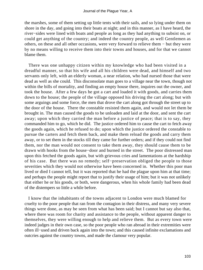the marshes, some of them setting up little tents with their sails, and so lying under them on shore in the day, and going into their boats at night; and in this manner, as I have heard, the river−sides were lined with boats and people as long as they had anything to subsist on, or could get anything of the country; and indeed the country people, as well Gentlemen as others, on these and all other occasions, were very forward to relieve them − but they were by no means willing to receive them into their towns and houses, and for that we cannot blame them.

 There was one unhappy citizen within my knowledge who had been visited in a dreadful manner, so that his wife and all his children were dead, and himself and two servants only left, with an elderly woman, a near relation, who had nursed those that were dead as well as she could. This disconsolate man goes to a village near the town, though not within the bills of mortality, and finding an empty house there, inquires out the owner, and took the house. After a few days he got a cart and loaded it with goods, and carries them down to the house; the people of the village opposed his driving the cart along; but with some arguings and some force, the men that drove the cart along got through the street up to the door of the house. There the constable resisted them again, and would not let them be brought in. The man caused the goods to be unloaden and laid at the door, and sent the cart away; upon which they carried the man before a justice of peace; that is to say, they commanded him to go, which he did. The justice ordered him to cause the cart to fetch away the goods again, which he refused to do; upon which the justice ordered the constable to pursue the carters and fetch them back, and make them reload the goods and carry them away, or to set them in the stocks till they came for further orders; and if they could not find them, nor the man would not consent to take them away, they should cause them to be drawn with hooks from the house−door and burned in the street. The poor distressed man upon this fetched the goods again, but with grievous cries and lamentations at the hardship of his case. But there was no remedy; self−preservation obliged the people to those severities which they would not otherwise have been concerned in. Whether this poor man lived or died I cannot tell, but it was reported that he had the plague upon him at that time; and perhaps the people might report that to justify their usage of him; but it was not unlikely that either he or his goods, or both, were dangerous, when his whole family had been dead of the distempers so little a while before.

 I know that the inhabitants of the towns adjacent to London were much blamed for cruelty to the poor people that ran from the contagion in their distress, and many very severe things were done, as may be seen from what has been said; but I cannot but say also that, where there was room for charity and assistance to the people, without apparent danger to themselves, they were willing enough to help and relieve them. But as every town were indeed judges in their own case, so the poor people who ran abroad in their extremities were often ill−used and driven back again into the town; and this caused infinite exclamations and outcries against the country towns, and made the clamour very popular.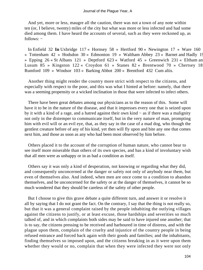And yet, more or less, maugre all the caution, there was not a town of any note within ten (or, I believe, twenty) miles of the city but what was more or less infected and had some died among them. I have heard the accounts of several, such as they were reckoned up, as follows: −

 In Enfield 32 **In** Uxbridge 117 « Hornsey 58 » Hertford 90 « Newington 17 » Ware 160 « Tottenham 42 » Hodsdon 30 « Edmonton 19 » Waltham Abbey 23 « Barnet and Hadly 19 » Epping 26 « St Albans 121 » Deptford 623 « Watford 45 » Greenwich 231 « Eltham and Lusum 85 » Kingston 122 « Croydon 61 » Stanes 82 « Brentwood 70 » Chertsey 18 « Rumford 109 » Windsor 103 « Barking Abbot 200 » Brentford 432 Cum aliis.

 Another thing might render the country more strict with respect to the citizens, and especially with respect to the poor, and this was what I hinted at before: namely, that there was a seeming propensity or a wicked inclination in those that were infected to infect others.

 There have been great debates among our physicians as to the reason of this. Some will have it to be in the nature of the disease, and that it impresses every one that is seized upon by it with a kind of a rage, and a hatred against their own kind − as if there was a malignity not only in the distemper to communicate itself, but in the very nature of man, prompting him with evil will or an evil eye, that, as they say in the case of a mad dog, who though the gentlest creature before of any of his kind, yet then will fly upon and bite any one that comes next him, and those as soon as any who had been most observed by him before.

 Others placed it to the account of the corruption of human nature, who cannot bear to see itself more miserable than others of its own species, and has a kind of involuntary wish that all men were as unhappy or in as bad a condition as itself.

 Others say it was only a kind of desperation, not knowing or regarding what they did, and consequently unconcerned at the danger or safety not only of anybody near them, but even of themselves also. And indeed, when men are once come to a condition to abandon themselves, and be unconcerned for the safety or at the danger of themselves, it cannot be so much wondered that they should be careless of the safety of other people.

 But I choose to give this grave debate a quite different turn, and answer it or resolve it all by saying that I do not grant the fact. On the contrary, I say that the thing is not really so, but that it was a general complaint raised by the people inhabiting the outlying villages against the citizens to justify, or at least excuse, those hardships and severities so much talked of, and in which complaints both sides may be said to have injured one another; that is to say, the citizens pressing to be received and harboured in time of distress, and with the plague upon them, complain of the cruelty and injustice of the country people in being refused entrance and forced back again with their goods and families; and the inhabitants, finding themselves so imposed upon, and the citizens breaking in as it were upon them whether they would or no, complain that when they were infected they were not only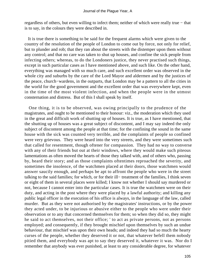regardless of others, but even willing to infect them; neither of which were really true − that is to say, in the colours they were described in.

 It is true there is something to be said for the frequent alarms which were given to the country of the resolution of the people of London to come out by force, not only for relief, but to plunder and rob; that they ran about the streets with the distemper upon them without any control; and that no care was taken to shut up houses, and confine the sick people from infecting others; whereas, to do the Londoners justice, they never practised such things, except in such particular cases as I have mentioned above, and such like. On the other hand, everything was managed with so much care, and such excellent order was observed in the whole city and suburbs by the care of the Lord Mayor and aldermen and by the justices of the peace, church−wardens, in the outparts, that London may be a pattern to all the cities in the world for the good government and the excellent order that was everywhere kept, even in the time of the most violent infection, and when the people were in the utmost consternation and distress. But of this I shall speak by itself.

 One thing, it is to be observed, was owing principally to the prudence of the magistrates, and ought to be mentioned to their honour: viz., the moderation which they used in the great and difficult work of shutting up of houses. It is true, as I have mentioned, that the shutting up of houses was a great subject of discontent, and I may say indeed the only subject of discontent among the people at that time; for the confining the sound in the same house with the sick was counted very terrible, and the complaints of people so confined were very grievous. They were heard into the very streets, and they were sometimes such that called for resentment, though oftener for compassion. They had no way to converse with any of their friends but out at their windows, where they would make such piteous lamentations as often moved the hearts of those they talked with, and of others who, passing by, heard their story; and as those complaints oftentimes reproached the severity, and sometimes the insolence, of the watchmen placed at their doors, those watchmen would answer saucily enough, and perhaps be apt to affront the people who were in the street talking to the said families; for which, or for their ill− treatment of the families, I think seven or eight of them in several places were killed; I know not whether I should say murdered or not, because I cannot enter into the particular cases. It is true the watchmen were on their duty, and acting in the post where they were placed by a lawful authority; and killing any public legal officer in the execution of his office is always, in the language of the law, called murder. But as they were not authorised by the magistrates' instructions, or by the power they acted under, to be injurious or abusive either to the people who were under their observation or to any that concerned themselves for them; so when they did so, they might he said to act themselves, not their office; ' to act as private persons, not as persons employed; and consequently, if they brought mischief upon themselves by such an undue behaviour, that mischief was upon their own heads; and indeed they had so much the hearty curses of the people, whether they deserved it or not, that whatever befell them nobody pitied them, and everybody was apt to say they deserved it, whatever it was. Nor do I remember that anybody was ever punished, at least to any considerable degree, for whatever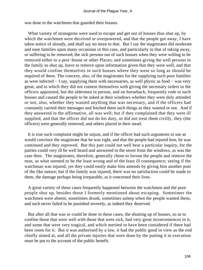was done to the watchmen that guarded their houses.

 What variety of stratagems were used to escape and get out of houses thus shut up, by which the watchmen were deceived or overpowered, and that the people got away, I have taken notice of already, and shall say no more to that. But I say the magistrates did moderate and ease families upon many occasions in this case, and particularly in that of taking away, or suffering to be removed, the sick persons out of such houses when they were willing to be removed either to a pest−house or other Places; and sometimes giving the well persons in the family so shut up, leave to remove upon information given that they were well, and that they would confine themselves in such houses where they went so long as should be required of them. The concern, also, of the magistrates for the supplying such poor families as were infected − I say, supplying them with necessaries, as well physic as food − was very great, and in which they did not content themselves with giving the necessary orders to the officers appointed, but the aldermen in person, and on horseback, frequently rode to such houses and caused the people to be asked at their windows whether they were duly attended or not; also, whether they wanted anything that was necessary, and if the officers had constantly carried their messages and fetched them such things as they wanted or not. And if they answered in the affirmative, all was well; but if they complained that they were ill supplied, and that the officer did not do his duty, or did not treat them civilly, they (the officers) were generally removed, and others placed in their stead.

 It is true such complaint might be unjust, and if the officer had such arguments to use as would convince the magistrate that he was right, and that the people had injured him, he was continued and they reproved. But this part could not well bear a particular inquiry, for the parties could very ill be well heard and answered in the street from the windows, as was the case then. The magistrates, therefore, generally chose to favour the people and remove the man, as what seemed to be the least wrong and of the least ill consequence; seeing if the watchman was injured, yet they could easily make him amends by giving him another post of the like nature; but if the family was injured, there was no satisfaction could be made to them, the damage perhaps being irreparable, as it concerned their lives.

 A great variety of these cases frequently happened between the watchmen and the poor people shut up, besides those I formerly mentioned about escaping. Sometimes the watchmen were absent, sometimes drunk, sometimes asleep when the people wanted them, and such never failed to be punished severely, as indeed they deserved.

 But after all that was or could be done in these cases, the shutting up of houses, so as to confine those that were well with those that were sick, had very great inconveniences in it, and some that were very tragical, and which merited to have been considered if there had been room for it. But it was authorised by a law, it had the public good in view as the end chiefly aimed at, and all the private injuries that were done by the putting it in execution must be put to the account of the public benefit.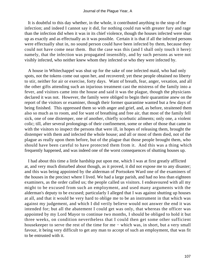It is doubtful to this day whether, in the whole, it contributed anything to the stop of the infection; and indeed I cannot say it did, for nothing could run with greater fury and rage than the infection did when it was in its chief violence, though the houses infected were shut up as exactly and as effectually as it was possible. Certain it is that if all the infected persons were effectually shut in, no sound person could have been infected by them, because they could not have come near them. But the case was this (and I shall only touch it here): namely, that the infection was propagated insensibly, and by such persons as were not visibly infected, who neither knew whom they infected or who they were infected by.

 A house in Whitechappel was shut up for the sake of one infected maid, who had only spots, not the tokens come out upon her, and recovered; yet these people obtained no liberty to stir, neither for air or exercise, forty days. Want of breath, fear, anger, vexation, and all the other gifts attending such an injurious treatment cast the mistress of the family into a fever, and visitors came into the house and said it was the plague, though the physicians declared it was not. However, the family were obliged to begin their quarantine anew on the report of the visitors or examiner, though their former quarantine wanted but a few days of being finished. This oppressed them so with anger and grief, and, as before, straitened them also so much as to room, and for want of breathing and free air, that most of the family fell sick, one of one distemper, one of another, chiefly scorbutic ailments; only one, a violent colic; till, after several prolongings of their confinement, some or other of those that came in with the visitors to inspect the persons that were ill, in hopes of releasing them, brought the distemper with them and infected the whole house; and all or most of them died, not of the plague as really upon them before, but of the plague that those people brought them, who should have been careful to have protected them from it. And this was a thing which frequently happened, and was indeed one of the worst consequences of shutting houses up.

 I had about this time a little hardship put upon me, which I was at first greatly afflicted at, and very much disturbed about though, as it proved, it did not expose me to any disaster; and this was being appointed by the alderman of Portsoken Ward one of the examiners of the houses in the precinct where I lived. We had a large parish, and had no less than eighteen examiners, as the order called us; the people called us visitors. I endeavoured with all my might to be excused from such an employment, and used many arguments with the alderman's deputy to be excused; particularly I alleged that I was against shutting up houses at all, and that it would be very hard to oblige me to be an instrument in that which was against my judgement, and which I did verily believe would not answer the end it was intended for; but all the abatement I could get was only, that whereas the officer was appointed by my Lord Mayor to continue two months, I should be obliged to hold it but three weeks, on condition nevertheless that I could then get some other sufficient housekeeper to serve the rest of the time for me − which was, in short, but a very small favour, it being very difficult to get any man to accept of such an employment, that was fit to be entrusted with it.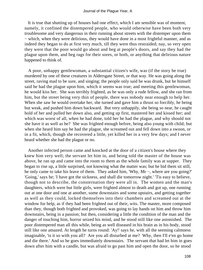It is true that shutting up of houses had one effect, which I am sensible was of moment, namely, it confined the distempered people, who would otherwise have been both very troublesome and very dangerous in their running about streets with the distemper upon them − which, when they were delirious, they would have done in a most frightful manner, and as indeed they began to do at first very much, till they were thus restraided; nay, so very open they were that the poor would go about and beg at people's doors, and say they had the plague upon them, and beg rags for their sores, or both, or anything that delirious nature happened to think of.

 A poor, unhappy gentlewoman, a substantial citizen's wife, was (if the story be true) murdered by one of these creatures in Aldersgate Street, or that way. He was going along the street, raving mad to be sure, and singing; the people only said he was drunk, but he himself said he had the plague upon him, which it seems was true; and meeting this gentlewoman, he would kiss her. She was terribly frighted, as he was only a rude fellow, and she ran from him, but the street being very thin of people, there was nobody near enough to help her. When she saw he would overtake her, she turned and gave him a thrust so forcibly, he being but weak, and pushed him down backward. But very unhappily, she being so near, he caught hold of her and pulled her down also, and getting up first, mastered her and kissed her; and which was worst of all, when he had done, told her he had the plague, and why should not she have it as well as he? She was frighted enough before, being also young with child; but when she heard him say he had the plague, she screamed out and fell down into a swoon, or in a fit, which, though she recovered a little, yet killed her in a very few days; and I never heard whether she had the plague or no.

 Another infected person came and knocked at the door of a citizen's house where they knew him very well; the servant let him in, and being told the master of the house was above, he ran up and came into the room to them as the whole family was at supper. They began to rise up, a little surprised, not knowing what the matter was; but he bid them sit still, he only came to take his leave of them. They asked him, 'Why, Mr −, where are you going?' 'Going,' says he; 'I have got the sickness, and shall die tomorrow night.' 'Tis easy to believe, though not to describe, the consternation they were all in. The women and the man's daughters, which were but little girls, were frighted almost to death and got up, one running out at one door and one at another, some downstairs and some upstairs, and getting together as well as they could, locked themselves into their chambers and screamed out at the window for help, as if they had been frighted out of their, wits. The master, more composed than they, though both frighted and provoked, was going to lay hands on him and throw him downstairs, being in a passion; but then, considering a little the condition of the man and the danger of touching him, horror seized his mind, and he stood still like one astonished. The poor distempered man all this while, being as well diseased in his brain as in his body, stood still like one amazed. At length he turns round: 'Ay!' says he, with all the seeming calmness imaginable, 'is it so with you all? Are you all disturbed at me? Why, then I'll e'en go home and die there.' And so he goes immediately downstairs. The servant that had let him in goes down after him with a candle, but was afraid to go past him and open the door, so he stood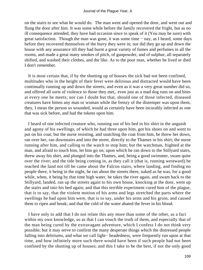on the stairs to see what he would do. The man went and opened the door, and went out and flung the door after him. It was some while before the family recovered the fright, but as no ill consequence attended, they have had occasion since to speak of it (You may be sure) with great satisfaction. Though the man was gone, it was some time − nay, as I heard, some days before they recovered themselves of the hurry they were in; nor did they go up and down the house with any assurance till they had burnt a great variety of fumes and perfumes in all the rooms, and made a great many smokes of pitch, of gunpowder, and of sulphur, all separately shifted, and washed their clothes, and the like. As to the poor man, whether he lived or died I don't remember.

 It is most certain that, if by the shutting up of houses the sick bad not been confined, multitudes who in the height of their fever were delirious and distracted would have been continually running up and down the streets; and even as it was a very great number did so, and offered all sorts of violence to those they met,. even just as a mad dog runs on and bites at every one he meets; nor can I doubt but that, should one of those infected, diseased creatures have bitten any man or woman while the frenzy of the distemper was upon them, they, I mean the person so wounded, would as certainly have been incurably infected as one that was sick before, and had the tokens upon him.

 I heard of one infected creature who, running out of his bed in his shirt in the anguish and agony of his swellings, of which he had three upon him, got his shoes on and went to put on his coat; but the nurse resisting, and snatching the coat from him, he threw her down, ran over her, ran downstairs and into the street, directly to the Thames in his shirt; the nurse running after him, and calling to the watch to stop him; but the watchman, ftighted at the man, and afraid to touch him, let him go on; upon which he ran down to the Stillyard stairs, threw away his shirt, and plunged into the Thames, and, being a good swimmer, swam quite over the river; and the tide being coming in, as they call it (that is, running westward) he reached the land not till he came about the Falcon stairs, where landing, and finding no people there, it being in the night, he ran about the streets there, naked as he was, for a good while, when, it being by that time high water, he takes the river again, and swam back to the Stillyard, landed, ran up the streets again to his own house, knocking at the door, went up the stairs and into his bed again; and that this terrible experiment cured him of the plague, that is to say, that the violent motion of his arms and legs stretched the parts where the swellings he had upon him were, that is to say, under his arms and his groin, and caused them to ripen and break; and that the cold of the water abated the fever in his blood.

 I have only to add that I do not relate this any more than some of the other, as a fact within my own knowledge, so as that I can vouch the truth of them, and especially that of the man being cured by the extravagant adventure, which I confess I do not think very possible; but it may serve to confirm the many desperate things which the distressed people falling into deliriums, and what we call light− headedness, were frequently run upon at that time, and how infinitely more such there would have been if such people had not been confined by the shutting up of houses; and this I take to be the best, if not the only good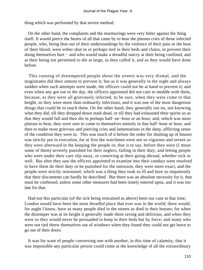thing which was performed by that severe method.

 On the other hand, the complaints and the murmurings were very bitter against the thing itself. It would pierce the hearts of all that came by to hear the piteous cries of those infected people, who, being thus out of their understandings by the violence of their pain or the heat of their blood, were either shut in or perhaps tied in their beds and chairs, to prevent their doing themselves hurt − and who would make a dreadful outcry at their being confined, and at their being not permitted to die at large, as they called it, and as they would have done before.

 This running of distempered people about the streets was very dismal, and the magistrates did their utmost to prevent it; but as it was generally in the night and always sudden when such attempts were made, the officers could not be at band to prevent it; and even when any got out in the day, the officers appointed did not care to meddle with them, because, as they were all grievously infected, to be sure, when they were come to that height, so they were more than ordinarily infectious, and it was one of the most dangerous things that could be to touch them. On the other hand, they generally ran on, not knowing what they did, till they dropped down stark dead, or till they had exhausted their spirits so as that they would fall and then die in perhaps half−an−hour or an hour; and, which was most piteous to hear, they were sure to come to themselves entirely in that half−hour or hour, and then to make most grievous and piercing cries and lamentations in the deep, afflicting sense of the condition they were in. This was much of it before the order for shutting up of houses was strictly put in execution, for at first the watchmen were not so vigorous and severe as they were afterward in the keeping the people in; that is to say, before they were (I mean some of them) severely punished for their neglect, failing in their duty, and letting people who were under their care slip away, or conniving at their going abroad, whether sick or well. But after they saw the officers appointed to examine into their conduct were resolved to have them do their duty or be punished for the omission, they were more exact, and the people were strictly restrained; which was a thing they took so ill and bore so impatiently that their discontents can hardly be described. But there was an absolute necessity for it, that must be confessed, unless some other measures had been timely entered upon, and it was too late for that.

 Had not this particular (of the sick being restrained as above) been our case at that time, London would have been the most dreadful place that ever was in the world; there would, for aught I know, have as many people died in the streets as died in their houses; for when the distemper was at its height it generally made them raving and delirious, and when they were so they would never be persuaded to keep in their beds but by force; and many who were not tied threw themselves out of windows when they found they could not get leave to go out of their doors.

 It was for want of people conversing one with another, in this time of calamity, that it was impossible any particular person could come at the knowledge of all the extraordinary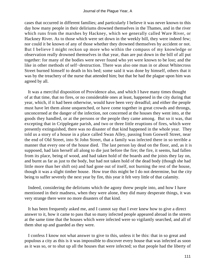cases that occurred in different families; and particularly I believe it was never known to this day how many people in their deliriums drowned themselves in the Thames, and in the river which runs from the marshes by Hackney, which we generally called Ware River, or Hackney River. As to those which were set down in the weekly bill, they were indeed few; nor could it be known of any of those whether they drowned themselves by accident or not. But I believe I might reckon up more who within the compass of my knowledge or observation really drowned themselves in that year, than are put down in the bill of all put together: for many of the bodies were never found who yet were known to be lost; and the like in other methods of self−destruction. There was also one man in or about Whitecross Street burned himself to death in his bed; some said it was done by himself, others that it was by the treachery of the nurse that attended him; but that he had the plague upon him was agreed by all.

 It was a merciful disposition of Providence also, and which I have many times thought of at that time, that no fires, or no considerable ones at least, happened in the city during that year, which, if it had been otherwise, would have been very dreadful; and either the people must have let them alone unquenched, or have come together in great crowds and throngs, unconcerned at the danger of the infection, not concerned at the houses they went into, at the goods they handled, or at the persons or the people they came among. But so it was, that excepting that in Cripplegate parish, and two or three little eruptions of fires, which were presently extinguished, there was no disaster of that kind happened in the whole year. They told us a story of a house in a place called Swan Alley, passing from Goswell Street, near the end of Old Street, into St John Street, that a family was infected there in so terrible a manner that every one of the house died. The last person lay dead on the floor, and, as it is supposed, had lain herself all along to die just before the fire; the fire, it seems, had fallen from its place, being of wood, and had taken hold of the boards and the joists they lay on, and burnt as far as just to the body, but had not taken hold of the dead body (though she had little more than her shift on) and had gone out of itself, not burning the rest of the house, though it was a slight timber house. How true this might be I do not determine, but the city being to suffer severely the next year by fire, this year it felt very little of that calamity.

 Indeed, considering the deliriums which the agony threw people into, and how I have mentioned in their madness, when they were alone, they did many desperate things, it was very strange there were no more disasters of that kind.

 It has been frequently asked me, and I cannot say that I ever knew how to give a direct answer to it, how it came to pass that so many infected people appeared abroad in the streets at the same time that the houses which were infected were so vigilantly searched, and all of them shut up and guarded as they were.

 I confess I know not what answer to give to this, unless it be this: that in so great and populous a city as this is it was impossible to discover every house that was infected as soon as it was so, or to shut up all the houses that were infected; so that people had the liberty of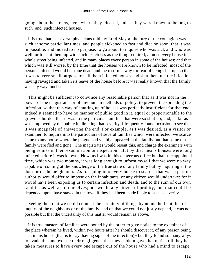going about the streets, even where they Pleased, unless they were known to belong to such−and−such infected houses.

 It is true that, as several physicians told my Lord Mayor, the fury of the contagion was such at some particular times, and people sickened so fast and died so soon, that it was impossible, and indeed to no purpose, to go about to inquire who was sick and who was well, or to shut them up with such exactness as the thing required, almost every house in a whole street being infected, and in many places every person in some of the houses; and that which was still worse, by the time that the houses were known to be infected, most of the persons infected would be stone dead, and the rest run away for fear of being shut up; so that it was to very small purpose to call them infected houses and shut them up, the infection having ravaged and taken its leave of the house before it was really known that the family was any way touched.

 This might be sufficient to convince any reasonable person that as it was not in the power of the magistrates or of any human methods of policy, to prevent the spreading the infection, so that this way of shutting up of houses was perfectly insufficient for that end. Indeed it seemed to have no manner of public good in it, equal or proportionable to the grievous burden that it was to the particular families that were so shut up; and, as far as I was employed by the public in directing that severity, I frequently found occasion to see that it was incapable of answering the end. For example, as I was desired, as a visitor or examiner, to inquire into the particulars of several families which were infected, we scarce came to any house where the plague had visibly appeared in the family but that some of the family were fled and gone. The magistrates would resent this, and charge the examiners with being remiss in their examination or inspection. But by that means houses were long infected before it was known. Now, as I was in this dangerous office but half the appointed time, which was two months, it was long enough to inform myself that we were no way capable of coming at the knowledge of the true state of any family but by inquiring at the door or of the neighbours. As for going into every house to search, that was a part no authority would offer to impose on the inhabitants, or any citizen would undertake: for it would have been exposing us to certain infection and death, and to the ruin of our own families as well as of ourselves; nor would any citizen of probity, and that could be depended upon, have stayed in the town if they had been made liable to such a severity.

 Seeing then that we could come at the certainty of things by no method but that of inquiry of the neighbours or of the family, and on that we could not justly depend, it was not possible but that the uncertainty of this matter would remain as above.

 It is true masters of families were bound by the order to give notice to the examiner of the place wherein he lived, within two hours after he should discover it, of any person being sick in his house (that is to say, having signs of the infection)− but they found so many ways to evade this and excuse their negligence that they seldom gave that notice till they had taken measures to have every one escape out of the house who had a mind to escape,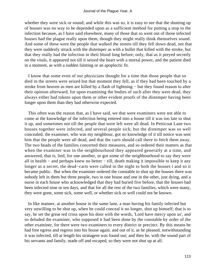whether they were sick or sound; and while this was so, it is easy to see that the shutting up of houses was no way to be depended upon as a sufficient method for putting a stop to the infection because, as I have said elsewhere, many of those that so went out of those infected houses had the plague really upon them, though they might really think themselves sound. And some of these were the people that walked the streets till they fell down dead, not that they were suddenly struck with the distemper as with a bullet that killed with the stroke, but that they really had the infection in their blood long before; only, that as it preyed secretly on the vitals, it appeared not till it seized the heart with a mortal power, and the patient died in a moment, as with a sudden fainting or an apoplectic fit.

 I know that some even of our physicians thought for a time that those people that so died in the streets were seized but that moment they fell, as if they had been touched by a stroke from heaven as men are killed by a flash of lightning − but they found reason to alter their opinion afterward; for upon examining the bodies of such after they were dead, they always either had tokens upon them or other evident proofs of the distemper having been longer upon them than they had otherwise expected.

 This often was the reason that, as I have said, we that were examiners were not able to come at the knowledge of the infection being entered into a house till it was too late to shut it up, and sometimes not till the people that were left were all dead. In Petticoat Lane two houses together were infected, and several people sick; but the distemper was so well concealed, the examiner, who was my neighbour, got no knowledge of it till notice was sent him that the people were all dead, and that the carts should call there to fetch them away. The two heads of the families concerted their measures, and so ordered their matters as that when the examiner was in the neighbourhood they appeared generally at a time, and answered, that is, lied, for one another, or got some of the neighbourhood to say they were all in health − and perhaps knew no better − till, death making it impossible to keep it any longer as a secret, the dead−carts were called in the night to both the houses t and so it became public. But when the examiner ordered the constable to shut up the houses there was nobody left in them but three people, two in one house and one in the other, just dying, and a nurse in each house who acknowledged that they had buried five before, that the houses had been infected nine or ten days, and that for all the rest of the two families, which were many, they were gone, some sick, some well, or whether sick or well could not be known.

 In like manner, at another house in the same lane, a man having his family infected but very unwilling to be shut up, when he could conceal it no longer, shut up himself; that is to say, he set the great red cross upon his door with the words, 'Lord have mercy upon us', and so deluded the examiner, who supposed it had been done by the constable by order of the other examiner, for there were two examiners to every district or precinct. By this means he had free egress and regress into his house again. and out of it, as he pleased, notwithstanding it was infected, till at length his stratagem was found out; and then he, with the sound part of his servants and family, made off and escaped, so they were not shut up at all.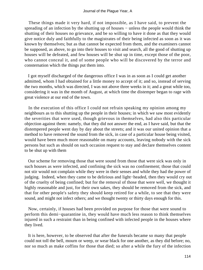These things made it very hard, if not impossible, as I have said, to prevent the spreading of an infection by the shutting up of houses – unless the people would think the shutting of their houses no grievance, and be so willing to have it done as that they would give notice duly and faithfully to the magistrates of their being infected as soon as it was known by themselves; but as that cannot be expected from them, and the examiners cannot be supposed, as above, to go into their houses to visit and search, all the good of shutting up houses will be defeated, and few houses will be shut up in time, except those of the poor, who cannot conceal it, and of some people who will be discovered by the terror and consternation which the things put them into.

 I got myself discharged of the dangerous office I was in as soon as I could get another admitted, whom I had obtained for a little money to accept of it; and so, instead of serving the two months, which was directed, I was not above three weeks in it; and a great while too, considering it was in the month of August, at which time the distemper began to rage with great violence at our end of the town.

 In the execution of this office I could not refrain speaking my opinion among my neighbours as to this shutting up the people in their houses; in which we saw most evidently the severities that were used, though grievous in themselves, had also this particular objection against them: namely, that they did not answer the end, as I have said, but that the distempered people went day by day about the streets; and it was our united opinion that a method to have removed the sound from the sick, in case of a particular house being visited, would have been much more reasonable on many accounts, leaving nobody with the sick persons but such as should on such occasion request to stay and declare themselves content to be shut up with them

 Our scheme for removing those that were sound from those that were sick was only in such houses as were infected, and confining the sick was no confinement; those that could not stir would not complain while they were in their senses and while they had the power of judging. Indeed, when they came to be delirious and light−headed, then they would cry out of the cruelty of being confined; but for the removal of those that were well, we thought it highly reasonable and just, for their own sakes, they should be removed from the sick, and that for other people's safety they should keep retired for a while, to see that they were sound, and might not infect others; and we thought twenty or thirty days enough for this.

 Now, certainly, if houses had been provided on purpose for those that were sound to perform this demi−quarantine in, they would have much less reason to think themselves injured in such a restraint than in being confined with infected people in the houses where they lived.

 It is here, however, to be observed that after the funerals became so many that people could not toll the bell, mourn or weep, or wear black for one another, as they did before; no, nor so much as make coffins for those that died; so after a while the fury of the infection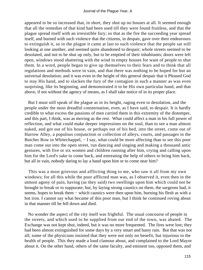appeared to be so increased that, in short, they shut up no houses at all. It seemed enough that all the remedies of that kind had been used till they were found fruitless, and that the plague spread itself with an irresistible fury; so that as the fire the succeeding year spread itself, and burned with such violence that the citizens, in despair, gave over their endeavours to extinguish it, so in the plague it came at last to such violence that the people sat still looking at one another, and seemed quite abandoned to despair; whole streets seemed to be desolated, and not to be shut up only, but to be emptied of their inhabitants; doors were left open, windows stood shattering with the wind in empty houses for want of people to shut them. In a word, people began to give up themselves to their fears and to think that all regulations and methods were in vain, and that there was nothing to be hoped for but an universal desolation; and it was even in the height of this general despair that it Pleased God to stay His hand, and to slacken the fury of the contagion in such a manner as was even surprising, like its beginning, and demonstrated it to be His own particular hand, and that above, if not without the agency of means, as I shall take notice of in its proper place.

 But I must still speak of the plague as in its height, raging even to desolation, and the people under the most dreadful consternation, even, as I have said, to despair. It is hardly credible to what excess the passions of men carried them in this extremity of the distemper, and this part, I think, was as moving as the rest. What could affect a man in his full power of reflection, and what could make deeper impressions on the soul, than to see a man almost naked, and got out of his house, or perhaps out of his bed, into the street, come out of Harrow Alley, a populous conjunction or collection of alleys, courts, and passages in the Butcher Row in Whitechappel, − I say, what could be more affecting than to see this poor man come out into the open street, run dancing and singing and making a thousand antic gestures, with five or six women and children running after him, crying and calling upon him for the Lord's sake to come back, and entreating the help of others to bring him back, but all in vain, nobody daring to lay a hand upon him or to come near him?

 This was a most grievous and afflicting thing to me, who saw it all from my own windows; for all this while the poor afflicted man was, as I observed it, even then in the utmost agony of pain, having (as they said) two swellings upon him which could not be brought to break or to suppurate; but, by laying strong caustics on them, the surgeons had, it seems, hopes to break them – which caustics were then upon him, burning his flesh as with a hot iron. I cannot say what became of this poor man, but I think he continued roving about in that manner till he fell down and died.

 No wonder the aspect of the city itself was frightful. The usual concourse of people in the streets, and which used to be supplied from our end of the town, was abated. The Exchange was not kept shut, indeed, but it was no more frequented. The fires were lost; they had been almost extinguished for some days by a very smart and hasty rain. But that was not all; some of the physicians insisted that they were not only no benefit, but injurious to the health of people. This they made a loud clamour about, and complained to the Lord Mayor about it. On the other hand, others of the same faculty, and eminent too, opposed them, and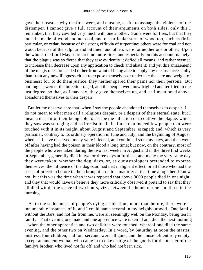gave their reasons why the fires were, and must be, useful to assuage the violence of the distemper. I cannot give a full account of their arguments on both sides; only this I remember, that they cavilled very much with one another. Some were for fires, but that they must be made of wood and not coal, and of particular sorts of wood too, such as fir in particular, or cedar, because of the strong effluvia of turpentine; others were for coal and not wood, because of the sulphur and bitumen; and others were for neither one or other. Upon the whole, the Lord Mayor ordered no more fires, and especially on this account, namely, that the plague was so fierce that they saw evidently it defied all means, and rather seemed to increase than decrease upon any application to check and abate it; and yet this amazement of the magistrates proceeded rather from want of being able to apply any means successfully than from any unwillingness either to expose themselves or undertake the care and weight of business; for, to do them justice, they neither spared their pains nor their persons. But nothing answered; the infection raged, and the people were now frighted and terrified to the last degree: so that, as I may say, they gave themselves up, and, as I mentioned above, abandoned themselves to their despair.

 But let me observe here that, when I say the people abandoned themselves to despair, I do not mean to what men call a religious despair, or a despair of their eternal state, but I mean a despair of their being able to escape the infection or to outlive the plague. which they saw was so raging and so irresistible in its force that indeed few people that were touched with it in its height, about August and September, escaped; and, which is very particular, contrary to its ordinary operation in June and July, and the beginning of August, when, as I have observed, many were infected, and continued so many days, and then went off after having had the poison in their blood a long time; but now, on the contrary, most of the people who were taken during the two last weeks in August and in the three first weeks in September, generally died in two or three days at furthest, and many the very same day they were taken; whether the dog−days, or, as our astrologers pretended to express themselves, the influence of the dog−star, had that malignant effect, or all those who had the seeds of infection before in them brought it up to a maturity at that time altogether, I know not; but this was the time when it was reported that above 3000 people died in one night; and they that would have us believe they more critically observed it pretend to say that they all died within the space of two hours, viz., between the hours of one and three in the morning.

 As to the suddenness of people's dying at this time, more than before, there were innumerable instances of it, and I could name several in my neighbourhood. One family without the Bars, and not far from me, were all seemingly well on the Monday, being ten in family. That evening one maid and one apprentice were taken ill and died the next morning − when the other apprentice and two children were touched, whereof one died the same evening, and the other two on Wednesday. In a word, by Saturday at noon the master, mistress, four children, and four servants were all gone, and the house left entirely empty, except an ancient woman who came in to take charge of the goods for the master of the family's brother, who lived not far off, and who had not been sick.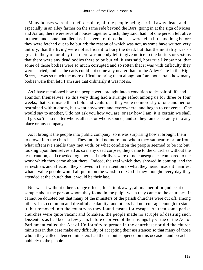Many houses were then left desolate, all the people being carried away dead, and especially in an alley farther on the same side beyond the Bars, going in at the sign of Moses and Aaron, there were several houses together which, they said, had not one person left alive in them; and some that died last in several of those houses were left a little too long before they were fetched out to be buried; the reason of which was not, as some have written very untruly, that the living were not sufficient to bury the dead, but that the mortality was so great in the yard or alley that there was nobody left to give notice to the buriers or sextons that there were any dead bodies there to be buried. It was said, how true I know not, that some of those bodies were so much corrupted and so rotten that it was with difficulty they were carried; and as the carts could not come any nearer than to the Alley Gate in the High Street, it was so much the more difficult to bring them along; but I am not certain how many bodies were then left. I am sure that ordinarily it was not so.

 As I have mentioned how the people were brought into a condition to despair of life and abandon themselves, so this very thing had a strange effect among us for three or four weeks; that is, it made them bold and venturous: they were no more shy of one another, or restrained within doors, but went anywhere and everywhere, and began to converse. One would say to another, 'I do not ask you how you are, or say how I am; it is certain we shall all go; so 'tis no matter who is all sick or who is sound'; and so they ran desperately into any place or any company.

 As it brought the people into public company, so it was surprising how it brought them to crowd into the churches. They inquired no more into whom they sat near to or far from, what offensive smells they met with, or what condition the people seemed to be in; but, looking upon themselves all as so many dead corpses, they came to the churches without the least caution, and crowded together as if their lives were of no consequence compared to the work which they came about there. Indeed, the zeal which they showed in coming, and the earnestness and affection they showed in their attention to what they heard, made it manifest what a value people would all put upon the worship of God if they thought every day they attended at the church that it would be their last.

 Nor was it without other strange effects, for it took away, all manner of prejudice at or scruple about the person whom they found in the pulpit when they came to the churches. It cannot be doubted but that many of the ministers of the parish churches were cut off, among others, in so common and dreadful a calamity; and others had not courage enough to stand it, but removed into the country as they found means for escape. As then some parish churches were quite vacant and forsaken, the people made no scruple of desiring such Dissenters as had been a few years before deprived of their livings by virtue of the Act of Parliament called the Act of Uniformity to preach in the churches; nor did the church ministers in that case make any difficulty of accepting their assistance; so that many of those whom they called silenced ministers had their mouths opened on this occasion and preached publicly to the people.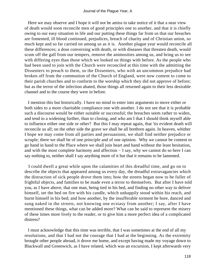Here we may observe and I hope it will not be amiss to take notice of it that a near view of death would soon reconcile men of good principles one to another, and that it is chiefly owing to our easy situation in life and our putting these things far from us that our breaches are fomented, ill blood continued, prejudices, breach of charity and of Christian union, so much kept and so far carried on among us as it is. Another plague year would reconcile all these differences; a dose conversing with death, or with diseases that threaten death, would scum off the gall from our tempers, remove the animosities among us, and bring us to see with differing eyes than those which we looked on things with before. As the people who had been used to join with the Church were reconciled at this time with the admitting the Dissenters to preach to them, so the Dissenters, who with an uncommon prejudice had broken off from the communion of the Church of England, were now content to come to their parish churches and to conform to the worship which they did not approve of before; but as the terror of the infection abated, those things all returned again to their less desirable channel and to the course they were in before.

 I mention this but historically. I have no mind to enter into arguments to move either or both sides to a more charitable compliance one with another. I do not see that it is probable such a discourse would be either suitable or successful; the breaches seem rather to widen, and tend to a widening further, than to closing, and who am I that I should think myself able to influence either one side or other? But this I may repeat again, that 'tis evident death will reconcile us all; on the other side the grave we shall be all brethren again. In heaven, whither I hope we may come from all parties and persuasions, we shall find neither prejudice or scruple; there we shall be of one principle and of one opinion. Why we cannot be content to go hand in hand to the Place where we shall join heart and hand without the least hesitation, and with the most complete harmony and affection − I say, why we cannot do so here I can say nothing to, neither shall I say anything more of it but that it remains to be lamented.

 I could dwell a great while upon the calamities of this dreadful time, and go on to describe the objects that appeared among us every day, the dreadful extravagancies which the distraction of sick people drove them into; how the streets began now to be fuller of frightful objects, and families to be made even a terror to themselves. But after I have told you, as I have above, that one man, being tied in his bed, and finding no other way to deliver himself, set the bed on fire with his candle, which unhappily stood within his reach, and burnt himself in his bed; and how another, by the insufferable torment he bore, danced and sung naked in the streets, not knowing one ecstasy from another; I say, after I have mentioned these things, what can be added more? What can be said to represent the misery of these times more lively to the reader, or to give him a more perfect idea of a complicated distress?

 I must acknowledge that this time was terrible, that I was sometimes at the end of all my resolutions, and that I had not the courage that I had at the beginning. As the extremity brought other people abroad, it drove me home, and except having made my voyage down to Blackwall and Greenwich, as I have related, which was an excursion, I kept afterwards very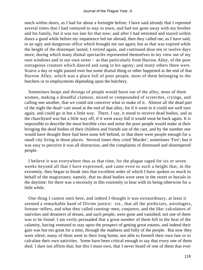much within doors, as I had for about a fortnight before. I have said already that I repented several times that I had ventured to stay in town, and had not gone away with my brother and his family, but it was too late for that now; and after I had retreated and stayed within doors a good while before my impatience led me abroad, then they called me, as I have said, to an ugly and dangerous office which brought me out again; but as that was expired while the height of the distemper lasted, I retired again, and continued dose ten or twelve days more, during which many dismal spectacles represented themselves in my view out of my own windows and in our own street − as that particularly from Harrow Alley, of the poor outrageous creature which danced and sung in his agony; and many others there were. Scarce a day or night passed over but some dismal thing or other happened at the end of that Harrow Alley, which was a place full of poor people, most of them belonging to the butchers or to employments depending upon the butchery.

 Sometimes heaps and throngs of people would burst out of the alley, most of them women, making a dreadful clamour, mixed or compounded of screeches, cryings, and calling one another, that we could not conceive what to make of it. Almost all the dead part of the night the dead−cart stood at the end of that alley, for if it went in it could not well turn again, and could go in but a little way. There, I say, it stood to receive dead bodies, and as the churchyard was but a little way off, if it went away full it would soon be back again. It is impossible to describe the most horrible cries and noise the poor people would make at their bringing the dead bodies of their children and friends out of the cart, and by the number one would have thought there had been none left behind, or that there were people enough for a small city living in those places. Several times they cried 'Murder', sometimes 'Fire'; but it was easy to perceive it was all distraction, and the complaints of distressed and distempered people.

 I believe it was everywhere thus as that time, for the plague raged for six or seven weeks beyond all that I have expressed, and came even to such a height that, in the extremity, they began to break into that excellent order of which I have spoken so much in behalf of the magistrates; namely, that no dead bodies were seen in the street or burials in the daytime: for there was a necessity in this extremity to bear with its being otherwise for a little while.

 One thing I cannot omit here, and indeed I thought it was extraordinary, at least it seemed a remarkable hand of Divine justice: viz., that all the predictors, astrologers, fortune−tellers, and what they called cunning−men, conjurers, and the like: calculators of nativities and dreamers of dream, and such people, were gone and vanished; not one of them was to be found. I am verily persuaded that a great number of them fell in the heat of the calamity, having ventured to stay upon the prospect of getting great estates; and indeed their gain was but too great for a time, through the madness and folly of the people. But now they were silent; many of them went to their long home, not able to foretell their own fate or to calculate their own nativities. Some have been critical enough to say that every one of them died. I dare not affirm that; but this I must own, that I never heard of one of them that ever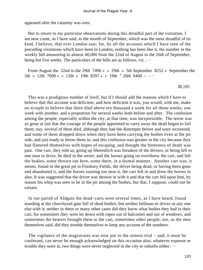appeared after the calamity was over.

 But to return to my particular observations during this dreadful part of the visitation. I am now come, as I have said, to the month of September, which was the most dreadful of its kind, I believe, that ever London saw; for, by all the accounts which I have seen of the preceding visitations which have been in London, nothing has been like it, the number in the weekly bill amounting to almost 40,000 from the 22nd of August to the 26th of September, being but five weeks. The particulars of the bills are as follows, viz. : −

 From August the 22nd to the 29th 7496 « » 29th « 5th September 8252 » September the 5th « 12th 7690 » « 12th » 19th 8297 « » 19th **"** 26th 6460 – – −

38,195

 This was a prodigious number of itself, but if I should add the reasons which I have to believe that this account was deficient, and how deficient it was, you would, with me, make no scruple to believe that there died above ten thousand a week for all those weeks, one week with another, and a proportion for several weeks both before and after. The confusion among the people, especially within the city, at that time, was inexpressible. The terror was so great at last that the courage of the people appointed to carry away the dead began to fail them; nay, several of them died, although they had the distemper before and were recovered, and some of them dropped down when they have been carrying the bodies even at the pit side, and just ready to throw them in; and this confusion was greater in the city because they had flattered themselves with hopes of escaping, and thought the bitterness of death was past. One cart, they told us, going up Shoreditch was forsaken of the drivers, or being left to one man to drive, he died in the street; and the horses going on overthrew the cart, and left the bodies, some thrown out here, some there, in a dismal manner. Another cart was, it seems, found in the great pit in Finsbury Fields, the driver being dead, or having been gone and abandoned it, and the horses running too near it, the cart fell in and drew the horses in also. It was suggested that the driver was thrown in with it and that the cart fell upon him, by reason his whip was seen to be in the pit among the bodies; but that, I suppose, could not be certain.

 In our parish of Aldgate the dead−carts were several times, as I have heard, found standing at the churchyard gate full of dead bodies, but neither bellman or driver or any one else with it; neither in these or many other cases did they know what bodies they had in their cart, for sometimes they were let down with ropes out of balconies and out of windows, and sometimes the bearers brought them to the cart, sometimes other people; nor, as the men themselves said, did they trouble themselves to keep any account of the numbers.

 The vigilance of the magistrates was now put to the utmost trial − and, it must be confessed, can never be enough acknowledged on this occasion also; whatever expense or trouble they were at, two things were never neglected in the city or suburbs either : −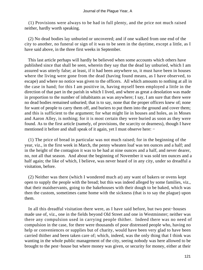(1) Provisions were always to be had in full plenty, and the price not much raised neither, hardly worth speaking.

 (2) No dead bodies lay unburied or uncovered; and if one walked from one end of the city to another, no funeral or sign of it was to be seen in the daytime, except a little, as I have said above, in the three first weeks in September.

 This last article perhaps will hardly be believed when some accounts which others have published since that shall be seen, wherein they say that the dead lay unburied, which I am assured was utterly false; at least, if it had been anywhere so, it must have been in houses where the living were gone from the dead (having found means, as I have observed, to escape) and where no notice was given to the officers. All which amounts to nothing at all in the case in hand; for this I am positive in, having myself been employed a little in the direction of that part in the parish in which I lived, and where as great a desolation was made in proportion to the number of inhabitants as was anywhere; I say, I am sure that there were no dead bodies remained unburied; that is to say, none that the proper officers knew of; none for want of people to carry them off, and buriers to put them into the ground and cover them; and this is sufficient to the argument; for what might lie in houses and holes, as in Moses and Aaron Alley, is nothing; for it is most certain they were buried as soon as they were found. As to the first article (namely, of provisions, the scarcity or dearness), though I have mentioned it before and shall speak of it again, yet I must observe here: −

 (1) The price of bread in particular was not much raised; for in the beginning of the year, viz., in the first week in March, the penny wheaten loaf was ten ounces and a half; and in the height of the contagion it was to be had at nine ounces and a half, and never dearer, no, not all that season. And about the beginning of November it was sold ten ounces and a half again; the like of which, I believe, was never heard of in any city, under so dreadful a visitation, before.

 (2) Neither was there (which I wondered much at) any want of bakers or ovens kept open to supply the people with the bread; but this was indeed alleged by some families, viz., that their maidservants, going to the bakehouses with their dough to be baked, which was then the custom, sometimes came home with the sickness (that is to say the plague) upon them.

 In all this dreadful visitation there were, as I have said before, but two pest−houses made use of, viz., one in the fields beyond Old Street and one in Westminster; neither was there any compulsion used in carrying people thither. Indeed there was no need of compulsion in the case, for there were thousands of poor distressed people who, having no help or conveniences or supplies but of charity, would have been very glad to have been carried thither and been taken care of; which, indeed, was the only thing that I think was wanting in the whole public management of the city, seeing nobody was here allowed to be brought to the pest−house but where money was given, or security for money, either at their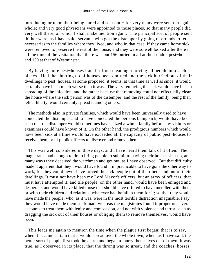introducing or upon their being cured and sent out − for very many were sent out again whole; and very good physicians were appointed to those places, so that many people did very well there, of which I shall make mention again. The principal sort of people sent thither were, as I have said, servants who got the distemper by going of errands to fetch necessaries to the families where they lived, and who in that case, if they came home sick, were removed to preserve the rest of the house; and they were so well looked after there in all the time of the visitation that there was but 156 buried in all at the London pest−house, and 159 at that of Westminster.

 By having more pest−houses I am far from meaning a forcing all people into such places. Had the shutting up of houses been omitted and the sick hurried out of their dwellings to pest−houses, as some proposed, it seems, at that time as well as since, it would certainly have been much worse than it was. The very removing the sick would have been a spreading of the infection, and the rather because that removing could not effectually clear the house where the sick person was of the distemper; and the rest of the family, being then left at liberty, would certainly spread it among others.

 The methods also in private families, which would have been universally used to have concealed the distemper and to have concealed the persons being sick, would have been such that the distemper would sometimes have seized a whole family before any visitors or examiners could have known of it. On the other hand, the prodigious numbers which would have been sick at a time would have exceeded all the capacity of public pest−houses to receive them, or of public officers to discover and remove them.

 This was well considered in those days, and I have heard them talk of it often. The magistrates had enough to do to bring people to submit to having their houses shut up, and many ways they deceived the watchmen and got out, as I have observed. But that difficulty made it apparent that they t would have found it impracticable to have gone the other way to work, for they could never have forced the sick people out of their beds and out of their dwellings. It must not have been my Lord Mayor's officers, but an army of officers, that must have attempted it; and tile people, on the other hand, would have been enraged and desperate, and would have killed those that should have offered to have meddled with them or with their children and relations, whatever had befallen them for it; so that they would have made the people, who, as it was, were in the most terrible distraction imaginable, I say, they would have made them stark mad; whereas the magistrates found it proper on several accounts to treat them with lenity and compassion, and not with violence and terror, such as dragging the sick out of their houses or obliging them to remove themselves, would have been.

 This leads me again to mention the time when the plague first began; that is to say, when it became certain that it would spread over the whole town, when, as I have said, the better sort of people first took the alarm and began to hurry themselves out of town. It was true, as I observed in its place, that the throng was so great, and the coaches, horses,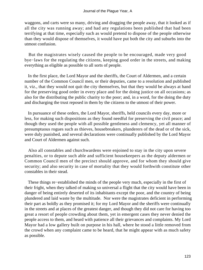waggons, and carts were so many, driving and dragging the people away, that it looked as if all the city was running away; and had any regulations been published that had been terrifying at that time, especially such as would pretend to dispose of the people otherwise than they would dispose of themselves, it would have put both the city and suburbs into the utmost confusion.

 But the magistrates wisely caused the people to be encouraged, made very good bye−laws for the regulating the citizens, keeping good order in the streets, and making everything as eligible as possible to all sorts of people.

 In the first place, the Lord Mayor and the sheriffs, the Court of Aldermen, and a certain number of the Common Council men, or their deputies, came to a resolution and published it, viz., that they would not quit the city themselves, but that they would be always at hand for the preserving good order in every place and for the doing justice on all occasions; as also for the distributing the public charity to the poor; and, in a word, for the doing the duty and discharging the trust reposed in them by the citizens to the utmost of their power.

 In pursuance of these orders, the Lord Mayor, sheriffs, held councils every day, more or less, for making such dispositions as they found needful for preserving the civil peace; and though they used the people with all possible gentleness and clemency, yet all manner of presumptuous rogues such as thieves, housebreakers, plunderers of the dead or of the sick, were duly punished, and several declarations were continually published by the Lord Mayor and Court of Aldermen against such.

 Also all constables and churchwardens were enjoined to stay in the city upon severe penalties, or to depute such able and sufficient housekeepers as the deputy aldermen or Common Council men of the precinct should approve, and for whom they should give security; and also security in case of mortality that they would forthwith constitute other constables in their stead.

 These things re−established the minds of the people very much, especially in the first of their fright, when they talked of making so universal a flight that the city would have been in danger of being entirely deserted of its inhabitants except the poor, and the country of being plundered and laid waste by the multitude. Nor were the magistrates deficient in performing their part as boldly as they promised it; for my Lord Mayor and the sheriffs were continually in the streets and at places of the greatest danger, and though they did not care for having too great a resort of people crowding about them, yet in emergent cases they never denied the people access to them, and heard with patience all their grievances and complaints. My Lord Mayor had a low gallery built on purpose in his hall, where he stood a little removed from the crowd when any complaint came to be heard, that he might appear with as much safety as possible.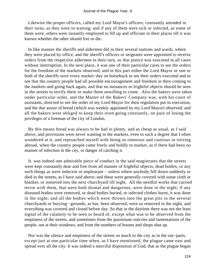Likewise the proper officers, called my Lord Mayor's officers, constantly attended in their turns, as they were in waiting; and if any of them were sick or infected, as some of them were, others were instantly employed to fill up and officiate in their places till it was known whether the other should live or die.

 In like manner the sheriffs and aldermen did in their several stations and wards, where they were placed by office, and the sheriff's officers or sergeants were appointed to receive orders from the respective aldermen in their turn, so that justice was executed in all cases without interruption. In the next place, it was one of their particular cares to see the orders for the freedom of the markets observed, and in this part either the Lord Mayor or one or both of the sheriffs were every market−day on horseback to see their orders executed and to see that the country people had all possible encouragement and freedom in their coming to the markets and going back again, and that no nuisances or frightful objects should be seen in the streets to terrify them or make them unwilling to come. Also the bakers were taken under particular order, and the Master of the Bakers' Company was, with his court of assistants, directed to see the order of my Lord Mayor for their regulation put in execution, and the due assize of bread (which was weekly appointed by my Lord Mayor) observed; and all the bakers were obliged to keep their oven going constantly, on pain of losing the privileges of a freeman of the city of London.

 By this means bread was always to be had in plenty, and as cheap as usual, as I said above; and provisions were never wanting in the markets, even to such a degree that I often wondered at it, and reproached myself with being so timorous and cautious in stirring abroad, when the country people came freely and boldly to market, as if there had been no manner of infection in the city, or danger of catching it.

 It. was indeed one admirable piece of conduct in the said magistrates that the streets were kept constantly dear and free from all manner of frightful objects, dead bodies, or any such things as were indecent or unpleasant – unless where anybody fell down suddenly or died in the streets, as I have said above; and these were generally covered with some cloth or blanket, or removed into the next churchyard till night. All the needful works that carried terror with them, that were both dismal and dangerous, were done in the night; if any diseased bodies were removed, or dead bodies buried, or infected clothes burnt, it was done in the night; and all the bodies which were thrown into the great pits in the several churchyards or burying− grounds, as has. been observed, were so removed in the night, and everything was covered and closed before day. So that in the daytime there was not the least signal of the calamity to be seen or heard of, except what was to be observed from the emptiness of the streets, and sometimes from the passionate outcries and lamentations of the people, out at their windows, and from the numbers of houses and shops shut up.

 Nor was the silence and emptiness of the streets so much in the city as in the out−parts, except just at one particular time when, as I have mentioned, the plague came east and spread over all the city. It was indeed a merciful disposition of God, that as the plague began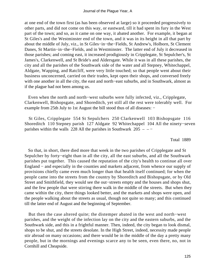at one end of the town first (as has been observed at large) so it proceeded progressively to other parts, and did not come on this way, or eastward, till it had spent its fury in the West part of the town; and so, as it came on one way, it abated another. For example, it began at St Giles's and the Westminster end of the town, and it was in its height in all that part by about the middle of July, viz., in St Giles−in−the−Fields, St Andrew's, Holborn, St Clement Danes, St Martin−in−the−Fields, and in Westminster. The latter end of July it decreased in those parishes; and coming east, it increased prodigiously in Cripplegate, St Sepulcher's, St James's, Clarkenwell, and St Bride's and Aldersgate. While it was in all these parishes, the city and all the parishes of the Southwark side of the water and all Stepney, Whitechappel, Aldgate, Wapping, and Ratcliff, were very little touched; so that people went about their business unconcerned, carried on their trades, kept open their shops, and conversed freely with one another in all the city, the east and north−east suburbs, and in Southwark, almost as if the plague had not been among us.

 Even when the north and north−west suburbs were fully infected, viz., Cripplegate, Clarkenwell, Bishopsgate, and Shoreditch, yet still all the rest were tolerably well. For example from 25th July to 1st August the bill stood thus of all diseases: −

 St Giles, Cripplegate 554 St Sepulchers 250 Clarkenwell 103 Bishopsgate 116 Shoreditch 110 Stepney parish 127 Aldgate 92 Whitechappel 104 All the ninety−seven parishes within the walls 228 All the parishes in Southwark  $205 - - -$ 

## Total 1889

 So that, in short, there died more that week in the two parishes of Cripplegate and St Sepulcher by forty−eight than in all the city, all the east suburbs, and all the Southwark parishes put together. This caused the reputation of the city's health to continue all over England − and especially in the counties and markets adjacent, from whence our supply of provisions chiefly came even much longer than that health itself continued; for when the people came into the streets from the country by Shoreditch and Bishopsgate, or by Old Street and Smithfield, they would see the out−streets empty and the houses and shops shut, and the few people that were stirring there walk in the middle of the streets. But when they came within the city, there things looked better, and the markets and shops were open, and the people walking about the streets as usual, though not quite so many; and this continued till the latter end of August and the beginning of September.

 But then the case altered quite; the distemper abated in the west and north−west parishes, and the weight of the infection lay on the city and the eastern suburbs, and the Southwark side, and this in a frightful manner. Then, indeed, the city began to look dismal, shops to be shut, and the streets desolate. In the High Street, indeed, necessity made people stir abroad on many occasions; and there would be in the middle of the day a pretty many people, but in the mornings and evenings scarce any to be seen, even there, no, not in Cornhill and Cheapside.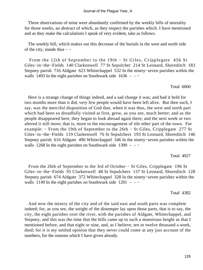These observations of mine were abundantly confirmed by the weekly bills of mortality for those weeks, an abstract of which, as they respect the parishes which. I have mentioned and as they make the calculations I speak of very evident, take as follows.

 The weekly bill, which makes out this decrease of the burials in the west and north side of the city, stands thus  $-$  –

 From the 12th of September to the 19th − St Giles, Cripplegate 456 St Giles−in−the−Fields 140 Clarkenwell 77 St Sepulcher 214 St Leonard, Shoreditch 183 Stepney parish 716 Aldgate 623 Whitechappel 532 In the ninety−seven parishes within the walls 1493 In the eight parishes on Southwark side  $1636 - -$ 

## Total 6060

 Here is a strange change of things indeed, and a sad change it was; and had it held for two months more than it did, very few people would have been left alive. But then such, I say, was the merciful disposition of God that, when it was thus, the west and north part which had been so dreadfully visited at first, grew, as you see, much better; and as the people disappeared here, they began to look abroad again there; and the next week or two altered it still more; that is, more to the encouragement of tile other part of the town. For example: − From the 19th of September to the 26th − St Giles, Cripplegate 277 St Giles−in−the−Fields 119 Clarkenwell 76 St Sepulchers 193 St Leonard, Shoreditch 146 Stepney parish 616 Aldgate 496 Whitechappel 346 In the ninety−seven parishes within the walls 1268 In the eight parishes on Southwark side  $1390 - -$ 

## Total 4927

 From the 26th of September to the 3rd of October − St Giles, Cripplegate 196 St Giles−in−the−Fields 95 Clarkenwell 48 St Sepulchers 137 St Leonard, Shoreditch 128 Stepney parish 674 Aldgate 372 Whitechappel 328 In the ninety−seven parishes within the walls 1149 In the eight parishes on Southwark side  $1201 - -$ 

## Total 4382

 And now the misery of the city and of the said east and south parts was complete indeed; for, as you see, the weight of the distemper lay upon those parts, that is to say, the city, the eight parishes over the river, with the parishes of Aldgate, Whitechappel, and Stepney; and this was the time that the bills came up to such a monstrous height as that I mentioned before, and that eight or nine, and, as I believe, ten or twelve thousand a week, died; for it is my settled opinion that they never could come at any just account of the numbers, for the reasons which I have given already.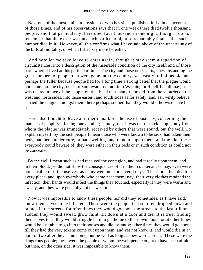Nay, one of the most eminent physicians, who has since published in Latin an account of those times, and of his observations says that in one week there died twelve thousand people, and that particularly there died four thousand in one night; though I do not remember that there ever was any such particular night so remarkably fatal as that such a number died in it. However, all this confirms what I have said above of the uncertainty of the bills of mortality, of which I shall say more hereafter.

 And here let me take leave to enter again, though it may seem a repetition of circumstances, into a description of the miserable condition of the city itself, and of those parts where I lived at this particular time. The city and those other parts, notwithstanding the great numbers of people that were gone into the country, was vastly full of people; and perhaps the fuller because people had for a long time a strong belief that the plague would not come into the city, nor into Southwark, no, nor into Wapping or Ratcliff at all; nay, such was the assurance of the people on that head that many removed from the suburbs on the west and north sides, into those eastern and south sides as for safety; and, as I verily believe, carried the plague amongst them there perhaps sooner than they would otherwise have had it.

 Here also I ought to leave a further remark for the use of posterity, concerning the manner of people's infecting one another; namely, that it was not the sick people only from whom the plague was immediately received by others that were sound, but the well. To explain myself: by the sick people I mean those who were known to be sick, had taken their beds, had been under cure, or had swellings and tumours upon them, and the like; these everybody could beware of; they were either in their beds or in such condition as could not be concealed.

 By the well I mean such as had received the contagion, and had it really upon them, and in their blood, yet did not show the consequences of it in their countenances: nay, even were not sensible of it themselves, as many were not for several days. These breathed death in every place, and upon everybody who came near them; nay, their very clothes retained the infection, their hands would infect the things they touched, especially if they were warm and sweaty, and they were generally apt to sweat too.

 Now it was impossible to know these people, nor did they sometimes, as I have said, know themselves to be infected. These were the people that so often dropped down and fainted in the streets; for oftentimes they would go about the streets to the last, till on a sudden they would sweat, grow faint, sit down at a door and die. It is true, finding themselves thus, they would struggle hard to get home to their own doors, or at other times would be just able to go into their houses and die instantly; other times they would go about till they had the very tokens come out upon them, and yet not know it, and would die in an hour or two after they came home, but be well as long as they were abroad. These were the dangerous people; these were the people of whom the well people ought to have been afraid; but then, on the other side, it was impossible to know them.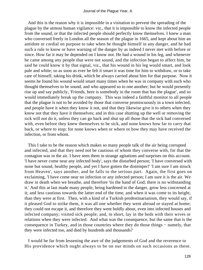And this is the reason why it is impossible in a visitation to prevent the spreading of the plague by the utmost human vigilance: viz., that it is impossible to know the infected people from the sound, or that the infected people should perfectly know themselves. I knew a man who conversed freely in London all the season of the plague in 1665, and kept about him an antidote or cordial on purpose to take when he thought himself in any danger, and he had such a rule to know or have warning of the danger by as indeed I never met with before or since. How far it may be depended on I know not. He had a wound in his leg, and whenever he came among any people that were not sound, and the infection began to affect him, he said he could know it by that signal, viz., that his wound in his leg would smart, and look pale and white; so as soon as ever he felt it smart it was time for him to withdraw, or to take care of himself, taking his drink, which he always carried about him for that purpose. Now it seems he found his wound would smart many times when he was in company with such who thought themselves to be sound, and who appeared so to one another; but he would presently rise up and say publicly, 'Friends, here is somebody in the room that has the plague', and so would immediately break up the company. This was indeed a faithful monitor to all people that the plague is not to be avoided by those that converse promiscuously in a town infected, and people have it when they know it not, and that they likewise give it to others when they know not that they have it themselves; and in this case shutting up the well or removing the sick will not do it, unless they can go back and shut up all those that the sick had conversed with, even before they knew themselves to be sick, and none knows how far to carry that back, or where to stop; for none knows when or where or how they may have received the infection, or from whom.

 This I take to be the reason which makes so many people talk of the air being corrupted and infected, and that they need not be cautious of whom they converse with, for that the contagion was in the air. I have seen them in strange agitations and surprises on this account. 'I have never come near any infected body', says the disturbed person; 'I have conversed with none but sound, healthy people, and yet I have gotten the distemper!' 'I am sure I am struck from Heaven', says another, and he falls to the serious part. Again, the first goes on exclaiming, 'I have come near no infection or any infected person; I am sure it is the air. We draw in death when we breathe, and therefore 'tis the hand of God; there is no withstanding it.' And this at last made many people, being hardened to the danger, grow less concerned at it; and less cautious towards the latter end of the time, and when it was come to its height, than they were at first. Then, with a kind of a Turkish predestinarianism, they would say, if it pleased God to strike them, it was all one whether they went abroad or stayed at home; they could not escape it, and therefore they went boldly about, even into infected houses and infected company; visited sick people; and, in short, lay in the beds with their wives or relations when they were infected. And what was the consequence, but the same that is the consequence in Turkey, and in those countries where they do those things − namely, that they were infected too, and died by hundreds and thousands?

 I would be far from lessening the awe of the judgements of God and the reverence to His providence which ought always to be on our minds on such occasions as these.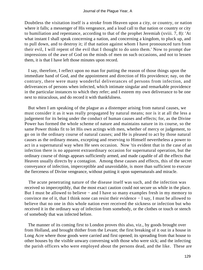Doubtless the visitation itself is a stroke from Heaven upon a city, or country, or nation where it falls; a messenger of His vengeance, and a loud call to that nation or country or city to humiliation and repentance, according to that of the prophet Jeremiah (xviii. 7, 8): 'At what instant I shall speak concerning a nation, and concerning a kingdom, to pluck up, and to pull down, and to destroy it; if that nation against whom I have pronounced turn from their evil, I will repent of the evil that I thought to do unto them.' Now to prompt due impressions of the awe of God on the minds of men on such occasions, and not to lessen them, it is that I have left those minutes upon record.

 I say, therefore, I reflect upon no man for putting the reason of those things upon the immediate hand of God, and the appointment and direction of His providence; nay, on the contrary, there were many wonderful deliverances of persons from infection, and deliverances of persons when infected, which intimate singular and remarkable providence in the particular instances to which they refer; and I esteem my own deliverance to be one next to miraculous, and do record it with thankfulness.

 But when I am speaking of the plague as a distemper arising from natural causes, we must consider it as it was really propagated by natural means; nor is it at all the less a judgement for its being under the conduct of human causes and effects; for, as the Divine Power has formed the whole scheme of nature and maintains nature in its course, so the same Power thinks fit to let His own actings with men, whether of mercy or judgement, to go on in the ordinary course of natural causes; and He is pleased to act by those natural causes as the ordinary means, excepting and reserving to Himself nevertheless a power to act in a supernatural way when He sees occasion. Now 'tis evident that in the case of an infection there is no apparent extraordinary occasion for supernatural operation, but the ordinary course of things appears sufficiently armed, and made capable of all the effects that Heaven usually directs by a contagion. Among these causes and effects, this of the secret conveyance of infection, imperceptible and unavoidable, is more than sufficient to execute the fierceness of Divine vengeance, without putting it upon supernaturals and miracle.

 The acute penetrating nature of the disease itself was such, and the infection was received so imperceptibly, that the most exact caution could not secure us while in the place. But I must be allowed to believe − and I have so many examples fresh in my memory to convince me of it, that I think none can resist their evidence − I say, I must be allowed to believe that no one in this whole nation ever received the sickness or infection but who received it in the ordinary way of infection from somebody, or the clothes or touch or stench of somebody that was infected before.

 The manner of its coming first to London proves this also, viz., by goods brought over from Holland, and brought thither from the Levant; the first breaking of it out in a house in Long Acre where those goods were carried and first opened; its spreading from that house to other houses by the visible unwary conversing with those who were sick; and the infecting the parish officers who were employed about the persons dead, and the like. These are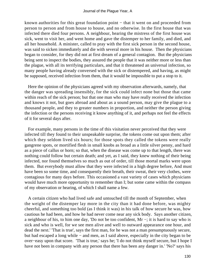known authorities for this great foundation point − that it went on and proceeded from person to person and from house to house, and no otherwise. In the first house that was infected there died four persons. A neighbour, hearing the mistress of the first house was sick, went to visit her, and went home and gave the distemper to her family, and died, and all her household. A minister, called to pray with the first sick person in the second house, was said to sicken immediately and die with several more in his house. Then the physicians began to consider, for they did not at first dream of a general contagion. But the physicians being sent to inspect the bodies, they assured the people that it was neither more or less than the plague, with all its terrifying particulars, and that it threatened an universal infection, so many people having already conversed with the sick or distempered, and having, as might be supposed, received infection from them, that it would be impossible to put a stop to it.

 Here the opinion of the physicians agreed with my observation afterwards, namely, that the danger was spreading insensibly, for the sick could infect none but those that came within reach of the sick person; but that one man who may have really received the infection and knows it not, but goes abroad and about as a sound person, may give the plague to a thousand people, and they to greater numbers in proportion, and neither the person giving the infection or the persons receiving it know anything of it, and perhaps not feel the effects of it for several days after.

 For example, many persons in the time of this visitation never perceived that they were infected till they found to their unspeakable surprise, the tokens come out upon them; after which they seldom lived six hours; for those spots they called the tokens were really gangrene spots, or mortified flesh in small knobs as broad as a little silver penny, and hard as a piece of callus or horn; so that, when the disease was come up to that length, there was nothing could follow but certain death; and yet, as I said, they knew nothing of their being infected, nor found themselves so much as out of order, till those mortal marks were upon them. But everybody must allow that they were infected in a high degree before, And must have been so some time, and consequently their breath, their sweat, their very clothes, were contagious for many days before. This occasioned a vast variety of cases which physicians would have much more opportunity to remember than I; but some came within the compass of my observation or hearing, of which I shall name a few.

 A certain citizen who had lived safe and untouched till the month of September, when the weight of the distemper lay more in the city than it had done before, was mighty cheerful, and something too bold (as I think it was) in his talk of how secure he was, how cautious he had been, and how he had never come near any sick body. Says another citizen, a neighbour of his, to him one day, 'Do not be too confident, Mr −; it is hard to say who is sick and who is well, for we see men alive and well to outward appearance one hour, and dead the next.' 'That is true', says the first man, for he was not a man presumptuously secure, but had escaped a long while − and men, as I said above, especially in the city began to be over−easy upon that score. 'That is true,' says he; 'I do not think myself secure, but I hope I have not been in company with any person that there has been any danger in.' 'No?' says his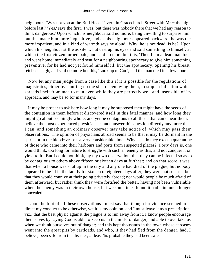neighbour. 'Was not you at the Bull Head Tavern in Gracechurch Street with Mr − the night before last?' 'Yes,' says the first, 'I was; but there was nobody there that we had any reason to think dangerous.' Upon which his neighbour said no more, being unwilling to surprise him; but this made him more inquisitive, and as his neighbour appeared backward, he was the more impatient, and in a kind of warmth says he aloud, 'Why, he is not dead, is he?' Upon which his neighbour still was silent, but cast up his eyes and said something to himself; at which the first citizen turned pale, and said no more but this, 'Then I am a dead man too', and went home immediately and sent for a neighbouring apothecary to give him something preventive, for he had not yet found himself ill; but the apothecary, opening his breast, fetched a sigh, and said no more but this, 'Look up to God'; and the man died in a few hours.

 Now let any man judge from a case like this if it is possible for the regulations of magistrates, either by shutting up the sick or removing them, to stop an infection which spreads itself from man to man even while they are perfectly well and insensible of its approach, and may be so for many days.

 It may be proper to ask here how long it may be supposed men might have the seeds of the contagion in them before it discovered itself in this fatal manner, and how long they might go about seemingly whole, and yet be contagious to all those that came near them. I believe the most experienced physicians cannot answer this question directly any more than I can; and something an ordinary observer may take notice of, which may pass their observations. The opinion of physicians abroad seems to be that it may lie dormant in the spirits or in the blood−vessels a very considerable time. Why else do they exact a quarantine of those who came into their harbours and ports from suspected places? Forty days is, one would think, too long for nature to struggle with such an enemy as this, and not conquer it or yield to it. But I could not think, by my own observation, that they can be infected so as to be contagious to others above fifteen or sixteen days at furthest; and on that score it was, that when a house was shut up in the city and any one had died of the plague, but nobody appeared to be ill in the family for sixteen or eighteen days after, they were not so strict but that they would connive at their going privately abroad; nor would people be much afraid of them afterward, but rather think they were fortified the better, having not been vulnerable when the enemy was in their own house; but we sometimes found it had lain much longer concealed.

 Upon the foot of all these observations I must say that though Providence seemed to direct my conduct to be otherwise, yet it is my opinion, and I must leave it as a prescription, viz., that the best physic against the plague is to run away from it. I know people encourage themselves by saying God is able to keep us in the midst of danger, and able to overtake us when we think ourselves out of danger; and this kept thousands in the town whose carcases went into the great pits by cartloads, and who, if they had fled from the danger, had, I believe, been safe from the disaster; at least 'tis probable they had been safe.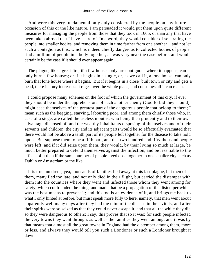And were this very fundamental only duly considered by the people on any future occasion of this or the like nature, I am persuaded it would put them upon quite different measures for managing the people from those that they took in 1665, or than any that have been taken abroad that I have heard of. In a word, they would consider of separating the people into smaller bodies, and removing them in time farther from one another − and not let such a contagion as this, which is indeed chiefly dangerous to collected bodies of people, find a million of people in a body together, as was very near the case before, and would certainly be the case if it should ever appear again.

 The plague, like a great fire, if a few houses only are contiguous where it happens, can only burn a few houses; or if it begins in a single, or, as we call it, a lone house, can only burn that lone house where it begins. But if it begins in a close−built town or city and gets a head, there its fury increases: it rages over the whole place, and consumes all it can reach.

 I could propose many schemes on the foot of which the government of this city, if ever they should be under the apprehensions of such another enemy (God forbid they should), might ease themselves of the greatest part of the dangerous people that belong to them; I mean such as the begging, starving, labouring poor, and among them chiefly those who, in case of a siege, are called the useless mouths; who being then prudently and to their own advantage disposed of, and the wealthy inhabitants disposing of themselves and of their servants and children, the city and its adjacent parts would be so effectually evacuated that there would not be above a tenth part of its people left together for the disease to take hold upon. But suppose them to be a fifth part, and that two hundred and fifty thousand people were left: and if it did seize upon them, they would, by their living so much at large, be much better prepared to defend themselves against the infection, and be less liable to the effects of it than if the same number of people lived dose together in one smaller city such as Dublin or Amsterdam or the like.

 It is true hundreds, yea, thousands of families fled away at this last plague, but then of them, many fled too late, and not only died in their flight, but carried the distemper with them into the countries where they went and infected those whom they went among for safety; which confounded the thing, and made that be a propagation of the distemper which was the best means to prevent it; and this too is an evidence of it, and brings me back to what I only hinted at before, but must speak more fully to here, namely, that men went about apparently well many days after they had the taint of the disease in their vitals, and after their spirits were so seized as that they could never escape it, and that all the while they did so they were dangerous to others; I say, this proves that so it was; for such people infected the very towns they went through, as well as the families they went among; and it was by that means that almost all the great towns in England had the distemper among them, more or less, and always they would tell you such a Londoner or such a Londoner brought it down.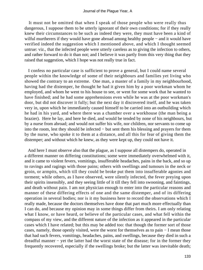It must not be omitted that when I speak of those people who were really thus dangerous, I suppose them to be utterly ignorant of their own conditions; for if they really knew their circumstances to be such as indeed they were, they must have been a kind of wilful murtherers if they would have gone abroad among healthy people − and it would have verified indeed the suggestion which I mentioned above, and which I thought seemed untrue: viz., that the infected people were utterly careless as to giving the infection to others, and rather forward to do it than not; and I believe it was partly from this very thing that they raised that suggestion, which I hope was not really true in fact.

 I confess no particular case is sufficient to prove a general, but I could name several people within the knowledge of some of their neighbours and families yet living who showed the contrary to an extreme. One man, a master of a family in my neighbourhood, having had the distemper, he thought he had it given him by a poor workman whom he employed, and whom he went to his house to see, or went for some work that he wanted to have finished; and he had some apprehensions even while he was at the poor workman's door, but did not discover it fully; but the next day it discovered itself, and he was taken very in, upon which he immediately caused himself to be carried into an outbuilding which he had in his yard, and where there was a chamber over a workhouse (the man being a brazier). Here he lay, and here he died, and would be tended by none of his neighbours, but by a nurse from abroad; and would not suffer his wife, nor children, nor servants to come up into the room, lest they should be infected − but sent them his blessing and prayers for them by the nurse, who spoke it to them at a distance, and all this for fear of giving them the distemper; and without which he knew, as they were kept up, they could not have it.

 And here I must observe also that the plague, as I suppose all distempers do, operated in a different manner on differing constitutions; some were immediately overwhelmed with it, and it came to violent fevers, vomitings, insufferable headaches, pains in the back, and so up to ravings and ragings with those pains; others with swellings and tumours in the neck or groin, or armpits, which till they could be broke put them into insufferable agonies and torment; while others, as I have observed, were silently infected, the fever preying upon their spirits insensibly, and they seeing little of it till they fell into swooning, and faintings, and death without pain. I am not physician enough to enter into the particular reasons and manner of these differing effects of one and the same distemper, and of its differing operation in several bodies; nor is it my business here to record the observations which I really made, because the doctors themselves have done that part much more effectually than I can do, and because my opinion may in some things differ from theirs. I am only relating what I know, or have heard, or believe of the particular cases, and what fell within the compass of my view, and the different nature of the infection as it appeared in the particular cases which I have related; but this may be added too: that though the former sort of those cases, namely, those openly visited, were the worst for themselves as to pain − I mean those that had such fevers, vomitings, headaches, pains, and swellings, because they died in such a dreadful manner − yet the latter had the worst state of the disease; for in the former they frequently recovered, especially if the swellings broke; but the latter was inevitable death;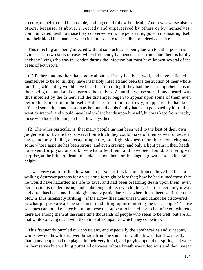no cure, no hell), could be possible, nothing could follow but death. And it was worse also to others, because, as above, it secretly and unperceived by others or by themselves, communicated death to those they conversed with, the penetrating poison insinuating itself into their blood in a manner which it is impossible to describe, or indeed conceive.

 This infecting and being infected without so much as its being known to either person is evident from two sorts of cases which frequently happened at that time; and there is hardly anybody living who was in London during the infection but must have known several of the cases of both sorts.

 (1) Fathers and mothers have gone about as if they had been well, and have believed themselves to be so, till they have insensibly infected and been the destruction of their whole families, which they would have been far from doing if they had the least apprehensions of their being unsound and dangerous themselves. A family, whose story I have heard, was thus infected by the father; and the distemper began to appear upon some of them even before he found it upon himself. But searching more narrowly, it appeared he had been affected some time; and as soon as he found that his family had been poisoned by himself he went distracted, and would have laid violent hands upon himself, but was kept from that by those who looked to him, and in a few days died.

 (2) The other particular is, that many people having been well to the best of their own judgement, or by the best observation which they could make of themselves for several days, and only finding a decay of appetite, or a light sickness upon their stomachs; nay, some whose appetite has been strong, and even craving, and only a light pain in their heads, have sent for physicians to know what ailed them, and have been found, to their great surprise, at the brink of death: the tokens upon them, or the plague grown up to an incurable height.

 It was very sad to reflect how such a person as this last mentioned above had been a walking destroyer perhaps for a week or a fortnight before that; how he had ruined those that he would have hazarded his life to save, and had been breathing death upon them, even perhaps in his tender kissing and embracings of his own children. Yet thus certainly it was, and often has been, and I could give many particular cases where it has been so. If then the blow is thus insensibly striking − if the arrow flies thus unseen, and cannot be discovered − to what purpose are all the schemes for shutting up or removing the sick people? Those schemes cannot take place but upon those that appear to be sick, or to be infected; whereas there are among them at the same time thousands of people who seem to be well, but are all that while carrying death with them into all companies which they come into.

 This frequently puzzled our physicians, and especially the apothecaries and surgeons, who knew not how to discover the sick from the sound; they all allowed that it was really so, that many people had the plague in their very blood, and preying upon their spirits, and were in themselves but walking putrefied carcases whose breath was infectious and their sweat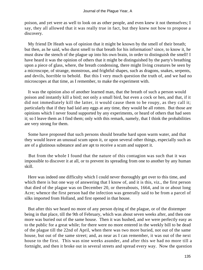poison, and yet were as well to look on as other people, and even knew it not themselves; I say, they all allowed that it was really true in fact, but they knew not how to propose a discovery.

 My friend Dr Heath was of opinion that it might be known by the smell of their breath; but then, as he said, who durst smell to that breath for his information? since, to know it, he must draw the stench of the plague up into his own brain, in order to distinguish the smell! I have heard it was the opinion of others that it might be distinguished by the party's breathing upon a piece of glass, where, the breath condensing, there might living creatures be seen by a microscope, of strange, monstrous, and frightful shapes, such as dragons, snakes, serpents, and devils, horrible to behold. But this I very much question the truth of, and we had no microscopes at that time, as I remember, to make the experiment with.

 It was the opinion also of another learned man, that the breath of such a person would poison and instantly kill a bird; not only a small bird, but even a cock or hen, and that, if it did not immediately kill the latter, it would cause them to be roupy, as they call it; particularly that if they had laid any eggs at any time, they would be all rotten. But those are opinions which I never found supported by any experiments, or heard of others that had seen it; so I leave them as I find them; only with this remark, namely, that I think the probabilities are very strong for them.

 Some have proposed that such persons should breathe hard upon warm water, and that they would leave an unusual scum upon it, or upon several other things, especially such as are of a glutinous substance and are apt to receive a scum and support it.

 But from the whole I found that the nature of this contagion was such that it was impossible to discover it at all, or to prevent its spreading from one to another by any human skill.

 Here was indeed one difficulty which I could never thoroughly get over to this time, and which there is but one way of answering that I know of, and it is this, viz., the first person that died of the plague was on December 20, or thereabouts, 1664, and in or about long Acre; whence the first person had the infection was generally said to be from a parcel of silks imported from Holland, and first opened in that house.

 But after this we heard no more of any person dying of the plague, or of the distemper being in that place, till the 9th of February, which was about seven weeks after, and then one more was buried out of the same house. Then it was hushed, and we were perfectly easy as to the public for a great while; for there were no more entered in the weekly bill to be dead of the plague till the 22nd of April, when there was two more buried, not out of the same house, but out of the same street; and, as near as I can remember, it was out of the next house to the first. This was nine weeks asunder, and after this we had no more till a fortnight, and then it broke out in several streets and spread every way. Now the question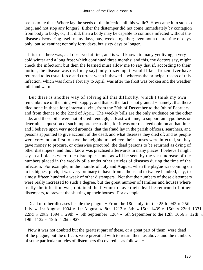seems to lie thus: Where lay the seeds of the infection all this while? How came it to stop so long, and not stop any longer? Either the distemper did not come immediately by contagion from body to body, or, if it did, then a body may be capable to continue infected without the disease discovering itself many days, nay, weeks together; even not a quarantine of days only, but soixantine; not only forty days, but sixty days or longer.

 It is true there was, as I observed at first, and is well known to many yet living, a very cold winter and a long frost which continued three months; and this, the doctors say, might check the infection; but then the learned must allow me to say that if, according to their notion, the disease was (as I may say) only frozen up, it would like a frozen river have returned to its usual force and current when it thawed − whereas the principal recess of this infection, which was from February to April, was after the frost was broken and the weather mild and warm.

 But there is another way of solving all this difficulty, which I think my own remembrance of the thing will supply; and that is, the fact is not granted − namely, that there died none in those long intervals, viz., from the 20th of December to the 9th of February, and from thence to the 22nd of April. The weekly bills are the only evidence on the other side, and those bills were not of credit enough, at least with me, to support an hypothesis or determine a question of such importance as this; for it was our received opinion at that time, and I believe upon very good grounds, that the fraud lay in the parish officers, searchers, and persons appointed to give account of the dead, and what diseases they died of; and as people were very loth at first to have the neighbours believe their houses were infected, so they gave money to procure, or otherwise procured, the dead persons to be returned as dying of other distempers; and this I know was practised afterwards in many places, I believe I might say in all places where the distemper came, as will be seen by the vast increase of the numbers placed in the weekly bills under other articles of diseases during the time of the infection. For example, in the months of July and August, when the plague was coming on to its highest pitch, it was very ordinary to have from a thousand to twelve hundred, nay, to almost fifteen hundred a week of other distempers. Not that the numbers of those distempers were really increased to such a degree, but the great number of families and houses where really the infection was, obtained the favour to have their dead be returned of other distempers, to prevent the shutting up their houses. For example: −

 Dead of other diseases beside the plague − From the 18th July to the 25th 942 « 25th July » 1st August 1004 « 1st August » 8th 1213 « 8th » 15th 1439 « 15th » 22nd 1331 « 22nd » 29th 1394 « 29th » 5th September 1264 « 5th September to the 12th 1056 » 12th « 19th 1132 » 19th **"** 26th 927

 Now it was not doubted but the greatest part of these, or a great part of them, were dead of the plague, but the officers were prevailed with to return them as above, and the numbers of some particular articles of distempers discovered is as follows: −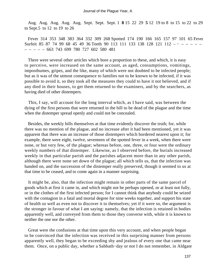Aug. Aug. Aug. Aug. Aug. Sept. Sept. Sept. 1 **8** 15 22 29 **5** 12 19 to 8 to 15 to 22 to 29 to Sept.5 to 12 to 19 to 26

 Fever 314 353 348 383 364 332 309 268 Spotted 174 190 166 165 157 97 101 65 Fever Surfeit 85 87 74 99 68 45 49 36 Teeth 90 113 111 133 138 128 121 112 −−−−  $-$  663 743 699 780 727 602 580 481

 There were several other articles which bore a proportion to these, and which, it is easy to perceive, were increased on the same account, as aged, consumptions, vomitings, imposthumes, gripes, and the like, many of which were not doubted to be infected people; but as it was of the utmost consequence to families not to be known to be infected, if it was possible to avoid it, so they took all the measures they could to have it not believed, and if any died in their houses, to get them returned to the examiners, and by the searchers, as having died of other distempers.

 This, I say, will account for the long interval which, as I have said, was between the dying of the first persons that were returned in the bill to be dead of the plague and the time when the distemper spread openly and could not be concealed.

 Besides, the weekly bills themselves at that time evidently discover the truth; for, while there was no mention of the plague, and no increase after it had been mentioned, yet it was apparent that there was an increase of those distempers which bordered nearest upon it; for example, there were eight, twelve, seventeen of the spotted fever in a week, when there were none, or but very few, of the plague; whereas before, one, three, or four were the ordinary weekly numbers of that distemper. Likewise, as I observed before, the burials increased weekly in that particular parish and the parishes adjacent more than in any other parish, although there were none set down of the plague; all which tells us, that the infection was handed on, and the succession of the distemper really preserved, though it seemed to us at that time to be ceased, and to come again in a manner surprising.

 It might be, also, that the infection might remain in other parts of the same parcel of goods which at first it came in, and which might not be perhaps opened, or at least not fully, or in the clothes of the first infected person; for I cannot think that anybody could be seized with the contagion in a fatal and mortal degree for nine weeks together, and support his state of health so well as even not to discover it to themselves; yet if it were so, the argument is the stronger in favour of what I am saying: namely, that the infection is retained in bodies apparently well, and conveyed from them to those they converse with, while it is known to neither the one nor the other.

 Great were the confusions at that time upon this very account, and when people began to be convinced that the infection was received in this surprising manner from persons apparently well, they began to be exceeding shy and jealous of every one that came near them. Once, on a public day, whether a Sabbath−day or not I do not remember, in Aldgate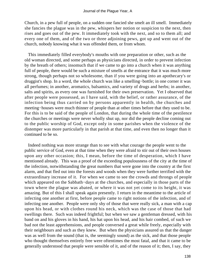Church, in a pew full of people, on a sudden one fancied she smelt an ill smell. Immediately she fancies the plague was in the pew, whispers her notion or suspicion to the next, then rises and goes out of the pew. It immediately took with the next, and so to them all; and every one of them, and of the two or three adjoining pews, got up and went out of the church, nobody knowing what it was offended them, or from whom.

 This immediately filled everybody's mouths with one preparation or other, such as the old woman directed, and some perhaps as physicians directed, in order to prevent infection by the breath of others; insomuch that if we came to go into a church when it was anything full of people, there would be such a mixture of smells at the entrance that it was much more strong, though perhaps not so wholesome, than if you were going into an apothecary's or druggist's shop. In a word, the whole church was like a smelling−bottle; in one corner it was all perfumes; in another, aromatics, balsamics, and variety of drugs and herbs; in another, salts and spirits, as every one was furnished for their own preservation. Yet I observed that after people were possessed, as I have said, with the belief, or rather assurance, of the infection being thus carried on by persons apparently in health, the churches and meeting−houses were much thinner of people than at other times before that they used to be. For this is to be said of the people of London, that during the whole time of the pestilence the churches or meetings were never wholly shut up, nor did the people decline coming out to the public worship of God, except only in some parishes when the violence of the distemper was more particularly in that parish at that time, and even then no longer than it continued to be so.

 Indeed nothing was more strange than to see with what courage the people went to the public service of God, even at that time when they were afraid to stir out of their own houses upon any other occasion; this, I mean, before the time of desperation, which I have mentioned already. This was a proof of the exceeding populousness of the city at the time of the infection, notwithstanding the great numbers that were gone into the country at the first alarm, and that fled out into the forests and woods when they were further terrified with the extraordinary increase of it. For when we came to see the crowds and throngs of people which appeared on the Sabbath−days at the churches, and especially in those parts of the town where the plague was abated, or where it was not yet come to its height, it was amazing. But of this I shall speak again presently. I return in the meantime to the article of infecting one another at first, before people came to right notions of the infection, and of infecting one another. People were only shy of those that were really sick, a man with a cap upon his head, or with clothes round his neck, which was the case of those that had swellings there. Such was indeed frightful; but when we saw a gentleman dressed, with his band on and his gloves in his hand, his hat upon his head, and his hair combed, of such we bad not the least apprehensions, and people conversed a great while freely, especially with their neighbours and such as they knew. But when the physicians assured us that the danger was as well from the sound (that is, the seemingly sound) as the sick, and that those people who thought themselves entirely free were oftentimes the most fatal, and that it came to be generally understood that people were sensible of it, and of the reason of it; then, I say, they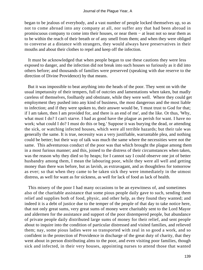began to be jealous of everybody, and a vast number of people locked themselves up, so as not to come abroad into any company at all, nor suffer any that had been abroad in promiscuous company to come into their houses, or near them − at least not so near them as to be within the reach of their breath or of any smell from them; and when they were obliged to converse at a distance with strangers, they would always have preservatives in their mouths and about their clothes to repel and keep off the infection.

 It must be acknowledged that when people began to use these cautions they were less exposed to danger, and the infection did not break into such houses so furiously as it did into others before; and thousands of families were preserved (speaking with due reserve to the direction of Divine Providence) by that means.

 But it was impossible to beat anything into the heads of the poor. They went on with the usual impetuosity of their tempers, full of outcries and lamentations when taken, but madly careless of themselves, foolhardy and obstinate, while they were well. Where they could get employment they pushed into any kind of business, the most dangerous and the most liable to infection; and if they were spoken to, their answer would be, 'I must trust to God for that; if I am taken, then I am provided for, and there is an end of me', and the like. Or thus, 'Why, what must I do? I can't starve. I had as good have the plague as perish for want. I have no work; what could I do? I must do this or beg.' Suppose it was burying the dead, or attending the sick, or watching infected houses, which were all terrible hazards; but their tale was generally the same. It is true, necessity was a very justifiable, warrantable plea, and nothing could be better; but their way of talk was much the same where the necessities were not the same. This adventurous conduct of the poor was that which brought the plague among them in a most furious manner; and this, joined to the distress of their circumstances when taken, was the reason why they died so by heaps; for I cannot say I could observe one jot of better husbandry among them, I mean the labouring poor, while they were all well and getting money than there was before, but as lavish, as extravagant, and as thoughtless for tomorrow as ever; so that when they came to be taken sick they were immediately in the utmost distress, as well for want as for sickness, as well for lack of food as lack of health.

 This misery of the poor I had many occasions to be an eyewitness of, and sometimes also of the charitable assistance that some pious people daily gave to such, sending them relief and supplies both of food, physic, and other help, as they found they wanted; and indeed it is a debt of justice due to the temper of the people of that day to take notice here, that not only great sums, very great sums of money were charitably sent to the Lord Mayor and aldermen for the assistance and support of the poor distempered people, but abundance of private people daily distributed large sums of money for their relief, and sent people about to inquire into the condition of particular distressed and visited families, and relieved them; nay, some pious ladies were so transported with zeal in so good a work, and so confident in the protection of Providence in discharge of the great duty of charity, that they went about in person distributing alms to the poor, and even visiting poor families, though sick and infected, in their very houses, appointing nurses to attend those that wanted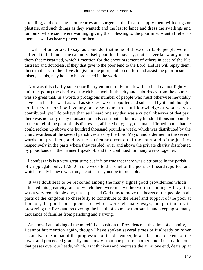attending, and ordering apothecaries and surgeons, the first to supply them with drugs or plasters, and such things as they wanted; and the last to lance and dress the swellings and tumours, where such were wanting; giving their blessing to the poor in substantial relief to them, as well as hearty prayers for them.

 I will not undertake to say, as some do, that none of those charitable people were suffered to fall under the calamity itself; but this I may say, that I never knew any one of them that miscarried, which I mention for the encouragement of others in case of the like distress; and doubtless, if they that give to the poor lend to the Lord, and He will repay them, those that hazard their lives to give to the poor, and to comfort and assist the poor in such a misery as this, may hope to be protected in the work.

 Nor was this charity so extraordinary eminent only in a few, but (for I cannot lightly quit this point) the charity of the rich, as well in the city and suburbs as from the country, was so great that, in a word, a prodigious number of people who must otherwise inevitably have perished for want as well as sickness were supported and subsisted by it; and though I could never, nor I believe any one else, come to a full knowledge of what was so contributed, yet I do believe that, as I heard one say that was a critical observer of that part, there was not only many thousand pounds contributed, but many hundred thousand pounds, to the relief of the poor of this distressed, afflicted city; nay, one man affirmed to me that he could reckon up above one hundred thousand pounds a week, which was distributed by the churchwardens at the several parish vestries by the Lord Mayor and aldermen in the several wards and precincts, and by the particular direction of the court and of the justices respectively in the parts where they resided, over and above the private charity distributed by pious bands in the manner I speak of; and this continued for many weeks together.

 I confess this is a very great sum; but if it be true that there was distributed in the parish of Cripplegate only, 17,800 in one week to the relief of the poor, as I heard reported, and which I really believe was true, the other may not be improbable.

 It was doubtless to be reckoned among the many signal good providences which attended this great city, and of which there were many other worth recording, − I say, this was a very remarkable one, that it pleased God thus to move the hearts of the people in all parts of the kingdom so cheerfully to contribute to the relief and support of the poor at London, the good consequences of which were felt many ways, and particularly in preserving the lives and recovering the health of so many thousands, and keeping so many thousands of families from perishing and starving.

 And now I am talking of the merciful disposition of Providence in this time of calamity, I cannot but mention again, though I have spoken several times of it already on other accounts, I mean that of the progression of the distemper; how it began at one end of the town, and proceeded gradually and slowly from one part to another, and like a dark cloud that passes over our heads, which, as it thickens and overcasts the air at one end, dears up at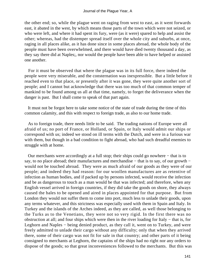the other end; so, while the plague went on raging from west to east, as it went forwards east, it abated in the west, by which means those parts of the town which were not seized, or who were left, and where it had spent its fury, were (as it were) spared to help and assist the other; whereas, had the distemper spread itself over the whole city and suburbs, at once, raging in all places alike, as it has done since in some places abroad, the whole body of the people must have been overwhelmed, and there would have died twenty thousand a day, as they say there did at Naples;, nor would the people have been able to have helped or assisted one another.

 For it must be observed that where the plague was in its full force, there indeed the people were very miserable, and the consternation was inexpressible. But a little before it reached even to that place, or presently after it was gone, they were quite another sort of people; and I cannot but acknowledge that there was too much of that common temper of mankind to be found among us all at that time, namely, to forget the deliverance when the danger is past. But I shall come to speak of that part again.

 It must not be forgot here to take some notice of the state of trade during the time of this common calamity, and this with respect to foreign trade, as also to our home trade.

 As to foreign trade, there needs little to be said. The trading nations of Europe were all afraid of us; no port of France, or Holland, or Spain, or Italy would admit our ships or correspond with us; indeed we stood on ill terms with the Dutch, and were in a furious war with them, but though in a bad condition to fight abroad, who had such dreadful enemies to struggle with at home.

 Our merchants were accordingly at a full stop; their ships could go nowhere − that is to say, to no place abroad; their manufactures and merchandise – that is to say, of our growth – would not be touched abroad. They were as much afraid of our goods as they were of our people; and indeed they had reason: for our woollen manufactures are as retentive of infection as human bodies, and if packed up by persons infected, would receive the infection and be as dangerous to touch as a man would be that was infected; and therefore, when any English vessel arrived in foreign countries, if they did take the goods on shore, they always caused the bales to be opened and aired in places appointed for that purpose. But from London they would not suffer them to come into port, much less to unlade their goods, upon any terms whatever, and this strictness was especially used with them in Spain and Italy. In Turkey and the islands of the Arches indeed, as they are called, as well those belonging to the Turks as to the Venetians, they were not so very rigid. In the first there was no obstruction at all; and four ships which were then in the river loading for Italy − that is, for Leghorn and Naples − being denied product, as they call it, went on to Turkey, and were freely admitted to unlade their cargo without any difficulty; only that when they arrived there, some of their cargo was not fit for sale in that country; and other parts of it being consigned to merchants at Leghorn, the captains of the ships had no right nor any orders to dispose of the goods; so that great inconveniences followed to the merchants. But this was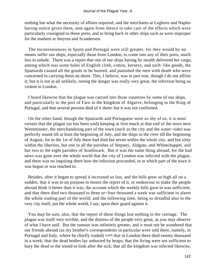nothing but what the necessity of affairs required, and the merchants at Leghorn and Naples having notice given them, sent again from thence to take care of the effects which were particularly consigned to those ports, and to bring back in other ships such as were improper for the markets at Smyrna and Scanderoon.

 The inconveniences in Spain and Portugal were still greater, for they would by no means suffer our ships, especially those from London, to come into any of their ports, much less to unlade. There was a report that one of our ships having by stealth delivered her cargo, among which was some bales of English cloth, cotton, kerseys, and such−like goods, the Spaniards caused all the goods to be burned, and punished the men with death who were concerned in carrying them on shore. This, I believe, was in part true, though I do not affirm it; but it is not at all unlikely, seeing the danger was really very great, the infection being so violent in London.

 I heard likewise that the plague was carried into those countries by some of our ships, and particularly to the port of Faro in the kingdom of Algarve, belonging to the King of Portugal, and that several persons died of it there; but it was not confirmed.

 On the other hand, though the Spaniards and Portuguese were so shy of us, it is most certain that the plague (as has been said) keeping at first much at that end of the town next Westminster, the merchandising part of the town (such as the city and the water−side) was perfectly sound till at least the beginning of July, and the ships in the river till the beginning of August; for to the 1st of July there had died but seven within the whole city, and but sixty within the liberties, but one in all the parishes of Stepney, Aldgate, and Whitechappel, and but two in the eight parishes of Southwark. But it was the same thing abroad, for the bad news was gone over the whole world that the city of London was infected with the plague, and there was no inquiring there how the infection proceeded, or at which part of the town it was begun or was reached to.

 Besides, after it began to spread it increased so fast, and the bills grew so high all on a sudden, that it was to no purpose to lessen the report of it, or endeavour to make the people abroad think it better than it was; the account which the weekly bills gave in was sufficient; and that there died two thousand to three or−four thousand a week was sufficient to alarm the whole trading part of the world; and the following time, being so dreadful also in the very city itself, put the whole world, I say, upon their guard against it.

 You may be sure, also, that the report of these things lost nothing in the carriage. The plague was itself very terrible, and the distress of the people very great, as you may observe of what I have said. But the rumour was infinitely greater, and it must not be wondered that our friends abroad (as my brother's correspondents in particular were told there, namely, in Portugal and Italy, where he chiefly traded) [said] that in London there died twenty thousand in a week; that the dead bodies lay unburied by heaps; that the living were not sufficient to bury the dead or the sound to look after the sick; that all the kingdom was infected likewise,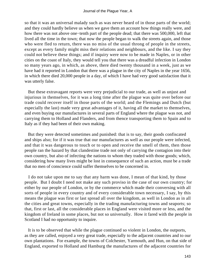so that it was an universal malady such as was never heard of in those parts of the world; and they could hardly believe us when we gave them an account how things really were, and how there was not above one−tenth part of the people dead; that there was 500,000, left that lived all the time in the town; that now the people began to walk the streets again, and those who were fled to return, there was no miss of the usual throng of people in the streets, except as every family might miss their relations and neighbours, and the like. I say they could not believe these things; and if inquiry were now to be made in Naples, or in other cities on the coast of Italy, they would tell you that there was a dreadful infection in London so many years ago, in which, as above, there died twenty thousand in a week, just as we have had it reported in London that there was a plague in the city of Naples in the year 1656, in which there died 20,000 people in a day, of which I have had very good satisfaction that it was utterly false.

 But these extravagant reports were very prejudicial to our trade, as well as unjust and injurious in themselves, for it was a long time after the plague was quite over before our trade could recover itself in those parts of the world; and the Flemings and Dutch (but especially the last) made very great advantages of it, having all the market to themselves, and even buying our manufactures in several parts of England where the plague was not, and carrying them to Holland and Flanders, and from thence transporting them to Spain and to Italy as if they had been of their own making.

 But they were detected sometimes and punished: that is to say, their goods confiscated and ships also; for if it was true that our manufactures as well as our people were infected, and that it was dangerous to touch or to open and receive the smell of them, then those people ran the hazard by that clandestine trade not only of carrying the contagion into their own country, but also of infecting the nations to whom they traded with those goods; which, considering how many lives might be lost in consequence of such an action, must be a trade that no men of conscience could suffer themselves to be concerned in.

 I do not take upon me to say that any harm was done, I mean of that kind, by those people. But I doubt I need not make any such proviso in the case of our own country; for either by our people of London, or by the commerce which made their conversing with all sorts of people in every country and of every considerable town necessary, I say, by this means the plague was first or last spread all over the kingdom, as well in London as in all the cities and great towns, especially in the trading manufacturing towns and seaports; so that, first or last, all the considerable places in England were visited more or less, and the kingdom of Ireland in some places, but not so universally. How it fared with the people in Scotland I had no opportunity to inquire.

 It is to be observed that while the plague continued so violent in London, the outports, as they are called, enjoyed a very great trade, especially to the adjacent countries and to our own plantations. For example, the towns of Colchester, Yarmouth, and Hun, on that side of England, exported to Holland and Hamburg the manufactures of the adjacent countries for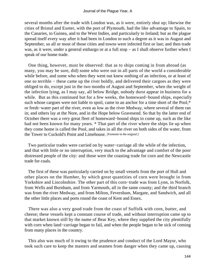several months after the trade with London was, as it were, entirely shut up; likewise the cities of Bristol and Exeter, with the port of Plymouth, had the like advantage to Spain, to the Canaries, to Guinea, and to the West Indies, and particularly to Ireland; but as the plague spread itself every way after it had been in London to such a degree as it was in August and September, so all or most of those cities and towns were infected first or last; and then trade was, as it were, under a general embargo or at a full stop − as I shall observe further when I speak of our home trade.

 One thing, however, must be observed: that as to ships coming in from abroad (as many, you may be sure, did) some who were out in all parts of the world a considerable while before, and some who when they went out knew nothing of an infection, or at least of one so terrible − these came up the river boldly, and delivered their cargoes as they were obliged to do, except just in the two months of August and September, when the weight of the infection lying, as I may say, all below Bridge, nobody durst appear in business for a while. But as this continued but for a few weeks, the homeward−bound ships, especially such whose cargoes were not liable to spoil, came to an anchor for a time short of the Pool,\* or fresh−water part of the river, even as low as the river Medway, where several of them ran in; and others lay at the Nore, and in the Hope below Gravesend. So that by the latter end of October there was a very great fleet of homeward−bound ships to come up, such as the like had not been known for many years. \* That part of the river where the ships lie up when they come home is called the Pool, and takes in all the river on both sides of the water, from the Tower to Cuckold's Point and Limehouse. [Footnote in the original.]

 Two particular trades were carried on by water−carriage all the while of the infection, and that with little or no interruption, very much to the advantage and comfort of the poor distressed people of the city: and those were the coasting trade for corn and the Newcastle trade for coals.

 The first of these was particularly carried on by small vessels from the port of Hull and other places on the Humber, by which great quantities of corn were brought in from Yorkshire and Lincolnshire. The other part of this corn−trade was from Lynn, in Norfolk, from Wells and Burnham, and from Yarmouth, all in the same county; and the third branch was from the river Medway, and from Milton, Feversham, Margate, and Sandwich, and all the other little places and ports round the coast of Kent and Essex.

 There was also a very good trade from the coast of Suffolk with corn, butter, and cheese; these vessels kept a constant course of trade, and without interruption came up to that market known still by the name of Bear Key, where they supplied the city plentifully with corn when land−carriage began to fail, and when the people began to be sick of coming from many places in the country.

 This also was much of it owing to the prudence and conduct of the Lord Mayor, who took such care to keep the masters and seamen from danger when they came up, causing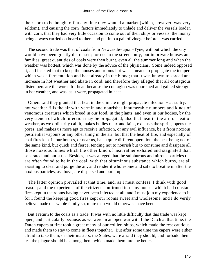their corn to be bought off at any time they wanted a market (which, however, was very seldom), and causing the corn−factors immediately to unlade and deliver the vessels loaden with corn, that they had very little occasion to come out of their ships or vessels, the money being always carried on board to them and put into a pail of vinegar before it was carried.

 The second trade was that of coals from Newcastle−upon−Tyne, without which the city would have been greatly distressed; for not in the streets only, but in private houses and families, great quantities of coals were then burnt, even all the summer long and when the weather was hottest, which was done by the advice of the physicians. Some indeed opposed it, and insisted that to keep the houses and rooms hot was a means to propagate the temper, which was a fermentation and heat already in the blood; that it was known to spread and increase in hot weather and abate in cold; and therefore they alleged that all contagious distempers are the worse for heat, because the contagion was nourished and gained strength in hot weather, and was, as it were, propagated in heat.

 Others said they granted that heat in the climate might propagate infection − as sultry, hot weather fills the air with vermin and nourishes innumerable numbers and kinds of venomous creatures which breed in our food, in the plants, and even in our bodies, by the very stench of which infection may be propagated; also that heat in the air, or heat of weather, as we ordinarily call it, makes bodies relax and faint, exhausts the spirits, opens the pores, and makes us more apt to receive infection, or any evil influence, be it from noxious pestilential vapours or any other thing in the air; but that the heat of fire, and especially of coal fires kept in our houses, or near us, had a quite different operation; the heat being not of the same kind, but quick and fierce, tending not to nourish but to consume and dissipate all those noxious fumes which the other kind of heat rather exhaled and stagnated than separated and burnt up. Besides, it was alleged that the sulphurous and nitrous particles that are often found to be in the coal, with that bituminous substance which burns, are all assisting to clear and purge the air, and render it wholesome and safe to breathe in after the noxious particles, as above, are dispersed and burnt up.

 The latter opinion prevailed at that time, and, as I must confess, I think with good reason; and the experience of the citizens confirmed it, many houses which had constant fires kept in the rooms having never been infected at all; and I must join my experience to it, for I found the keeping good fires kept our rooms sweet and wholesome, and I do verily believe made our whole family so, more than would otherwise have been.

 But I return to the coals as a trade. It was with no little difficulty that this trade was kept open, and particularly because, as we were in an open war with I the Dutch at that time, the Dutch capers at first took a great many of our collier−ships, which made the rest cautious, and made them to stay to come in fleets together. But after some time the capers were either afraid to take them, or their masters, the States, were afraid they should, and forbade them, lest the plague should be among them, which made them fare the better.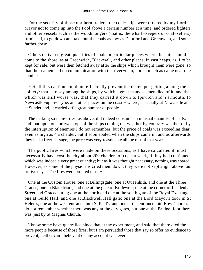For the security of those northern traders, the coal−ships were ordered by my Lord Mayor not to come up into the Pool above a certain number at a time, and ordered lighters and other vessels such as the woodmongers (that is, the wharf−keepers or coal−sellers) furnished, to go down and take out the coals as low as Deptford and Greenwich, and some farther down.

 Others delivered great quantities of coals in particular places where the ships could come to the shore, as at Greenwich, Blackwall, and other places, in vast heaps, as if to be kept for sale; but were then fetched away after the ships which brought them were gone, so that the seamen had no communication with the river−men, nor so much as came near one another.

 Yet all this caution could not effectually prevent the distemper getting among the colliery: that is to say among the ships, by which a great many seamen died of it; and that which was still worse was, that they carried it down to Ipswich and Yarmouth, to Newcastle−upon− Tyne, and other places on the coast − where, especially at Newcastle and at Sunderland, it carried off a great number of people.

 The making so many fires, as above, did indeed consume an unusual quantity of coals; and that upon one or two stops of the ships coming up, whether by contrary weather or by the interruption of enemies I do not remember, but the price of coals was exceeding dear, even as high as 4 a chalder; but it soon abated when the ships came in, and as afterwards they had a freer passage, the price was very reasonable all the rest of that year.

 The public fires which were made on these occasions, as I have calculated it, must necessarily have cost the city about 200 chalders of coals a week, if they had continued, which was indeed a very great quantity; but as it was thought necessary, nothing was spared. However, as some of the physicians cried them down, they were not kept alight above four or five days. The fires were ordered thus: −

 One at the Custom House, one at Billingsgate, one at Queenhith, and one at the Three Cranes; one in Blackfriars, and one at the gate of Bridewell; one at the corner of Leadenhal Street and Gracechurch; one at the north and one at the south gate of the Royal Exchange; one at Guild Hall, and one at Blackwell Hall gate; one at the Lord Mayor's door in St Helen's, one at the west entrance into St Paul's, and one at the entrance into Bow Church. I do not remember whether there was any at the city gates, but one at the Bridge−foot there was, just by St Magnus Church.

 I know some have quarrelled since that at the experiment, and said that there died the more people because of those fires; but I am persuaded those that say so offer no evidence to prove it, neither can I believe it on any account whatever.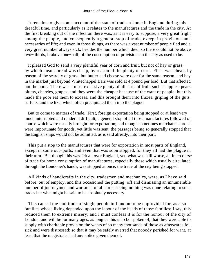It remains to give some account of the state of trade at home in England during this dreadful time, and particularly as it relates to the manufactures and the trade in the city. At the first breaking out of the infection there was, as it is easy to suppose, a very great fright among the people, and consequently a general stop of trade, except in provisions and necessaries of life; and even in those things, as there was a vast number of people fled and a very great number always sick, besides the number which died, so there could not be above two− thirds, if above one−half, of the consumption of provisions in the city as used to be.

 It pleased God to send a very plentiful year of corn and fruit, but not of hay or grass − by which means bread was cheap, by reason of the plenty of corn. Flesh was cheap, by reason of the scarcity of grass; but butter and cheese were dear for the same reason, and hay in the market just beyond Whitechappel Bars was sold at 4 pound per load. But that affected not the poor. There was a most excessive plenty of all sorts of fruit, such as apples, pears, plums, cherries, grapes, and they were the cheaper because of the want of people; but this made the poor eat them to excess, and this brought them into fluxes, griping of the guts, surfeits, and the like, which often precipitated them into the plague.

 But to come to matters of trade. First, foreign exportation being stopped or at least very much interrupted and rendered difficult, a general stop of all those manufactures followed of course which were usually brought for exportation; and though sometimes merchants abroad were importunate for goods, yet little was sent, the passages being so generally stopped that the English ships would not be admitted, as is said already, into their port.

 This put a stop to the manufactures that were for exportation in most parts of England, except in some out−ports; and even that was soon stopped, for they all had the plague in their turn. But though this was felt all over England, yet, what was still worse, all intercourse of trade for home consumption of manufactures, especially those which usually circulated through the Londoner's hands, was stopped at once, the trade of the city being stopped.

 All kinds of handicrafts in the city, tradesmen and mechanics, were, as I have said before, out of employ; and this occasioned the putting−off and dismissing an innumerable number of journeymen and workmen of all sorts, seeing nothing was done relating to such trades but what might be said to be absolutely necessary.

 This caused the multitude of single people in London to be unprovided for, as also families whose living depended upon the labour of the heads of those families; I say, this reduced them to extreme misery; and I must confess it is for the honour of the city of London, and will be for many ages, as long as this is to be spoken of, that they were able to supply with charitable provision the wants of so many thousands of those as afterwards fell sick and were distressed: so that it may be safely averred that nobody perished for want, at least that the magistrates had any notice given them of.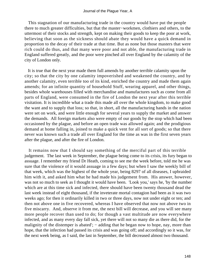This stagnation of our manufacturing trade in the country would have put the people there to much greater difficulties, but that the master−workmen, clothiers and others, to the uttermost of their stocks and strength, kept on making their goods to keep the poor at work, believing that soon as the sickness should abate they would have a quick demand in proportion to the decay of their trade at that time. But as none but those masters that were rich could do thus, and that many were poor and not able, the manufacturing trade in England suffered greatly, and the poor were pinched all over England by the calamity of the city of London only.

 It is true that the next year made them full amends by another terrible calamity upon the city; so that the city by one calamity impoverished and weakened the country, and by another calamity, even terrible too of its kind, enriched the country and made them again amends; for an infinite quantity of household Stuff, wearing apparel, and other things, besides whole warehouses filled with merchandise and manufactures such as come from all parts of England, were consumed in the fire of London the next year after this terrible visitation. It is incredible what a trade this made all over the whole kingdom, to make good the want and to supply that loss; so that, in short, all the manufacturing hands in the nation were set on work, and were little enough for several years to supply the market and answer the demands. All foreign markets also were empty of our goods by the stop which had been occasioned by the plague, and before an open trade was allowed again; and the prodigious demand at home falling in, joined to make a quick vent for all sort of goods; so that there never was known such a trade all over England for the time as was in the first seven years after the plague, and after the fire of London.

 It remains now that I should say something of the merciful part of this terrible judgement. The last week in September, the plague being come to its crisis, its fury began to assuage. I remember my friend Dr Heath, coming to see me the week before, told me he was sure that the violence of it would assuage in a few days; but when I saw the weekly bill of that week, which was the highest of the whole year, being 8297 of all diseases, I upbraided him with it, and asked him what he had made his judgement from. His answer, however, was not so much to seek as I thought it would have been. 'Look you,' says he, 'by the number which are at this time sick and infected, there should have been twenty thousand dead the last week instead of eight thousand, if the inveterate mortal contagion had been as it was two weeks ago; for then it ordinarily killed in two or three days, now not under eight or ten; and then not above one in five recovered, whereas I have observed that now not above two in five miscarry. And, observe it from me, the next bill will decrease, and you will see many more people recover than used to do; for though a vast multitude are now everywhere infected, and as many every day fall sick, yet there will not so many die as there did, for the malignity of the distemper is abated'; – adding that he began now to hope, nay, more than hope, that the infection had passed its crisis and was going off; and accordingly so it was, for the next week being, as I said, the last in September, the bill decreased almost two thousand.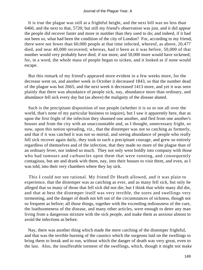It is true the plague was still at a frightful height, and the next bill was no less than 6460, and the next to that, 5720; but still my friend's observation was just, and it did appear the people did recover faster and more in number than they used to do; and indeed, if it had not been so, what had been the condition of the city of London? For, according to my friend, there were not fewer than 60,000 people at that time infected, whereof, as above, 20,477 died, and near 40,000 recovered; whereas, had it been as it was before, 50,000 of that number would very probably have died, if not more, and 50,000 more would have sickened; for, in a word, the whole mass of people began to sicken, and it looked as if none would escape.

 But this remark of my friend's appeared more evident in a few weeks more, for the decrease went on, and another week in October it decreased 1843, so that the number dead of the plague was but 2665; and the next week it decreased 1413 more, and yet it was seen plainly that there was abundance of people sick, nay, abundance more than ordinary, and abundance fell sick every day but (as above) the malignity of the disease abated.

 Such is the precipitant disposition of our people (whether it is so or not all over the world, that's none of my particular business to inquire), but I saw it apparently here, that as upon the first fright of the infection they shunned one another, and fled from one another's houses and from the city with an unaccountable and, as I thought, unnecessary fright, so now, upon this notion spreading, viz., that the distemper was not so catching as formerly, and that if it was catched it was not so mortal, and seeing abundance of people who really fell sick recover again daily, they took to such a precipitant courage, and grew so entirely regardless of themselves and of the infection, that they made no more of the plague than of an ordinary fever, nor indeed so much. They not only went boldly into company with those who had tumours and carbuncles upon them that were running, and consequently contagious, but ate and drank with them, nay, into their houses to visit them, and even, as I was told, into their very chambers where they lay sick.

 This I could not see rational. My friend Dr Heath allowed, and it was plain to experience, that the distemper was as catching as ever, and as many fell sick, but only he alleged that so many of those that fell sick did not die; but I think that while many did die, and that at best the distemper itself was very terrible, the sores and swellings very tormenting, and the danger of death not left out of the circumstances of sickness, though not so frequent as before; all those things, together with the exceeding tediousness of the cure, the loathsomeness of the disease, and many other articles, were enough to deter any man living from a dangerous mixture with the sick people, and make them as anxious almost to avoid the infections as before.

 Nay, there was another thing which made the mere catching of the distemper frightful, and that was the terrible burning of the caustics which the surgeons laid on the swellings to bring them to break and to run, without which the danger of death was very great, even to the last. Also, the insufferable torment of the swellings, which, though it might not make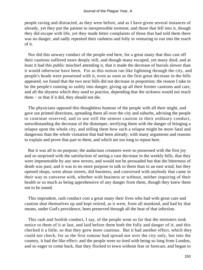people raving and distracted, as they were before, and as I have given several instances of already, yet they put the patient to inexpressible torment; and those that fell into it, though they did escape with life, yet they made bitter complaints of those that had told them there was no danger, and sadly repented their rashness and folly in venturing to run into the reach of it.

 Nor did this unwary conduct of the people end here, for a great many that thus cast off their cautions suffered more deeply still, and though many escaped, yet many died; and at least it had this public mischief attending it, that it made the decrease of burials slower than it would otherwise have been. For as this notion ran like lightning through the city, and people's heads were possessed with it, even as soon as the first great decrease in the bills appeared, we found that the two next bills did not decrease in proportion; the reason I take to be the people's running so rashly into danger, giving up all their former cautions and care, and all the shyness which they used to practise, depending that the sickness would not reach them − or that if it did, they should not die.

 The physicians opposed this thoughtless humour of the people with all their might, and gave out printed directions, spreading them all over the city and suburbs, advising the people to continue reserved, and to use still the utmost caution in their ordinary conduct, notwithstanding the decrease of the distemper, terrifying them with the danger of bringing a relapse upon the whole city, and telling them how such a relapse might be more fatal and dangerous than the whole visitation that had been already; with many arguments and reasons to explain and prove that part to them, and which are too long to repeat here.

 But it was all to no purpose; the audacious creatures were so possessed with the first joy and so surprised with the satisfaction of seeing a vast decrease in the weekly bills, that they were impenetrable by any new terrors, and would not be persuaded but that the bitterness of death was past; and it was to no more purpose to talk to them than to an east wind; but they opened shops, went about streets, did business, and conversed with anybody that came in their way to converse with, whether with business or without, neither inquiring of their health or so much as being apprehensive of any danger from them, though they knew them not to be sound.

 This imprudent, rash conduct cost a great many their lives who had with great care and caution shut themselves up and kept retired, as it were, from all mankind, and had by that means, under God's providence, been preserved through all the heat of that infection.

 This rash and foolish conduct, I say, of the people went so far that the ministers took notice to them of it at last, and laid before them both the folly and danger of it; and this checked it a little, so that they grew more cautious. But it had another effect, which they could not check; for as the first rumour had spread not over the city only, but into the country, it had the like effect: and the people were so tired with being so long from London, and so eager to come back, that they flocked to town without fear or forecast, and began to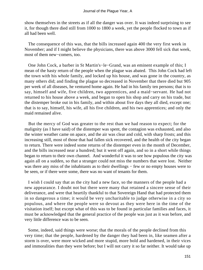show themselves in the streets as if all the danger was over. It was indeed surprising to see it, for though there died still from 1000 to 1800 a week, yet the people flocked to town as if all had been well.

 The consequence of this was, that the bills increased again 400 the very first week in November; and if I might believe the physicians, there was above 3000 fell sick that week, most of them new−comers, too.

 One John Cock, a barber in St Martin's−le−Grand, was an eminent example of this; I mean of the hasty return of the people when the plague was abated. This John Cock had left the town with his whole family, and locked up his house, and was gone in the country, as many others did; and finding the plague so decreased in November that there died but 905 per week of all diseases, he ventured home again. He had in his family ten persons; that is to say, himself and wife, five children, two apprentices, and a maid−servant. He had not returned to his house above a week, and began to open his shop and carry on his trade, but the distemper broke out in his family, and within about five days they all died, except one; that is to say, himself, his wife, all his five children, and his two apprentices; and only the maid remained alive.

 But the mercy of God was greater to the rest than we had reason to expect; for the malignity (as I have said) of the distemper was spent, the contagion was exhausted, and also the winter weather came on apace, and the air was clear and cold, with sharp frosts; and this increasing still, most of those that had fallen sick recovered, and the health of the city began to return. There were indeed some returns of the distemper even in the month of December, and the bills increased near a hundred; but it went off again, and so in a short while things began to return to their own channel. And wonderful it was to see how populous the city was again all on a sudden, so that a stranger could not miss the numbers that were lost. Neither was there any miss of the inhabitants as to their dwellings – few or no empty houses were to be seen, or if there were some, there was no want of tenants for them.

 I wish I could say that as the city had a new face, so the manners of the people had a new appearance. I doubt not but there were many that retained a sincere sense of their deliverance, and were that heartily thankful to that Sovereign Hand that had protected them in so dangerous a time; it would be very uncharitable to judge otherwise in a city so populous, and where the people were so devout as they were here in the time of the visitation itself; but except what of this was to be found in particular families and faces, it must be acknowledged that the general practice of the people was just as it was before, and very little difference was to be seen.

 Some, indeed, said things were worse; that the morals of the people declined from this very time; that the people, hardened by the danger they had been in, like seamen after a storm is over, were more wicked and more stupid, more bold and hardened, in their vices and immoralities than they were before; but I will not carry it so far neither. It would take up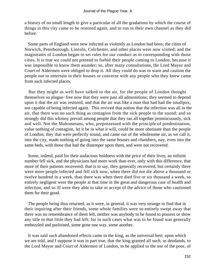a history of no small length to give a particular of all the gradations by which the course of things in this city came to be restored again, and to run in their own channel as they did before.

 Some parts of England were now infected as violently as London had been; the cities of Norwich, Peterborough, Lincoln, Colchester, and other places were now visited; and the magistrates of London began to set rules for our conduct as to corresponding with those cities. It is true we could not pretend to forbid their people coming to London, because it was impossible to know them asunder; so, after many consultations, the Lord Mayor and Court of Aldermen were obliged to drop it. All they could do was to warn and caution the people not to entertain in their houses or converse with any people who they knew came from such infected places.

 But they might as well have talked to the air, for the people of London thought themselves so plague−free now that they were past all admonitions; they seemed to depend upon it that the air was restored, and that the air was like a man that had had the smallpox, not capable of being infected again. This revived that notion that the infection was all in the air, that there was no such thing as contagion from the sick people to the sound; and so strongly did this whimsy prevail among people that they ran all together promiscuously, sick and well. Not the Mahometans, who, prepossessed with the principle of predestination, value nothing of contagion, let it be in what it will, could be more obstinate than the people of London; they that were perfectly sound, and came out of the wholesome air, as we call it, into the city, made nothing of going into the same houses and chambers, nay, even into the same beds, with those that had the distemper upon them, and were not recovered.

 Some, indeed, paid for their audacious boldness with the price of their lives; an infinite number fell sick, and the physicians had more work than ever, only with this difference, that more of their patients recovered; that is to say, they generally recovered, but certainly there were more people infected and fell sick now, when there did not die above a thousand or twelve hundred in a week, than there was when there died five or six thousand a week, so entirely negligent were the people at that time in the great and dangerous case of health and infection, and so ill were they able to take or accept of the advice of those who cautioned them for their good.

 The people being thus returned, as it were, in general, it was very strange to find that in their inquiring after their friends, some whole families were so entirely swept away that there was no remembrance of them left, neither was anybody to be found to possess or show any title to that little they had left; for in such cases what was to be found was generally embezzled and purloined, some gone one way, some another.

 It was said such abandoned effects came to the king, as the universal heir; upon which we are told, and I suppose it was in part true, that the king granted all such, as deodands, to the Lord Mayor and Court of Aldermen of London, to be applied to the use of the poor, of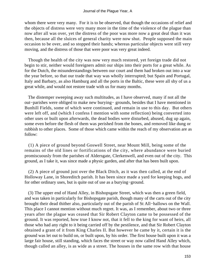whom there were very many. For it is to be observed, that though the occasions of relief and the objects of distress were very many more in the time of the violence of the plague than now after all was over, yet the distress of the poor was more now a great deal than it was then, because all the sluices of general charity were now shut. People supposed the main occasion to be over, and so stopped their hands; whereas particular objects were still very moving, and the distress of those that were poor was very great indeed.

 Though the health of the city was now very much restored, yet foreign trade did not begin to stir, neither would foreigners admit our ships into their ports for a great while. As for the Dutch, the misunderstandings between our court and them had broken out into a war the year before, so that our trade that way was wholly interrupted; but Spain and Portugal, Italy and Barbary, as also Hamburg and all the ports in the Baltic, these were all shy of us a great while, and would not restore trade with us for many months.

 The distemper sweeping away such multitudes, as I have observed, many if not all the out−parishes were obliged to make new burying− grounds, besides that I have mentioned in Bunhill Fields, some of which were continued, and remain in use to this day. But others were left off, and (which I confess I mention with some reflection) being converted into other uses or built upon afterwards, the dead bodies were disturbed, abused, dug up again, some even before the flesh of them was perished from the bones, and removed like dung or rubbish to other places. Some of those which came within the reach of my observation are as follow:

 (1) A piece of ground beyond Goswell Street, near Mount Mill, being some of the remains of the old lines or fortifications of the city, where abundance were buried promiscuously from the parishes of Aldersgate, Clerkenwell, and even out of the city. This ground, as I take it, was since made a physic garden, and after that has been built upon.

 (2) A piece of ground just over the Black Ditch, as it was then called, at the end of Holloway Lane, in Shoreditch parish. It has been since made a yard for keeping hogs, and for other ordinary uses, but is quite out of use as a burying−ground.

 (3) The upper end of Hand Alley, in Bishopsgate Street, which was then a green field, and was taken in particularly for Bishopsgate parish, though many of the carts out of the city brought their dead thither also, particularly out of the parish of St All−hallows on the Wall. This place I cannot mention without much regret. It was, as I remember, about two or three years after the plague was ceased that Sir Robert Clayton came to be possessed of the ground. It was reported, how true I know not, that it fell to the king for want of heirs, all those who had any right to it being carried off by the pestilence, and that Sir Robert Clayton obtained a grant of it from King Charles II. But however he came by it, certain it is the ground was let out to build on, or built upon, by his order. The first house built upon it was a large fair house, still standing, which faces the street or way now called Hand Alley which, though called an alley, is as wide as a street. The houses in the same row with that house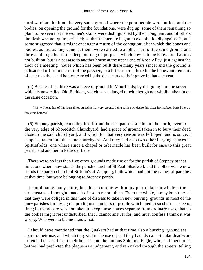northward are built on the very same ground where the poor people were buried, and the bodies, on opening the ground for the foundations, were dug up, some of them remaining so plain to be seen that the women's skulls were distinguished by their long hair, and of others the flesh was not quite perished; so that the people began to exclaim loudly against it, and some suggested that it might endanger a return of the contagion; after which the bones and bodies, as fast as they came at them, were carried to another part of the same ground and thrown all together into a deep pit, dug on purpose, which now is to be known in that it is not built on, but is a passage to another house at the upper end of Rose Alley, just against the door of a meeting−house which has been built there many years since; and the ground is palisadoed off from the rest of the passage, in a little square; there lie the bones and remains of near two thousand bodies, carried by the dead carts to their grave in that one year.

 (4) Besides this, there was a piece of ground in Moorfields; by the going into the street which is now called Old Bethlem, which was enlarged much, though not wholly taken in on the same occasion.

[N.B. − The author of this journal lies buried in that very ground, being at his own desire, his sister having been buried there a few years before.]

 (5) Stepney parish, extending itself from the east part of London to the north, even to the very edge of Shoreditch Churchyard, had a piece of ground taken in to bury their dead close to the said churchyard, and which for that very reason was left open, and is since, I suppose, taken into the same churchyard. And they had also two other burying−places in Spittlefields, one where since a chapel or tabernacle has been built for ease to this great parish, and another in Petticoat Lane.

 There were no less than five other grounds made use of for the parish of Stepney at that time: one where now stands the parish church of St Paul, Shadwell, and the other where now stands the parish church of St John's at Wapping, both which had not the names of parishes at that time, but were belonging to Stepney parish.

 I could name many more, but these coming within my particular knowledge, the circumstance, I thought, made it of use to record them. From the whole, it may be observed that they were obliged in this time of distress to take in new burying−grounds in most of the out− parishes for laying the prodigious numbers of people which died in so short a space of time; but why care was not taken to keep those places separate from ordinary uses, that so the bodies might rest undisturbed, that I cannot answer for, and must confess I think it was wrong. Who were to blame I know not.

 I should have mentioned that the Quakers had at that time also a burying−ground set apart to their use, and which they still make use of; and they had also a particular dead−cart to fetch their dead from their houses; and the famous Solomon Eagle, who, as I mentioned before, had predicted the plague as a judgement, and ran naked through the streets, telling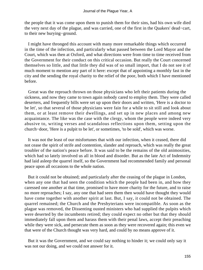the people that it was come upon them to punish them for their sins, had his own wife died the very next day of the plague, and was carried, one of the first in the Quakers' dead−cart, to their new burying−ground.

 I might have thronged this account with many more remarkable things which occurred in the time of the infection, and particularly what passed between the Lord Mayor and the Court, which was then at Oxford, and what directions were from time to time received from the Government for their conduct on this critical occasion. But really the Court concerned themselves so little, and that little they did was of so small import, that I do not see it of much moment to mention any part of it here: except that of appointing a monthly fast in the city and the sending the royal charity to the relief of the poor, both which I have mentioned before.

 Great was the reproach thrown on those physicians who left their patients during the sickness, and now they came to town again nobody cared to employ them. They were called deserters, and frequently bills were set up upon their doors and written, 'Here is a doctor to be let', so that several of those physicians were fain for a while to sit still and look about them, or at least remove their dwellings, and set up in new places and among new acquaintance. The like was the case with the clergy, whom the people were indeed very abusive to, writing verses and scandalous reflections upon them, setting upon the church−door, 'Here is a pulpit to be let', or sometimes, 'to be sold', which was worse.

 It was not the least of our misfortunes that with our infection, when it ceased, there did not cease the spirit of strife and contention, slander and reproach, which was really the great troubler of the nation's peace before. It was said to be the remains of the old animosities, which had so lately involved us all in blood and disorder. But as the late Act of Indemnity had laid asleep the quarrel itself, so the Government had recommended family and personal peace upon all occasions to the whole nation.

 But it could not be obtained; and particularly after the ceasing of the plague in London, when any one that had seen the condition which the people had been in, and how they caressed one another at that time, promised to have more charity for the future, and to raise no more reproaches; I say, any one that had seen them then would have thought they would have come together with another spirit at last. But, I say, it could not be obtained. The quarrel remained; the Church and the Presbyterians were incompatible. As soon as the plague was removed, the Dissenting ousted ministers who had supplied the pulpits which were deserted by the incumbents retired; they could expect no other but that they should immediately fall upon them and harass them with their penal laws, accept their preaching while they were sick, and persecute them as soon as they were recovered again; this even we that were of the Church thought was very hard, and could by no means approve of it.

 But it was the Government, and we could say nothing to hinder it; we could only say it was not our doing, and we could not answer for it.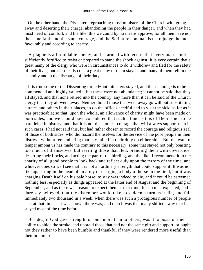On the other hand, the Dissenters reproaching those ministers of the Church with going away and deserting their charge, abandoning the people in their danger, and when they had most need of comfort, and the like: this we could by no means approve, for all men have not the same faith and the same courage, and the Scripture commands us to judge the most favourably and according to charity.

 A plague is a formidable enemy, and is armed with terrors that every man is not sufficiently fortified to resist or prepared to stand the shock against. It is very certain that a great many of the clergy who were in circumstances to do it withdrew and fled for the safety of their lives; but 'tis true also that a great many of them stayed, and many of them fell in the calamity and in the discharge of their duty.

 It is true some of the Dissenting turned−out ministers stayed, and their courage is to be commended and highly valued − but these were not abundance; it cannot be said that they all stayed, and that none retired into the country, any more than it can be said of the Church clergy that they all went away. Neither did all those that went away go without substituting curates and others in their places, to do the offices needful and to visit the sick, as far as it was practicable; so that, upon the whole, an allowance of charity might have been made on both sides, and we should have considered that such a time as this of 1665 is not to be paralleled in history, and that it is not the stoutest courage that will always support men in such cases. I had not said this, but had rather chosen to record the courage and religious zeal of those of both sides, who did hazard themselves for the service of the poor people in their distress, without remembering that any failed in their duty on either side. But the want of temper among us has made the contrary to this necessary: some that stayed not only boasting too much of themselves, but reviling those that fled, branding them with cowardice, deserting their flocks, and acting the part of the hireling, and the like. I recommend it to the charity of all good people to look back and reflect duly upon the terrors of the time, and whoever does so well see that it is not an ordinary strength that could support it. It was not like appearing in the head of an army or charging a body of horse in the field, but it was charging Death itself on his pale horse; to stay was indeed to die, and it could be esteemed nothing less, especially as things appeared at the latter end of August and the beginning of September, and as there was reason to expect them at that time; for no man expected, and I dare say believed, that the distemper would take so sudden a turn as it did, and fall immediately two thousand in a week, when there was such a prodigious number of people sick at that time as it was known there was; and then it was that many shifted away that had stayed most of the time before.

 Besides, if God gave strength to some more than to others, was it to boast of their ability to abide the stroke, and upbraid those that had not the same gift and support, or ought not they rather to have been humble and thankful if they were rendered more useful than their brethren?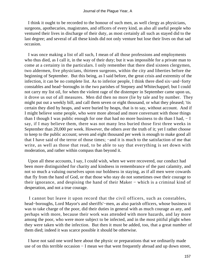I think it ought to be recorded to the honour of such men, as well clergy as physicians, surgeons, apothecaries, magistrates, and officers of every kind, as also all useful people who ventured their lives in discharge of their duty, as most certainly all such as stayed did to the last degree; and several of all these kinds did not only venture but lose their lives on that sad occasion.

 I was once making a list of all such, I mean of all those professions and employments who thus died, as I call it, in the way of their duty; but it was impossible for a private man to come at a certainty in the particulars. I only remember that there died sixteen clergymen, two aldermen, five physicians, thirteen surgeons, within the city and liberties before the beginning of September. But this being, as I said before, the great crisis and extremity of the infection, it can be no complete list. As to inferior people, I think there died six−and−forty constables and head−boroughs in the two parishes of Stepney and Whitechappel; but I could not carry my list oil, for when the violent rage of the distemper in September came upon us, it drove us out of all measures. Men did then no more (lie by tale and by number. They might put out a weekly bill, and call them seven or eight thousand, or what they pleased; 'tis certain they died by heaps, and were buried by heaps, that is to say, without account. And if I might believe some people, who were more abroad and more conversant with those things than I though I was public enough for one that had no more business to do than I had,  $- I$ say, if I may believe them, there was not many less buried those first three weeks in September than 20,000 per week. However, the others aver the truth of it; yet I rather choose to keep to the public account; seven and eight thousand per week is enough to make good all that I have said of the terror of those times; −and it is much to the satisfaction of me that write, as well as those that read, to be able to say that everything is set down with moderation, and rather within compass than beyond it.

 Upon all these accounts, I say, I could wish, when we were recovered, our conduct had been more distinguished for charity and kindness in remembrance of the past calamity, and not so much a valuing ourselves upon our boldness in staying, as if all men were cowards that fly from the hand of God, or that those who stay do not sometimes owe their courage to their ignorance, and despising the hand of their Maker − which is a criminal kind of desperation, and not a true courage.

 I cannot but leave it upon record that the civil officers, such as constables, head−boroughs, Lord Mayor's and sheriffs'−men, as also parish officers, whose business it was to take charge of the poor, did their duties in general with as much courage as any, and perhaps with more, because their work was attended with more hazards, and lay more among the poor, who were more subject to be infected, and in the most pitiful plight when they were taken with the infection. But then it must be added, too, that a great number of them died; indeed it was scarce possible it should be otherwise.

 I have not said one word here about the physic or preparations that we ordinarily made use of on this terrible occasion − I mean we that went frequently abroad and up down street,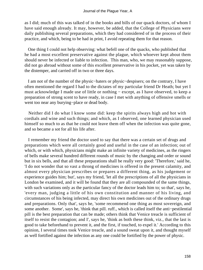as I did; much of this was talked of in the books and bills of our quack doctors, of whom I have said enough already. It may, however, be added, that the College of Physicians were daily publishing several preparations, which they had considered of in the process of their practice, and which, being to be had in print, I avoid repeating them for that reason.

 One thing I could not help observing: what befell one of the quacks, who published that he had a most excellent preservative against the plague, which whoever kept about them should never be infected or liable to infection. This man, who, we may reasonably suppose, did not go abroad without some of this excellent preservative in his pocket, yet was taken by the distemper, and carried off in two or three days.

 I am not of the number of the physic−haters or physic−despisers; on the contrary, I have often mentioned the regard I had to the dictates of my particular friend Dr Heath; but yet I must acknowledge I made use of little or nothing − except, as I have observed, to keep a preparation of strong scent to have ready, in case I met with anything of offensive smells or went too near any burying−place or dead body.

 Neither did I do what I know some did: keep the spirits always high and hot with cordials and wine and such things; and which, as I observed, one learned physician used himself so much to as that he could not leave them off when the infection was quite gone, and so became a sot for all his life after.

 I remember my friend the doctor used to say that there was a certain set of drugs and preparations which were all certainly good and useful in the case of an infection; out of which, or with which, physicians might make an infinite variety of medicines, as the ringers of bells make several hundred different rounds of music by the changing and order or sound but in six bells, and that all these preparations shall be really very good: 'Therefore,' said he, 'I do not wonder that so vast a throng of medicines is offered in the present calamity, and almost every physician prescribes or prepares a different thing, as his judgement or experience guides him; but', says my friend, 'let all the prescriptions of all the physicians in London be examined, and it will be found that they are all compounded of the same things, with such variations only as the particular fancy of the doctor leads him to; so that', says he, 'every man, judging a little of his own constitution and manner of his living, and circumstances of his being infected, may direct his own medicines out of the ordinary drugs and preparations. Only that', says he, 'some recommend one thing as most sovereign, and some another. Some', says he, 'think that pill. ruff., which is called itself the anti−pestilential pill is the best preparation that can be made; others think that Venice treacle is sufficient of itself to resist the contagion; and I', says he, 'think as both these think, viz., that the last is good to take beforehand to prevent it, and the first, if touched, to expel it.' According to this opinion, I several times took Venice treacle, and a sound sweat upon it, and thought myself as well fortified against the infection as any one could be fortified by the power of physic.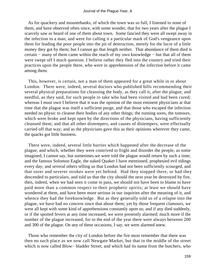As for quackery and mountebanks, of which the town was so full, I listened to none of them, and have observed often since, with some wonder, that for two years after the plague I scarcely saw or heard of one of them about town. Some fancied they were all swept away in the infection to a man, and were for calling it a particular mark of God's vengeance upon them for leading the poor people into the pit of destruction, merely for the lucre of a little money they got by them; but I cannot go that length neither. That abundance of them died is certain − many of them came within the reach of my own knowledge − but that all of them were swept off I much question. I believe rather they fled into the country and tried their practices upon the people there, who were in apprehension of the infection before it came among them.

 This, however, is certain, not a man of them appeared for a great while in or about London. There were, indeed, several doctors who published bills recommending their several physical preparations for cleansing the body, as they call it, after the plague, and needful, as they said, for such people to take who had been visited and had been cured; whereas I must own I believe that it was the opinion of the most eminent physicians at that time that the plague was itself a sufficient purge, and that those who escaped the infection needed no physic to cleanse their bodies of any other things; the running sores, the tumours, which were broke and kept open by the directions of the physicians, having sufficiently cleansed them; and that all other distempers, and causes of distempers, were effectually carried off that way; and as the physicians gave this as their opinions wherever they came, the quacks got little business.

 There were, indeed, several little hurries which happened after the decrease of the plague, and which, whether they were contrived to fright and disorder the people, as some imagined, I cannot say, but sometimes we were told the plague would return by such a time; and the famous Solomon Eagle, the naked Quaker I have mentioned, prophesied evil tidings every day; and several others telling us that London had not been sufficiently scourged, and that sorer and severer strokes were yet behind. Had they stopped there, or had they descended to particulars, and told us that the city should the next year be destroyed by fire, then, indeed, when we had seen it come to pass, we should not have been to blame to have paid more than a common respect to their prophetic spirits; at least we should have wondered at them, and have been more serious in our inquiries after the meaning of it, and whence they had the foreknowledge. But as they generally told us of a relapse into the plague, we have had no concern since that about them; yet by those frequent clamours, we were all kept with some kind of apprehensions constantly upon us; and if any died suddenly, or if the spotted fevers at any time increased, we were presently alarmed; much more if the number of the plague increased, for to the end of the year there were always between 200 and 300 of the plague. On any of these occasions, I say, we were alarmed anew.

 Those who remember the city of London before the fire must remember that there was then no such place as we now call Newgate Market, but that in the middle of the street which is now called Blow− bladder Street, and which had its name from the butchers, who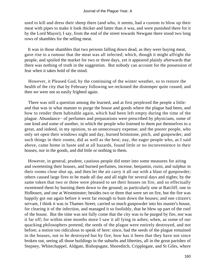used to kill and dress their sheep there (and who, it seems, had a custom to blow up their meat with pipes to make it look thicker and fatter than it was, and were punished there for it by the Lord Mayor); I say, from the end of the street towards Newgate there stood two long rows of shambles for the selling meat.

 It was in those shambles that two persons falling down dead, as they were buying meat, gave rise to a rumour that the meat was all infected; which, though it might affright the people, and spoiled the market for two or three days, yet it appeared plainly afterwards that there was nothing of truth in the suggestion. But nobody can account for the possession of fear when it takes hold of the mind.

 However, it Pleased God, by the continuing of the winter weather, so to restore the health of the city that by February following we reckoned the distemper quite ceased, and then we were not so easily frighted again.

 There was still a question among the learned, and at first perplexed the people a little: and that was in what manner to purge the house and goods where the plague had been, and how to render them habitable again, which had been left empty during the time of the plague. Abundance− of perfumes and preparations were prescribed by physicians, some of one kind and some of another, in which the people who listened to them put themselves to a great, and indeed, in my opinion, to an unnecessary expense; and the poorer people, who only set open their windows night and day, burned brimstone, pitch, and gunpowder, and such things in their rooms, did as well as the best; nay, the eager people who, as I said above, came home in haste and at all hazards, found little or no inconvenience in their houses, nor in the goods, and did little or nothing to them.

 However, in general, prudent, cautious people did enter into some measures for airing and sweetening their houses, and burned perfumes, incense, benjamin, rozin, and sulphur in their rooms close shut up, and then let the air carry it all out with a blast of gunpowder; others caused large fires to be made all day and all night for several days and nights; by the same token that two or three were pleased to set their houses on fire, and so effectually sweetened them by burning them down to the ground; as particularly one at Ratcliff, one in Holbourn, and one at Westminster; besides two or three that were set on fire, but the fire was happily got out again before it went far enough to bum down the houses; and one citizen's servant, I think it was in Thames Street, carried so much gunpowder into his master's house, for clearing it of the infection, and managed it so foolishly, that he blew up part of the roof of the house. But the time was not fully come that the city was to he purged by fire, nor was it far off; for within nine months more I saw it all lying in ashes; when, as some of our quacking philosophers pretend, the seeds of the plague were entirely destroyed, and not before; a notion too ridiculous to speak of here: since, had the seeds of the plague remained in the houses, not to be destroyed but by fire, how has it been that they have not since broken out, seeing all those buildings in the suburbs and liberties, all in the great parishes of Stepney, Whitechappel, Aldgate, Bishopsgate, Shoreditch, Cripplegate, and St Giles, where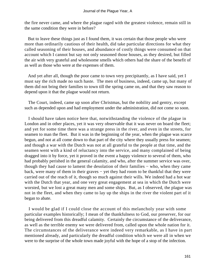the fire never came, and where the plague raged with the greatest violence, remain still in the same condition they were in before?

 But to leave these things just as I found them, it was certain that those people who were more than ordinarily cautious of their health, did take particular directions for what they called seasoning of their houses, and abundance of costly things were consumed on that account which I cannot but say not only seasoned those houses, as they desired, but filled the air with very grateful and wholesome smells which others had the share of the benefit of as well as those who were at the expenses of them.

 And yet after all, though the poor came to town very precipitantly, as I have said, yet I must say the rich made no such haste. The men of business, indeed, came up, but many of them did not bring their families to town till the spring came on, and that they saw reason to depend upon it that the plague would not return.

 The Court, indeed, came up soon after Christmas, but the nobility and gentry, except such as depended upon and had employment under the administration, did not come so soon.

 I should have taken notice here that, notwithstanding the violence of the plague in London and in other places, yet it was very observable that it was never on board the fleet; and yet for some time there was a strange press in the river, and even in the streets, for seamen to man the fleet. But it was in the beginning of the year, when the plague was scarce begun, and not at all come down to that part of the city where they usually press for seamen; and though a war with the Dutch was not at all grateful to the people at that time, and the seamen went with a kind of reluctancy into the service, and many complained of being dragged into it by force, yet it proved in the event a happy violence to several of them, who had probably perished in the general calamity, and who, after the summer service was over, though they had cause to lament the desolation of their families − who, when they came back, were many of them in their graves − yet they had room to be thankful that they were carried out of the reach of it, though so much against their wills. We indeed had a hot war with the Dutch that year, and one very great engagement at sea in which the Dutch were worsted, but we lost a great many men and some ships. But, as I observed, the plague was not in the fleet, and when they came to lay up the ships in the river the violent part of it began to abate.

 I would be glad if I could close the account of this melancholy year with some particular examples historically; I mean of the thankfulness to God, our preserver, for our being delivered from this dreadful calamity. Certainly the circumstance of the deliverance, as well as the terrible enemy we were delivered from, called upon the whole nation for it. The circumstances of the deliverance were indeed very remarkable, as I have in part mentioned already, and particularly the dreadful condition which we were all in when we were to the surprise of the whole town made joyful with the hope of a stop of the infection.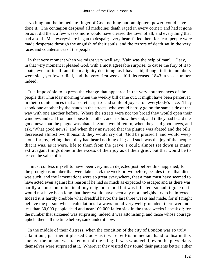Nothing but the immediate finger of God, nothing but omnipotent power, could have done it. The contagion despised all medicine; death raged in every corner; and had it gone on as it did then, a few weeks more would have cleared the town of all, and everything that had a soul. Men everywhere began to despair; every heart failed them for fear; people were made desperate through the anguish of their souls, and the terrors of death sat in the very faces and countenances of the people.

 In that very moment when we might very well say, 'Vain was the help of man', − I say, in that very moment it pleased God, with a most agreeable surprise, to cause the fury of it to abate, even of itself; and the malignity declining, as I have said, though infinite numbers were sick, yet fewer died, and the very first weeks' bill decreased 1843; a vast number indeed!

 It is impossible to express the change that appeared in the very countenances of the people that Thursday morning when the weekly bill came out. It might have been perceived in their countenances that a secret surprise and smile of joy sat on everybody's face. They shook one another by the hands in the streets, who would hardly go on the same side of the way with one another before. Where the streets were not too broad they would open their windows and call from one house to another, and ask how they did, and if they had heard the good news that the plague was abated. Some would return, when they said good news, and ask, 'What good news?' and when they answered that the plague was abated and the bills decreased almost two thousand, they would cry out, 'God be praised I' and would weep aloud for joy, telling them they had heard nothing of it; and such was the joy of the people that it was, as it were, life to them from the grave. I could almost set down as many extravagant things done in the excess of their joy as of their grief; but that would be to lessen the value of it.

 I must confess myself to have been very much dejected just before this happened; for the prodigious number that were taken sick the week or two before, besides those that died, was such, and the lamentations were so great everywhere, that a man must have seemed to have acted even against his reason if he had so much as expected to escape; and as there was hardly a house but mine in all my neighbourhood but was infected, so had it gone on it would not have been long that there would have been any more neighbours to be infected. Indeed it is hardly credible what dreadful havoc the last three weeks had made, for if I might believe the person whose calculations I always found very well grounded, there were not less than 30,000 people dead and near 100.000 fallen sick in the three weeks I speak of; for the number that sickened was surprising, indeed it was astonishing, and those whose courage upheld them all the time before, sank under it now.

 In the middle of their distress, when the condition of the city of London was so truly calamitous, just then it pleased God − as it were by His immediate hand to disarm this enemy; the poison was taken out of the sting. It was wonderful; even the physicians themselves were surprised at it. Wherever they visited they found their patients better; either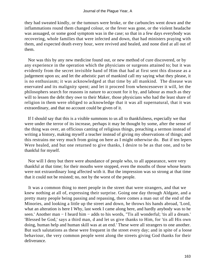they had sweated kindly, or the tumours were broke, or the carbuncles went down and the inflammations round them changed colour, or the fever was gone, or the violent headache was assuaged, or some good symptom was in the case; so that in a few days everybody was recovering, whole families that were infected and down, that had ministers praying with them, and expected death every hour, were revived and healed, and none died at all out of them.

 Nor was this by any new medicine found out, or new method of cure discovered, or by any experience in the operation which the physicians or surgeons attained to; but it was evidently from the secret invisible hand of Him that had at first sent this disease as a judgement upon us; and let the atheistic part of mankind call my saying what they please, it is no enthusiasm; it was acknowledged at that time by all mankind. The disease was enervated and its malignity spent; and let it proceed from whencesoever it will, let the philosophers search for reasons in nature to account for it by, and labour as much as they will to lessen the debt they owe to their Maker, those physicians who had the least share of religion in them were obliged to acknowledge that it was all supernatural, that it was extraordinary, and that no account could be given of it.

 If I should say that this is a visible summons to us all to thankfulness, especially we that were under the terror of its increase, perhaps it may be thought by some, after the sense of the thing was over, an officious canting of religious things, preaching a sermon instead of writing a history, making myself a teacher instead of giving my observations of things; and this restrains me very much from going on here as I might otherwise do. But if ten lepers Were healed, and but one returned to give thanks, I desire to be as that one, and to be thankful for myself.

 Nor will I deny but there were abundance of people who, to all appearance, were very thankful at that time; for their mouths were stopped, even the mouths of those whose hearts were not extraordinary long affected with it. But the impression was so strong at that time that it could not be resisted; no, not by the worst of the people.

 It was a common thing to meet people in the street that were strangers, and that we knew nothing at all of, expressing their surprise. Going one day through Aldgate, and a pretty many people being passing and repassing, there comes a man out of the end of the Minories, and looking a little up the street and down, he throws his hands abroad, 'Lord, what an alteration is here I Why, last week I came along here, and hardly anybody was to he seen.' Another man – I heard him – adds to his words, "Tis all wonderful; 'tis all a dream.' 'Blessed be God,' says a third man, d and let us give thanks to Him, for 'tis all His own doing, human help and human skill was at an end.' These were all strangers to one another. But such salutations as these were frequent in the street every day; and in spite of a loose behaviour, the very common people went along the streets giving God thanks for their deliverance.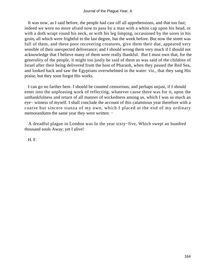It was now, as I said before, the people had cast off all apprehensions, and that too fast; indeed we were no more afraid now to pass by a man with a white cap upon his head, or with a doth wrapt round his neck, or with his leg limping, occasioned by the sores in his groin, all which were frightful to the last degree, but the week before. But now the street was full of them, and these poor recovering creatures, give them their due, appeared very sensible of their unexpected deliverance; and I should wrong them very much if I should not acknowledge that I believe many of them were really thankful. But I must own that, for the generality of the people, it might too justly be said of them as was said of the children of Israel after their being delivered from the host of Pharaoh, when they passed the Red Sea, and looked back and saw the Egyptians overwhelmed in the water: viz., that they sang His praise, but they soon forgot His works.

 I can go no farther here. I should be counted censorious, and perhaps unjust, if I should enter into the unpleasing work of reflecting, whatever cause there was for it, upon the unthankfulness and return of all manner of wickedness among us, which I was so much an eye− witness of myself. I shall conclude the account of this calamitous year therefore with a coarse but sincere stanza of my own, which I placed at the end of my ordinary memorandums the same year they were written: −

 A dreadful plague in London was In the year sixty−five, Which swept an hundred thousand souls Away; yet I alive!

H. F.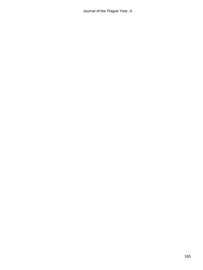Journal of the Plague Year, A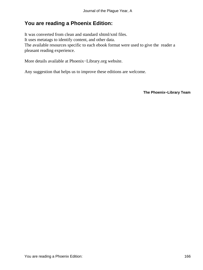## **You are reading a Phoenix Edition:**

It was converted from clean and standard xhtml/xml files. It uses metatags to identify content, and other data. The available resources specific to each ebook format were used to give the reader a pleasant reading experience.

More details available at Phoenix−Library.org website.

Any suggestion that helps us to improve these editions are welcome.

**The Phoenix−Library Team**